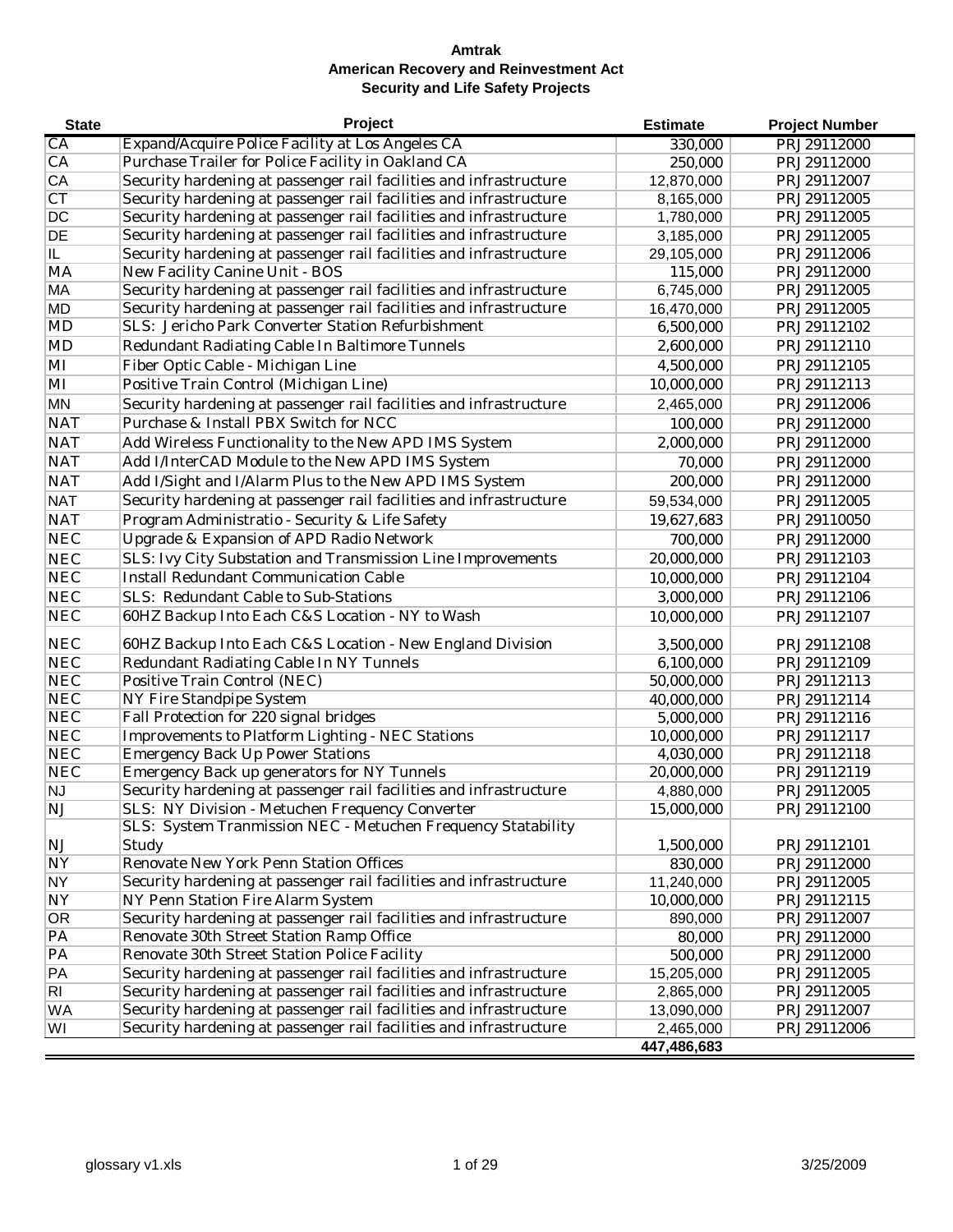| <b>State</b>   | Project                                                            | <b>Estimate</b> | <b>Project Number</b> |
|----------------|--------------------------------------------------------------------|-----------------|-----------------------|
| СA             | Expand/Acquire Police Facility at Los Angeles CA                   | 330,000         | PRJ29112000           |
| CA             | Purchase Trailer for Police Facility in Oakland CA                 | 250,000         | PRJ29112000           |
| CA             | Security hardening at passenger rail facilities and infrastructure | 12,870,000      | PRJ29112007           |
| C <sub>T</sub> | Security hardening at passenger rail facilities and infrastructure | 8,165,000       | PRJ29112005           |
| DC             | Security hardening at passenger rail facilities and infrastructure | 1,780,000       | PRJ29112005           |
| DE             | Security hardening at passenger rail facilities and infrastructure | 3,185,000       | PRJ29112005           |
| IL             | Security hardening at passenger rail facilities and infrastructure | 29,105,000      | PRJ29112006           |
| MA             | New Facility Canine Unit - BOS                                     | 115,000         | PRJ29112000           |
| MA             | Security hardening at passenger rail facilities and infrastructure | 6,745,000       | PRJ29112005           |
| <b>MD</b>      | Security hardening at passenger rail facilities and infrastructure | 16,470,000      | PRJ29112005           |
| MD             | SLS: Jericho Park Converter Station Refurbishment                  | 6,500,000       | PRJ29112102           |
| <b>MD</b>      | Redundant Radiating Cable In Baltimore Tunnels                     | 2,600,000       | PRJ29112110           |
| MI             | Fiber Optic Cable - Michigan Line                                  | 4,500,000       | PRJ29112105           |
| MI             | Positive Train Control (Michigan Line)                             | 10,000,000      | PRJ29112113           |
| <b>MN</b>      | Security hardening at passenger rail facilities and infrastructure | 2,465,000       | PRJ29112006           |
| <b>NAT</b>     | Purchase & Install PBX Switch for NCC                              | 100,000         | PRJ29112000           |
| <b>NAT</b>     | Add Wireless Functionality to the New APD IMS System               | 2,000,000       | PRJ29112000           |
| <b>NAT</b>     | Add I/InterCAD Module to the New APD IMS System                    | 70,000          | PRJ29112000           |
| <b>NAT</b>     | Add I/Sight and I/Alarm Plus to the New APD IMS System             | 200,000         | PRJ29112000           |
| <b>NAT</b>     | Security hardening at passenger rail facilities and infrastructure | 59,534,000      | PRJ29112005           |
| <b>NAT</b>     | Program Administratio - Security & Life Safety                     | 19,627,683      | PRJ29110050           |
| <b>NEC</b>     | Upgrade & Expansion of APD Radio Network                           | 700,000         | PRJ29112000           |
| <b>NEC</b>     | SLS: Ivy City Substation and Transmission Line Improvements        | 20,000,000      | PRJ29112103           |
| <b>NEC</b>     | <b>Install Redundant Communication Cable</b>                       | 10,000,000      | PRJ29112104           |
| <b>NEC</b>     | SLS: Redundant Cable to Sub-Stations                               | 3,000,000       | PRJ29112106           |
| <b>NEC</b>     | 60HZ Backup Into Each C&S Location - NY to Wash                    | 10,000,000      | PRJ29112107           |
| <b>NEC</b>     | 60HZ Backup Into Each C&S Location - New England Division          | 3,500,000       | PRJ29112108           |
| <b>NEC</b>     | Redundant Radiating Cable In NY Tunnels                            | 6,100,000       | PRJ29112109           |
| <b>NEC</b>     | Positive Train Control (NEC)                                       | 50,000,000      | PRJ29112113           |
| NEC            | NY Fire Standpipe System                                           | 40,000,000      | PRJ29112114           |
| <b>NEC</b>     | Fall Protection for 220 signal bridges                             | 5,000,000       | PRJ29112116           |
| <b>NEC</b>     | Improvements to Platform Lighting - NEC Stations                   | 10,000,000      | PRJ29112117           |
| <b>NEC</b>     | <b>Emergency Back Up Power Stations</b>                            | 4,030,000       | PRJ29112118           |
| <b>NEC</b>     | Emergency Back up generators for NY Tunnels                        | 20,000,000      | PRJ29112119           |
| <b>NJ</b>      | Security hardening at passenger rail facilities and infrastructure | 4,880,000       | PRJ29112005           |
| NJ             | SLS: NY Division - Metuchen Frequency Converter                    | 15,000,000      | PRJ29112100           |
|                | SLS: System Tranmission NEC - Metuchen Frequency Statability       |                 |                       |
| <b>NJ</b>      | Study                                                              | 1,500,000       | PRJ29112101           |
| <b>NY</b>      | Renovate New York Penn Station Offices                             | 830,000         | PRJ29112000           |
| <b>NY</b>      | Security hardening at passenger rail facilities and infrastructure | 11,240,000      | PRJ29112005           |
| <b>NY</b>      | NY Penn Station Fire Alarm System                                  | 10,000,000      | PRJ29112115           |
| <b>OR</b>      | Security hardening at passenger rail facilities and infrastructure | 890,000         | PRJ29112007           |
| PA             | Renovate 30th Street Station Ramp Office                           | 80,000          | PRJ29112000           |
| PA             | Renovate 30th Street Station Police Facility                       | 500,000         | PRJ29112000           |
| PA             | Security hardening at passenger rail facilities and infrastructure | 15,205,000      | PRJ29112005           |
| RI             | Security hardening at passenger rail facilities and infrastructure | 2,865,000       | PRJ29112005           |
| WA             | Security hardening at passenger rail facilities and infrastructure | 13,090,000      | PRJ29112007           |
| WI             | Security hardening at passenger rail facilities and infrastructure | 2,465,000       | PRJ29112006           |
|                |                                                                    | 447,486,683     |                       |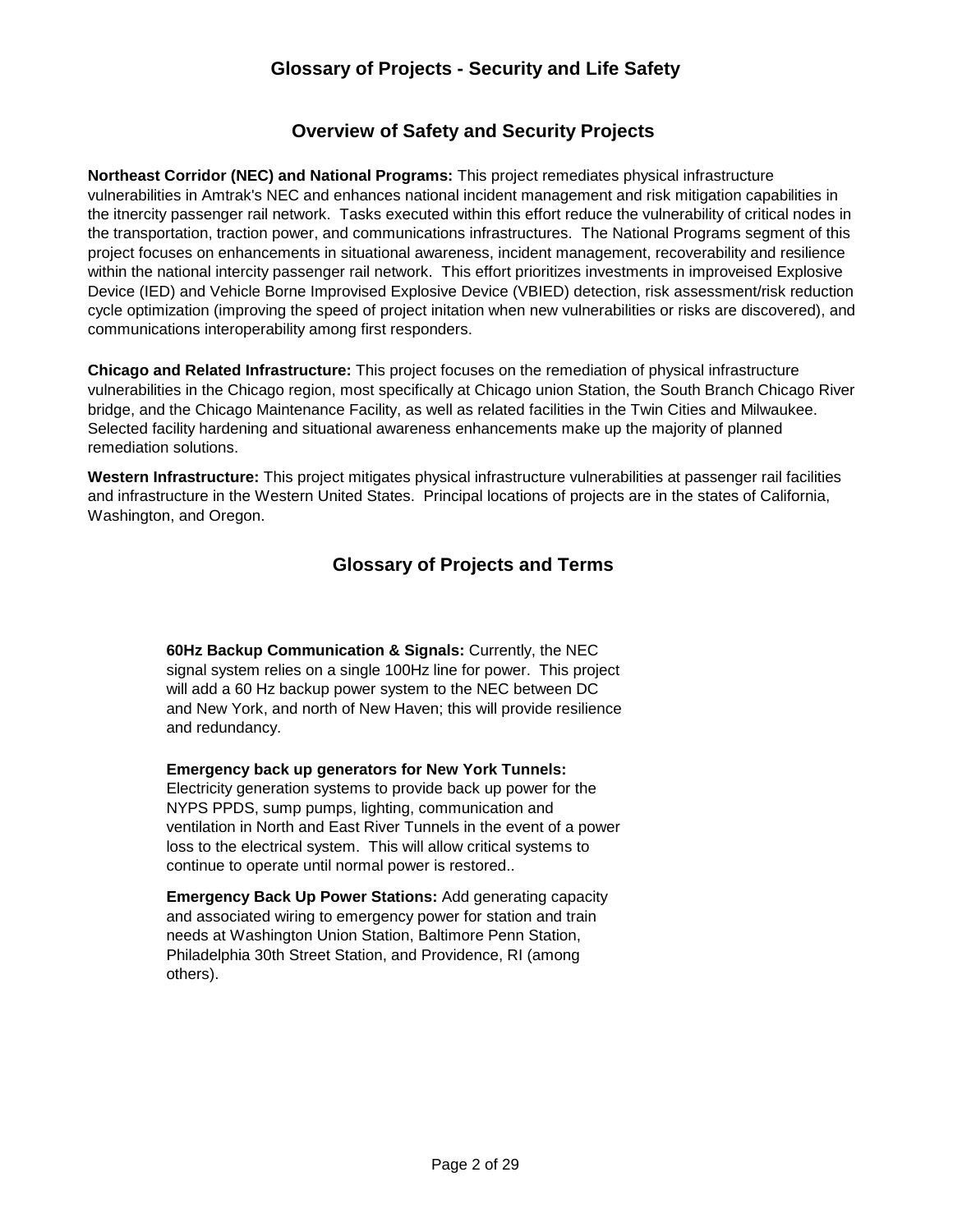# **Glossary of Projects - Security and Life Safety**

## **Overview of Safety and Security Projects**

**Northeast Corridor (NEC) and National Programs:** This project remediates physical infrastructure vulnerabilities in Amtrak's NEC and enhances national incident management and risk mitigation capabilities in the itnercity passenger rail network. Tasks executed within this effort reduce the vulnerability of critical nodes in the transportation, traction power, and communications infrastructures. The National Programs segment of this project focuses on enhancements in situational awareness, incident management, recoverability and resilience within the national intercity passenger rail network. This effort prioritizes investments in improveised Explosive Device (IED) and Vehicle Borne Improvised Explosive Device (VBIED) detection, risk assessment/risk reduction cycle optimization (improving the speed of project initation when new vulnerabilities or risks are discovered), and communications interoperability among first responders.

**Chicago and Related Infrastructure:** This project focuses on the remediation of physical infrastructure vulnerabilities in the Chicago region, most specifically at Chicago union Station, the South Branch Chicago River bridge, and the Chicago Maintenance Facility, as well as related facilities in the Twin Cities and Milwaukee. Selected facility hardening and situational awareness enhancements make up the majority of planned remediation solutions.

**Western Infrastructure:** This project mitigates physical infrastructure vulnerabilities at passenger rail facilities and infrastructure in the Western United States. Principal locations of projects are in the states of California, Washington, and Oregon.

# **Glossary of Projects and Terms**

**60Hz Backup Communication & Signals:** Currently, the NEC signal system relies on a single 100Hz line for power. This project will add a 60 Hz backup power system to the NEC between DC and New York, and north of New Haven; this will provide resilience and redundancy.

**Emergency back up generators for New York Tunnels:**  Electricity generation systems to provide back up power for the NYPS PPDS, sump pumps, lighting, communication and ventilation in North and East River Tunnels in the event of a power loss to the electrical system. This will allow critical systems to continue to operate until normal power is restored..

**Emergency Back Up Power Stations:** Add generating capacity and associated wiring to emergency power for station and train needs at Washington Union Station, Baltimore Penn Station, Philadelphia 30th Street Station, and Providence, RI (among others).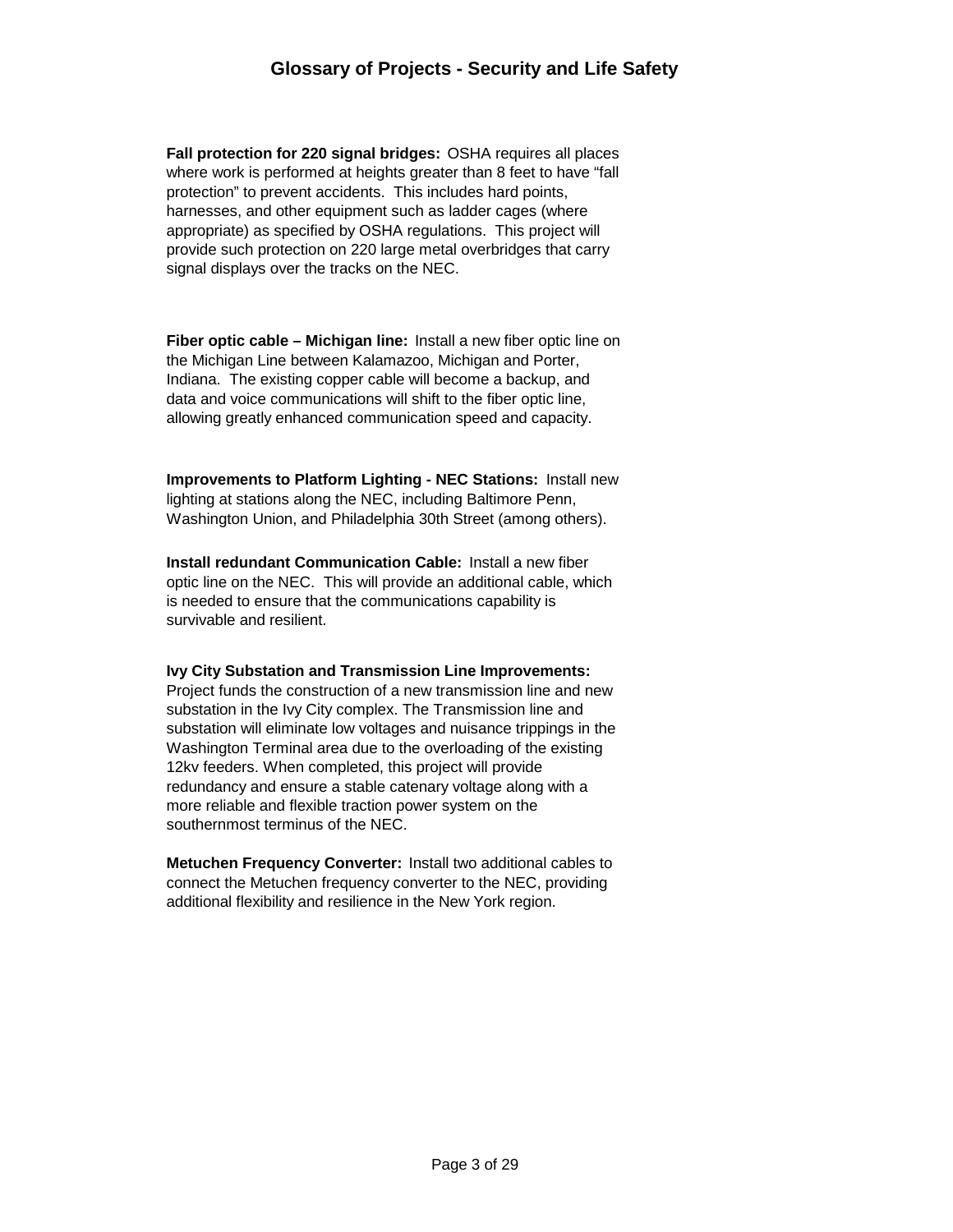**Fall protection for 220 signal bridges:** OSHA requires all places where work is performed at heights greater than 8 feet to have "fall protection" to prevent accidents. This includes hard points, harnesses, and other equipment such as ladder cages (where appropriate) as specified by OSHA regulations. This project will provide such protection on 220 large metal overbridges that carry signal displays over the tracks on the NEC.

**Fiber optic cable – Michigan line:** Install a new fiber optic line on the Michigan Line between Kalamazoo, Michigan and Porter, Indiana. The existing copper cable will become a backup, and data and voice communications will shift to the fiber optic line, allowing greatly enhanced communication speed and capacity.

**Improvements to Platform Lighting - NEC Stations:** Install new lighting at stations along the NEC, including Baltimore Penn, Washington Union, and Philadelphia 30th Street (among others).

**Install redundant Communication Cable:** Install a new fiber optic line on the NEC. This will provide an additional cable, which is needed to ensure that the communications capability is survivable and resilient.

#### **Ivy City Substation and Transmission Line Improvements:**

Project funds the construction of a new transmission line and new substation in the Ivy City complex. The Transmission line and substation will eliminate low voltages and nuisance trippings in the Washington Terminal area due to the overloading of the existing 12kv feeders. When completed, this project will provide redundancy and ensure a stable catenary voltage along with a more reliable and flexible traction power system on the southernmost terminus of the NEC.

**Metuchen Frequency Converter:** Install two additional cables to connect the Metuchen frequency converter to the NEC, providing additional flexibility and resilience in the New York region.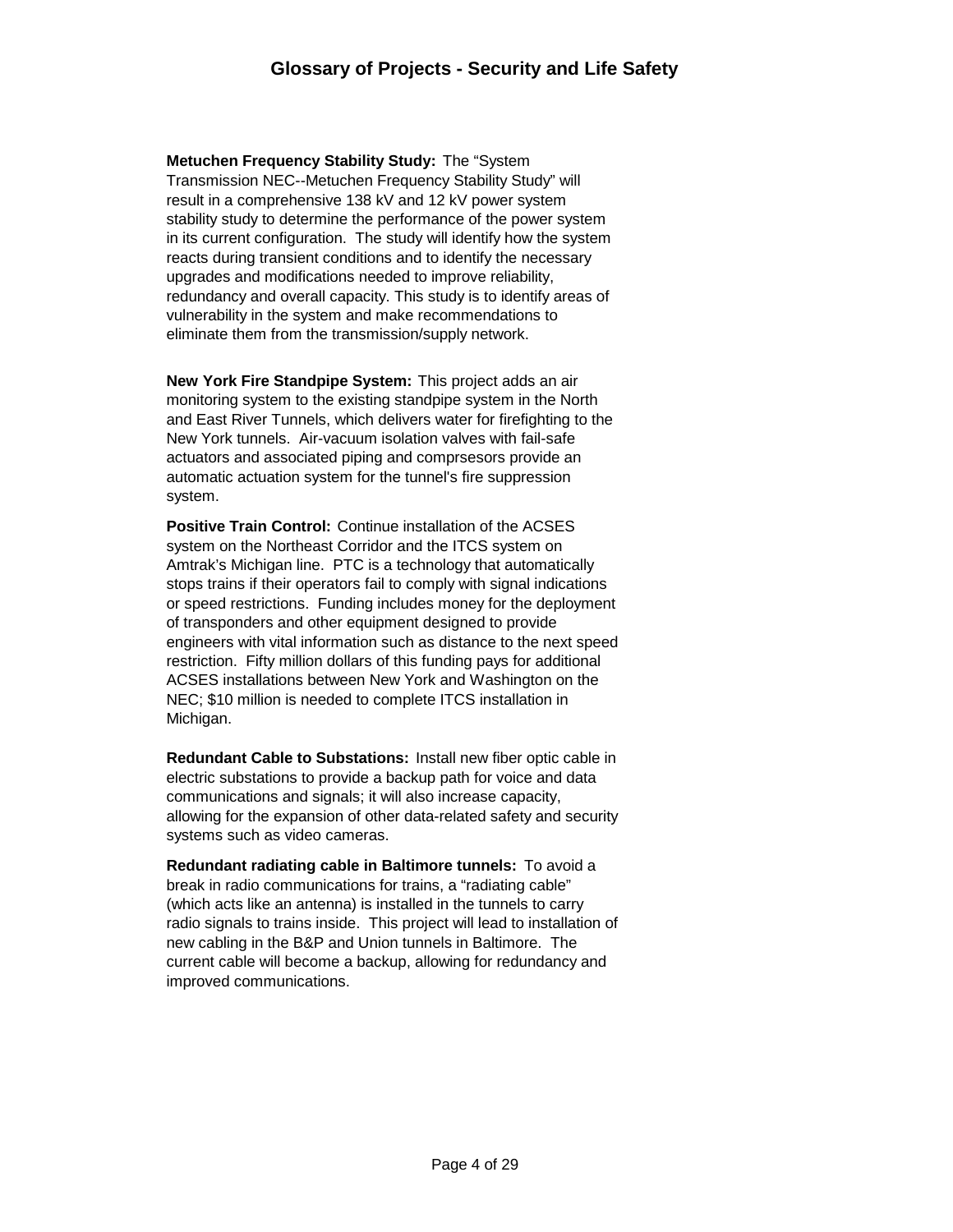**Metuchen Frequency Stability Study:** The "System Transmission NEC--Metuchen Frequency Stability Study" will result in a comprehensive 138 kV and 12 kV power system stability study to determine the performance of the power system in its current configuration. The study will identify how the system reacts during transient conditions and to identify the necessary upgrades and modifications needed to improve reliability, redundancy and overall capacity. This study is to identify areas of vulnerability in the system and make recommendations to eliminate them from the transmission/supply network.

**New York Fire Standpipe System:** This project adds an air monitoring system to the existing standpipe system in the North and East River Tunnels, which delivers water for firefighting to the New York tunnels. Air-vacuum isolation valves with fail-safe actuators and associated piping and comprsesors provide an automatic actuation system for the tunnel's fire suppression system.

**Positive Train Control:** Continue installation of the ACSES system on the Northeast Corridor and the ITCS system on Amtrak's Michigan line. PTC is a technology that automatically stops trains if their operators fail to comply with signal indications or speed restrictions. Funding includes money for the deployment of transponders and other equipment designed to provide engineers with vital information such as distance to the next speed restriction. Fifty million dollars of this funding pays for additional ACSES installations between New York and Washington on the NEC; \$10 million is needed to complete ITCS installation in Michigan.

**Redundant Cable to Substations:** Install new fiber optic cable in electric substations to provide a backup path for voice and data communications and signals; it will also increase capacity, allowing for the expansion of other data-related safety and security systems such as video cameras.

**Redundant radiating cable in Baltimore tunnels:** To avoid a break in radio communications for trains, a "radiating cable" (which acts like an antenna) is installed in the tunnels to carry radio signals to trains inside. This project will lead to installation of new cabling in the B&P and Union tunnels in Baltimore. The current cable will become a backup, allowing for redundancy and improved communications.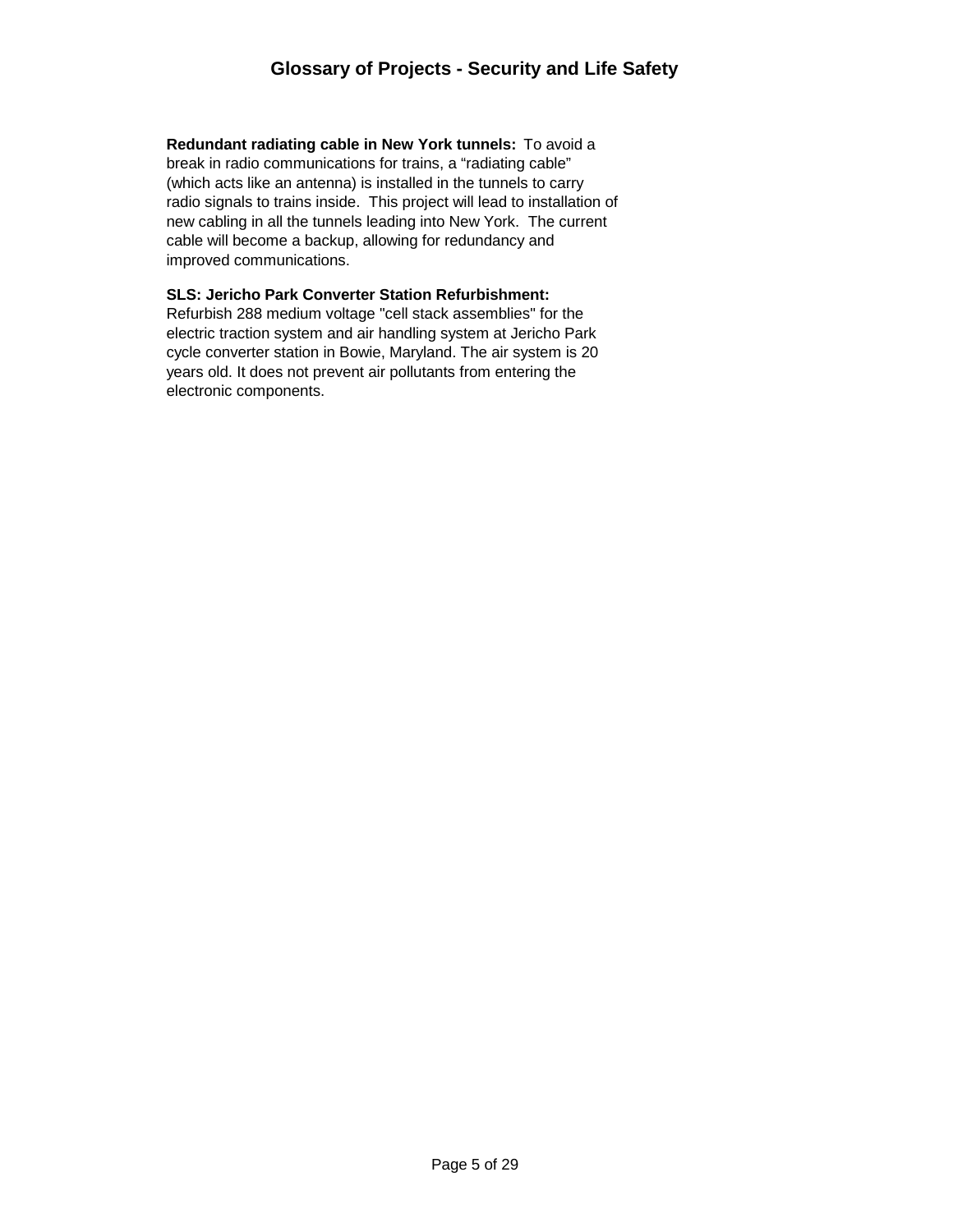**Redundant radiating cable in New York tunnels:** To avoid a break in radio communications for trains, a "radiating cable" (which acts like an antenna) is installed in the tunnels to carry radio signals to trains inside. This project will lead to installation of new cabling in all the tunnels leading into New York. The current cable will become a backup, allowing for redundancy and improved communications.

#### **SLS: Jericho Park Converter Station Refurbishment:**

Refurbish 288 medium voltage "cell stack assemblies" for the electric traction system and air handling system at Jericho Park cycle converter station in Bowie, Maryland. The air system is 20 years old. It does not prevent air pollutants from entering the electronic components.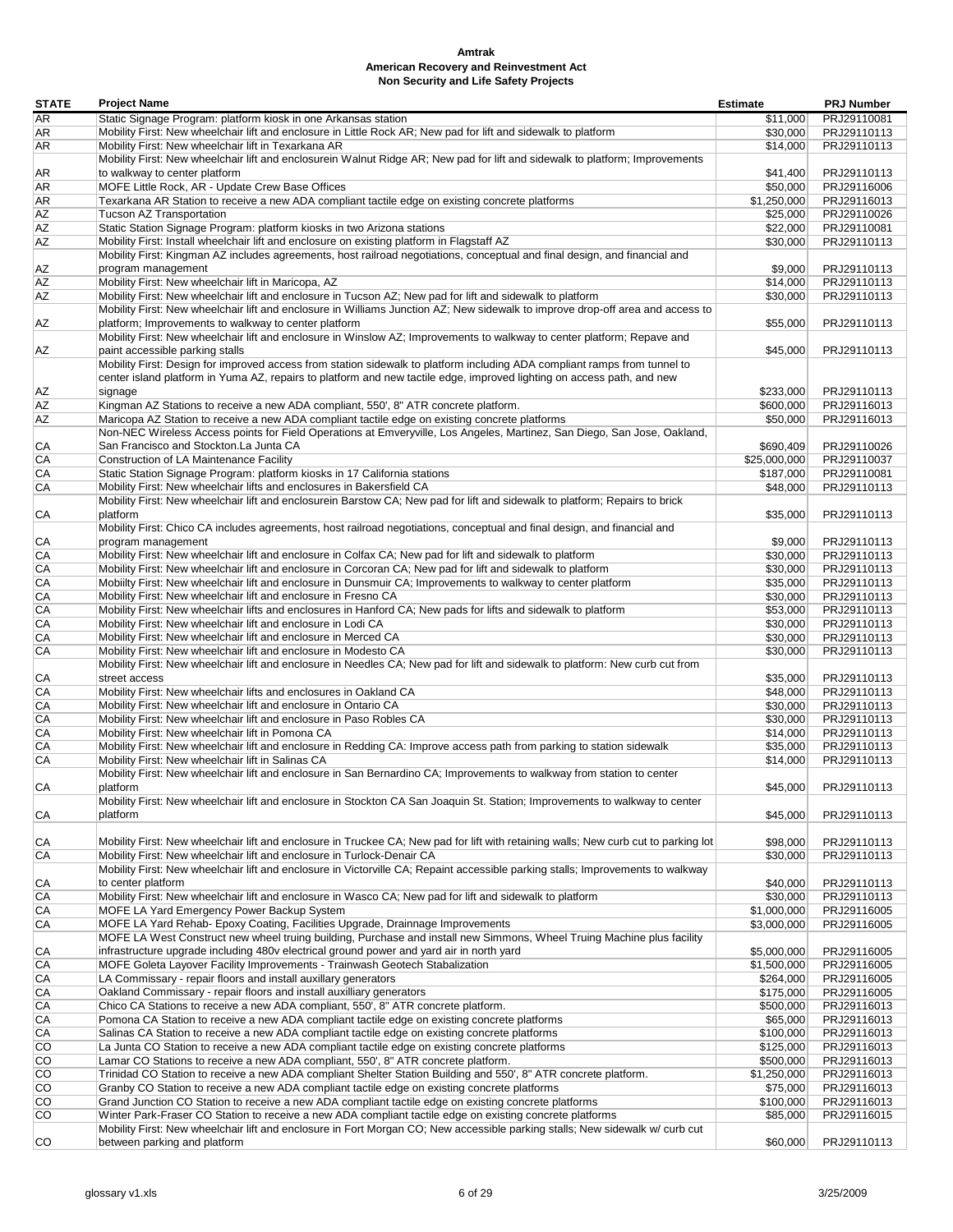| <b>STATE</b>          | <b>Project Name</b>                                                                                                                                                                 | <b>Estimate</b>         | <b>PRJ Number</b>          |
|-----------------------|-------------------------------------------------------------------------------------------------------------------------------------------------------------------------------------|-------------------------|----------------------------|
| <b>AR</b>             | Static Signage Program: platform kiosk in one Arkansas station                                                                                                                      | \$11,000                | PRJ29110081                |
| AR                    | Mobility First: New wheelchair lift and enclosure in Little Rock AR; New pad for lift and sidewalk to platform                                                                      | \$30,000                | PRJ29110113                |
| <b>AR</b>             | Mobility First: New wheelchair lift in Texarkana AR                                                                                                                                 | \$14,000                | PRJ29110113                |
|                       | Mobility First: New wheelchair lift and enclosurein Walnut Ridge AR; New pad for lift and sidewalk to platform; Improvements                                                        |                         |                            |
| AR                    | to walkway to center platform<br>MOFE Little Rock, AR - Update Crew Base Offices                                                                                                    | \$41.400                | PRJ29110113                |
| AR<br>AR              | Texarkana AR Station to receive a new ADA compliant tactile edge on existing concrete platforms                                                                                     | \$50,000<br>\$1,250,000 | PRJ29116006<br>PRJ29116013 |
| AZ                    | Tucson AZ Transportation                                                                                                                                                            | \$25,000                | PRJ29110026                |
| AZ                    | Static Station Signage Program: platform kiosks in two Arizona stations                                                                                                             | \$22,000                | PRJ29110081                |
| AZ                    | Mobility First: Install wheelchair lift and enclosure on existing platform in Flagstaff AZ                                                                                          | \$30,000                | PRJ29110113                |
|                       | Mobility First: Kingman AZ includes agreements, host railroad negotiations, conceptual and final design, and financial and                                                          |                         |                            |
| ΑZ                    | program management                                                                                                                                                                  | \$9,000                 | PRJ29110113                |
| AZ                    | Mobility First: New wheelchair lift in Maricopa, AZ                                                                                                                                 | \$14,000                | PRJ29110113                |
| <b>AZ</b>             | Mobility First: New wheelchair lift and enclosure in Tucson AZ; New pad for lift and sidewalk to platform                                                                           | \$30,000                | PRJ29110113                |
|                       | Mobility First: New wheelchair lift and enclosure in Williams Junction AZ; New sidewalk to improve drop-off area and access to                                                      |                         |                            |
| ΑZ                    | platform; Improvements to walkway to center platform                                                                                                                                | \$55,000                | PRJ29110113                |
|                       | Mobility First: New wheelchair lift and enclosure in Winslow AZ; Improvements to walkway to center platform; Repave and                                                             |                         |                            |
| ΑZ                    | paint accessible parking stalls                                                                                                                                                     | \$45,000                | PRJ29110113                |
|                       | Mobility First: Design for improved access from station sidewalk to platform including ADA compliant ramps from tunnel to                                                           |                         |                            |
|                       | center island platform in Yuma AZ, repairs to platform and new tactile edge, improved lighting on access path, and new                                                              |                         |                            |
| ΑZ<br>AZ              | signage<br>Kingman AZ Stations to receive a new ADA compliant, 550', 8" ATR concrete platform.                                                                                      | \$233,000<br>\$600,000  | PRJ29110113<br>PRJ29116013 |
| AZ                    | Maricopa AZ Station to receive a new ADA compliant tactile edge on existing concrete platforms                                                                                      | \$50,000                | PRJ29116013                |
|                       | Non-NEC Wireless Access points for Field Operations at Emveryville, Los Angeles, Martinez, San Diego, San Jose, Oakland,                                                            |                         |                            |
| СA                    | San Francisco and Stockton.La Junta CA                                                                                                                                              | \$690,409               | PRJ29110026                |
| CA                    | Construction of LA Maintenance Facility                                                                                                                                             | \$25,000,000            | PRJ29110037                |
| CA                    | Static Station Signage Program: platform kiosks in 17 California stations                                                                                                           | \$187,000               | PRJ29110081                |
| CA                    | Mobility First: New wheelchair lifts and enclosures in Bakersfield CA                                                                                                               | \$48,000                | PRJ29110113                |
|                       | Mobility First: New wheelchair lift and enclosurein Barstow CA; New pad for lift and sidewalk to platform; Repairs to brick                                                         |                         |                            |
| СA                    | platform                                                                                                                                                                            | \$35,000                | PRJ29110113                |
|                       | Mobility First: Chico CA includes agreements, host railroad negotiations, conceptual and final design, and financial and                                                            |                         |                            |
| СA                    | program management                                                                                                                                                                  | \$9,000                 | PRJ29110113                |
| CA                    | Mobility First: New wheelchair lift and enclosure in Colfax CA; New pad for lift and sidewalk to platform                                                                           | \$30,000                | PRJ29110113                |
| CA                    | Mobility First: New wheelchair lift and enclosure in Corcoran CA; New pad for lift and sidewalk to platform                                                                         | \$30,000                | PRJ29110113                |
| CA                    | Mobility First: New wheelchair lift and enclosure in Dunsmuir CA; Improvements to walkway to center platform                                                                        | \$35,000                | PRJ29110113                |
| CA                    | Mobility First: New wheelchair lift and enclosure in Fresno CA                                                                                                                      | \$30,000                | PRJ29110113                |
| CA<br>CA              | Mobility First: New wheelchair lifts and enclosures in Hanford CA; New pads for lifts and sidewalk to platform                                                                      | \$53,000                | PRJ29110113                |
| CA                    | Mobility First: New wheelchair lift and enclosure in Lodi CA<br>Mobility First: New wheelchair lift and enclosure in Merced CA                                                      | \$30,000<br>\$30,000    | PRJ29110113<br>PRJ29110113 |
| CA                    | Mobility First: New wheelchair lift and enclosure in Modesto CA                                                                                                                     | \$30,000                | PRJ29110113                |
|                       | Mobility First: New wheelchair lift and enclosure in Needles CA; New pad for lift and sidewalk to platform: New curb cut from                                                       |                         |                            |
| СA                    | street access                                                                                                                                                                       | \$35,000                | PRJ29110113                |
| CA                    | Mobility First: New wheelchair lifts and enclosures in Oakland CA                                                                                                                   | \$48,000                | PRJ29110113                |
| CA                    | Mobility First: New wheelchair lift and enclosure in Ontario CA                                                                                                                     | \$30,000                | PRJ29110113                |
| CA                    | Mobility First: New wheelchair lift and enclosure in Paso Robles CA                                                                                                                 | \$30,000                | PRJ29110113                |
| CA                    | Mobility First: New wheelchair lift in Pomona CA                                                                                                                                    | \$14,000                | PRJ29110113                |
| CA                    | Mobility First: New wheelchair lift and enclosure in Redding CA: Improve access path from parking to station sidewalk                                                               | \$35,000                | PRJ29110113                |
| CA                    | Mobility First: New wheelchair lift in Salinas CA                                                                                                                                   | \$14,000                | PRJ29110113                |
|                       | Mobility First: New wheelchair lift and enclosure in San Bernardino CA; Improvements to walkway from station to center                                                              |                         |                            |
| СA                    | platform                                                                                                                                                                            | \$45,000                | PRJ29110113                |
|                       | Mobility First: New wheelchair lift and enclosure in Stockton CA San Joaquin St. Station; Improvements to walkway to center                                                         |                         |                            |
| СA                    | platform                                                                                                                                                                            | \$45,000                | PRJ29110113                |
| СA                    | Mobility First: New wheelchair lift and enclosure in Truckee CA; New pad for lift with retaining walls; New curb cut to parking lot                                                 | \$98,000                | PRJ29110113                |
| CA                    | Mobility First: New wheelchair lift and enclosure in Turlock-Denair CA                                                                                                              | \$30,000                | PRJ29110113                |
|                       | Mobility First: New wheelchair lift and enclosure in Victorville CA; Repaint accessible parking stalls; Improvements to walkway                                                     |                         |                            |
| CA                    | to center platform                                                                                                                                                                  | \$40,000                | PRJ29110113                |
| CA                    | Mobility First: New wheelchair lift and enclosure in Wasco CA; New pad for lift and sidewalk to platform                                                                            | \$30,000                | PRJ29110113                |
| CA                    | MOFE LA Yard Emergency Power Backup System                                                                                                                                          | \$1,000,000             | PRJ29116005                |
| CA                    | MOFE LA Yard Rehab- Epoxy Coating, Facilities Upgrade, Drainnage Improvements                                                                                                       | \$3,000,000             | PRJ29116005                |
|                       | MOFE LA West Construct new wheel truing building, Purchase and install new Simmons, Wheel Truing Machine plus facility                                                              |                         |                            |
| СA                    | infrastructure upgrade including 480v electrical ground power and yard air in north yard                                                                                            | \$5,000,000             | PRJ29116005                |
| CA                    | MOFE Goleta Layover Facility Improvements - Trainwash Geotech Stabalization                                                                                                         | \$1,500,000             | PRJ29116005                |
| CA                    | LA Commissary - repair floors and install auxillary generators                                                                                                                      | \$264,000               | PRJ29116005                |
| CA                    | Oakland Commissary - repair floors and install auxilliary generators                                                                                                                | \$175,000               | PRJ29116005                |
| CA                    | Chico CA Stations to receive a new ADA compliant, 550', 8" ATR concrete platform.                                                                                                   | \$500,000               | PRJ29116013                |
| CA                    | Pomona CA Station to receive a new ADA compliant tactile edge on existing concrete platforms                                                                                        | \$65,000                | PRJ29116013                |
| CA                    | Salinas CA Station to receive a new ADA compliant tactile edge on existing concrete platforms                                                                                       | \$100,000               | PRJ29116013                |
| $\overline{CO}$<br>CO | La Junta CO Station to receive a new ADA compliant tactile edge on existing concrete platforms<br>Lamar CO Stations to receive a new ADA compliant, 550', 8" ATR concrete platform. | \$125,000<br>\$500,000  | PRJ29116013<br>PRJ29116013 |
| CO                    | Trinidad CO Station to receive a new ADA compliant Shelter Station Building and 550', 8" ATR concrete platform.                                                                     | \$1,250,000             | PRJ29116013                |
| CO                    | Granby CO Station to receive a new ADA compliant tactile edge on existing concrete platforms                                                                                        | \$75,000                | PRJ29116013                |
| $\overline{CO}$       | Grand Junction CO Station to receive a new ADA compliant tactile edge on existing concrete platforms                                                                                | \$100,000               | PRJ29116013                |
| $\overline{CO}$       | Winter Park-Fraser CO Station to receive a new ADA compliant tactile edge on existing concrete platforms                                                                            | \$85,000                | PRJ29116015                |
|                       | Mobility First: New wheelchair lift and enclosure in Fort Morgan CO; New accessible parking stalls; New sidewalk w/ curb cut                                                        |                         |                            |
| CO                    | between parking and platform                                                                                                                                                        | \$60,000                | PRJ29110113                |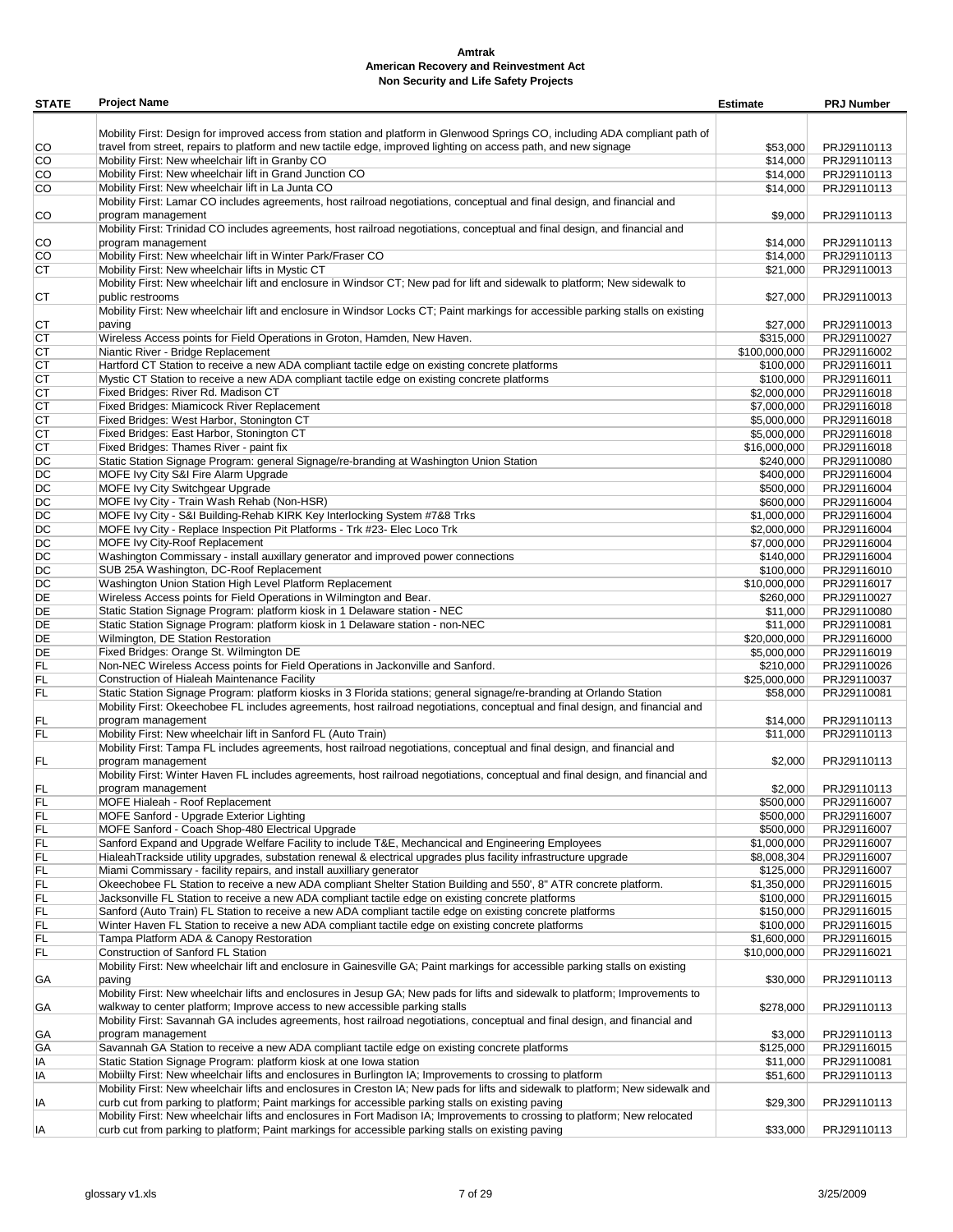| <b>STATE</b> | <b>Project Name</b>                                                                                                              | <b>Estimate</b> | <b>PRJ Number</b> |
|--------------|----------------------------------------------------------------------------------------------------------------------------------|-----------------|-------------------|
|              |                                                                                                                                  |                 |                   |
|              | Mobility First: Design for improved access from station and platform in Glenwood Springs CO, including ADA compliant path of     |                 |                   |
| CO           | travel from street, repairs to platform and new tactile edge, improved lighting on access path, and new signage                  | \$53,000        | PRJ29110113       |
| CO           | Mobility First: New wheelchair lift in Granby CO                                                                                 | \$14,000        | PRJ29110113       |
| CO           | Mobility First: New wheelchair lift in Grand Junction CO                                                                         | \$14,000        | PRJ29110113       |
| CO           | Mobility First: New wheelchair lift in La Junta CO                                                                               | \$14,000        | PRJ29110113       |
|              | Mobility First: Lamar CO includes agreements, host railroad negotiations, conceptual and final design, and financial and         |                 |                   |
| CO           | program management                                                                                                               | \$9,000         | PRJ29110113       |
|              | Mobility First: Trinidad CO includes agreements, host railroad negotiations, conceptual and final design, and financial and      |                 |                   |
| CO           | program management                                                                                                               | \$14,000        | PRJ29110113       |
| CO           | Mobility First: New wheelchair lift in Winter Park/Fraser CO                                                                     | \$14,000        | PRJ29110113       |
| СT           | Mobility First: New wheelchair lifts in Mystic CT                                                                                | \$21,000        | PRJ29110013       |
|              | Mobility First: New wheelchair lift and enclosure in Windsor CT; New pad for lift and sidewalk to platform; New sidewalk to      |                 |                   |
| СT           | public restrooms                                                                                                                 | \$27,000        | PRJ29110013       |
|              | Mobility First: New wheelchair lift and enclosure in Windsor Locks CT; Paint markings for accessible parking stalls on existing  |                 |                   |
| СT           | paving                                                                                                                           | \$27,000        | PRJ29110013       |
| СT           | Wireless Access points for Field Operations in Groton, Hamden, New Haven.                                                        | \$315,000       | PRJ29110027       |
| СT           | Niantic River - Bridge Replacement                                                                                               | \$100,000,000   | PRJ29116002       |
| СT           | Hartford CT Station to receive a new ADA compliant tactile edge on existing concrete platforms                                   |                 | PRJ29116011       |
|              |                                                                                                                                  | \$100,000       | PRJ29116011       |
| СT           | Mystic CT Station to receive a new ADA compliant tactile edge on existing concrete platforms                                     | \$100,000       |                   |
| СT           | Fixed Bridges: River Rd. Madison CT                                                                                              | \$2,000,000     | PRJ29116018       |
| СT           | Fixed Bridges: Miamicock River Replacement                                                                                       | \$7,000,000     | PRJ29116018       |
| СT           | Fixed Bridges: West Harbor, Stonington CT                                                                                        | \$5,000,000     | PRJ29116018       |
| СT           | Fixed Bridges: East Harbor, Stonington CT                                                                                        | \$5,000,000     | PRJ29116018       |
| СT           | Fixed Bridges: Thames River - paint fix                                                                                          | \$16,000,000    | PRJ29116018       |
| DC           | Static Station Signage Program: general Signage/re-branding at Washington Union Station                                          | \$240,000       | PRJ29110080       |
| DC           | MOFE Ivy City S&I Fire Alarm Upgrade                                                                                             | \$400,000       | PRJ29116004       |
| DC           | MOFE Ivy City Switchgear Upgrade                                                                                                 | \$500,000       | PRJ29116004       |
| DC           | MOFE Ivy City - Train Wash Rehab (Non-HSR)                                                                                       | \$600,000       | PRJ29116004       |
| DC           | MOFE Ivy City - S&I Building-Rehab KIRK Key Interlocking System #7&8 Trks                                                        | \$1,000,000     | PRJ29116004       |
| DC           | MOFE Ivy City - Replace Inspection Pit Platforms - Trk #23- Elec Loco Trk                                                        | \$2,000,000     | PRJ29116004       |
| DC           | MOFE Ivy City-Roof Replacement                                                                                                   | \$7,000,000     | PRJ29116004       |
| DC           | Washington Commissary - install auxillary generator and improved power connections                                               | \$140,000       | PRJ29116004       |
| DC           | SUB 25A Washington, DC-Roof Replacement                                                                                          | \$100,000       | PRJ29116010       |
| DC           | Washington Union Station High Level Platform Replacement                                                                         | \$10,000,000    | PRJ29116017       |
| DE           |                                                                                                                                  |                 |                   |
|              | Wireless Access points for Field Operations in Wilmington and Bear.                                                              | \$260,000       | PRJ29110027       |
| DE           | Static Station Signage Program: platform kiosk in 1 Delaware station - NEC                                                       | \$11,000        | PRJ29110080       |
| DE           | Static Station Signage Program: platform kiosk in 1 Delaware station - non-NEC                                                   | \$11,000        | PRJ29110081       |
| DE           | Wilmington, DE Station Restoration                                                                                               | \$20,000,000    | PRJ29116000       |
| DE           | Fixed Bridges: Orange St. Wilmington DE                                                                                          | \$5,000,000     | PRJ29116019       |
| FL           | Non-NEC Wireless Access points for Field Operations in Jackonville and Sanford.                                                  | \$210,000       | PRJ29110026       |
| FL           | Construction of Hialeah Maintenance Facility                                                                                     | \$25,000,000    | PRJ29110037       |
| FL           | Static Station Signage Program: platform kiosks in 3 Florida stations; general signage/re-branding at Orlando Station            | \$58,000        | PRJ29110081       |
|              | Mobility First: Okeechobee FL includes agreements, host railroad negotiations, conceptual and final design, and financial and    |                 |                   |
| FL           | program management                                                                                                               | \$14,000        | PRJ29110113       |
| FL           | Mobility First: New wheelchair lift in Sanford FL (Auto Train)                                                                   | \$11,000        | PRJ29110113       |
|              | Mobility First: Tampa FL includes agreements, host railroad negotiations, conceptual and final design, and financial and         |                 |                   |
| FL           | program management                                                                                                               | \$2,000         | PRJ29110113       |
|              | Mobility First: Winter Haven FL includes agreements, host railroad negotiations, conceptual and final design, and financial and  |                 |                   |
| FL           | program management                                                                                                               | \$2,000         | PRJ29110113       |
| FL           | MOFE Hialeah - Roof Replacement                                                                                                  | \$500,000       | PRJ29116007       |
| FL           | MOFE Sanford - Upgrade Exterior Lighting                                                                                         | \$500,000       | PRJ29116007       |
| FL           | MOFE Sanford - Coach Shop-480 Electrical Upgrade                                                                                 | \$500,000       | PRJ29116007       |
|              | Sanford Expand and Upgrade Welfare Facility to include T&E, Mechancical and Engineering Employees                                |                 |                   |
| FL           |                                                                                                                                  | \$1,000,000     | PRJ29116007       |
| FL           | HialeahTrackside utility upgrades, substation renewal & electrical upgrades plus facility infrastructure upgrade                 | \$8,008,304     | PRJ29116007       |
| FL           | Miami Commissary - facility repairs, and install auxilliary generator                                                            | \$125,000       | PRJ29116007       |
| FL           | Okeechobee FL Station to receive a new ADA compliant Shelter Station Building and 550', 8" ATR concrete platform.                | \$1,350,000     | PRJ29116015       |
| FL           | Jacksonville FL Station to receive a new ADA compliant tactile edge on existing concrete platforms                               | \$100,000       | PRJ29116015       |
| FL           | Sanford (Auto Train) FL Station to receive a new ADA compliant tactile edge on existing concrete platforms                       | \$150,000       | PRJ29116015       |
| FL           | Winter Haven FL Station to receive a new ADA compliant tactile edge on existing concrete platforms                               | \$100,000       | PRJ29116015       |
| FL           | Tampa Platform ADA & Canopy Restoration                                                                                          | \$1,600,000     | PRJ29116015       |
| FL           | Construction of Sanford FL Station                                                                                               | \$10,000,000    | PRJ29116021       |
|              | Mobility First: New wheelchair lift and enclosure in Gainesville GA; Paint markings for accessible parking stalls on existing    |                 |                   |
| GА           | paving                                                                                                                           | \$30,000        | PRJ29110113       |
|              | Mobility First: New wheelchair lifts and enclosures in Jesup GA; New pads for lifts and sidewalk to platform; Improvements to    |                 |                   |
| GА           | walkway to center platform; Improve access to new accessible parking stalls                                                      | \$278,000       | PRJ29110113       |
|              | Mobility First: Savannah GA includes agreements, host railroad negotiations, conceptual and final design, and financial and      |                 |                   |
| GА           | program management                                                                                                               | \$3,000         | PRJ29110113       |
| GА           | Savannah GA Station to receive a new ADA compliant tactile edge on existing concrete platforms                                   | \$125,000       | PRJ29116015       |
|              |                                                                                                                                  |                 |                   |
| ΙA           | Static Station Signage Program: platform kiosk at one Iowa station                                                               | \$11,000        | PRJ29110081       |
| ΙA           | Mobiilty First: New wheelchair lifts and enclosures in Burlington IA; Improvements to crossing to platform                       | \$51,600        | PRJ29110113       |
|              | Mobility First: New wheelchair lifts and enclosures in Creston IA; New pads for lifts and sidewalk to platform; New sidewalk and |                 |                   |
| ΙA           | curb cut from parking to platform; Paint markings for accessible parking stalls on existing paving                               | \$29,300        | PRJ29110113       |
|              | Mobility First: New wheelchair lifts and enclosures in Fort Madison IA; Improvements to crossing to platform; New relocated      |                 |                   |
| IA           | curb cut from parking to platform; Paint markings for accessible parking stalls on existing paving                               | \$33,000        | PRJ29110113       |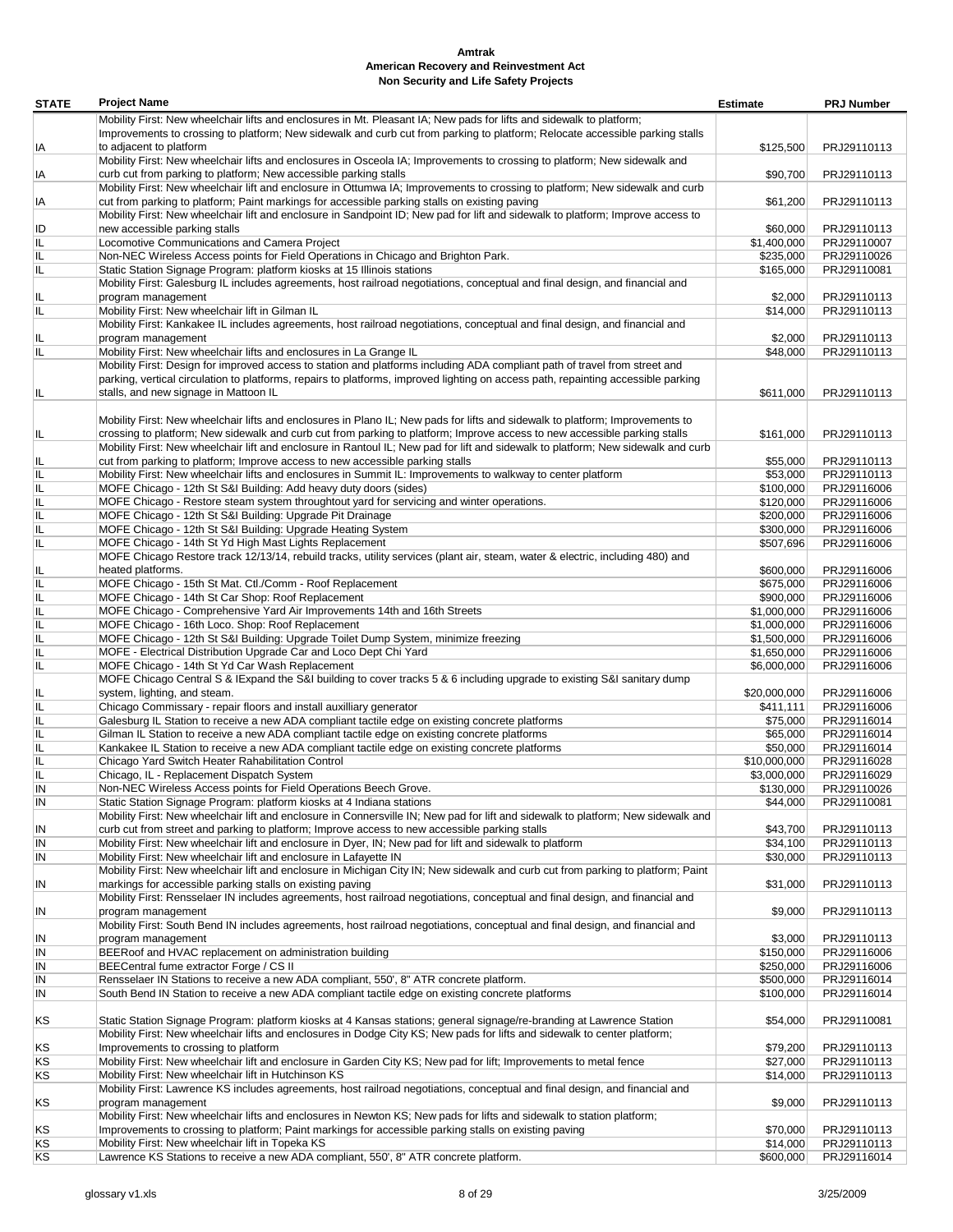| <b>STATE</b> | <b>Project Name</b>                                                                                                               | <b>Estimate</b> | <b>PRJ Number</b> |
|--------------|-----------------------------------------------------------------------------------------------------------------------------------|-----------------|-------------------|
|              | Mobility First: New wheelchair lifts and enclosures in Mt. Pleasant IA; New pads for lifts and sidewalk to platform;              |                 |                   |
|              | Improvements to crossing to platform; New sidewalk and curb cut from parking to platform; Relocate accessible parking stalls      |                 |                   |
| IA           | to adjacent to platform                                                                                                           | \$125,500       | PRJ29110113       |
|              | Mobility First: New wheelchair lifts and enclosures in Osceola IA; Improvements to crossing to platform; New sidewalk and         |                 |                   |
| IA           | curb cut from parking to platform; New accessible parking stalls                                                                  | \$90,700        | PRJ29110113       |
|              | Mobility First: New wheelchair lift and enclosure in Ottumwa IA; Improvements to crossing to platform; New sidewalk and curb      |                 |                   |
| IA           | cut from parking to platform; Paint markings for accessible parking stalls on existing paving                                     | \$61,200        | PRJ29110113       |
|              | Mobility First: New wheelchair lift and enclosure in Sandpoint ID; New pad for lift and sidewalk to platform; Improve access to   |                 |                   |
| ID           | new accessible parking stalls                                                                                                     | \$60,000        | PRJ29110113       |
| IL           | Locomotive Communications and Camera Project                                                                                      | \$1,400,000     | PRJ29110007       |
| IL           | Non-NEC Wireless Access points for Field Operations in Chicago and Brighton Park.                                                 | \$235,000       | PRJ29110026       |
| IL           | Static Station Signage Program: platform kiosks at 15 Illinois stations                                                           | \$165,000       | PRJ29110081       |
|              | Mobility First: Galesburg IL includes agreements, host railroad negotiations, conceptual and final design, and financial and      |                 |                   |
| IL           | program management                                                                                                                | \$2,000         | PRJ29110113       |
| IL           | Mobility First: New wheelchair lift in Gilman IL                                                                                  | \$14,000        | PRJ29110113       |
|              | Mobility First: Kankakee IL includes agreements, host railroad negotiations, conceptual and final design, and financial and       |                 |                   |
|              | program management                                                                                                                | \$2,000         | PRJ29110113       |
| IL<br>IL     | Mobility First: New wheelchair lifts and enclosures in La Grange IL                                                               |                 | PRJ29110113       |
|              |                                                                                                                                   | \$48,000        |                   |
|              | Mobility First: Design for improved access to station and platforms including ADA compliant path of travel from street and        |                 |                   |
|              | parking, vertical circulation to platforms, repairs to platforms, improved lighting on access path, repainting accessible parking |                 |                   |
| IL           | stalls, and new signage in Mattoon IL                                                                                             | \$611,000       | PRJ29110113       |
|              |                                                                                                                                   |                 |                   |
|              | Mobility First: New wheelchair lifts and enclosures in Plano IL; New pads for lifts and sidewalk to platform; Improvements to     |                 |                   |
| IL           | crossing to platform; New sidewalk and curb cut from parking to platform; Improve access to new accessible parking stalls         | \$161,000       | PRJ29110113       |
|              | Mobility First: New wheelchair lift and enclosure in Rantoul IL; New pad for lift and sidewalk to platform; New sidewalk and curb |                 |                   |
| IL           | cut from parking to platform; Improve access to new accessible parking stalls                                                     | \$55,000        | PRJ29110113       |
| IL           | Mobility First: New wheelchair lifts and enclosures in Summit IL: Improvements to walkway to center platform                      | \$53,000        | PRJ29110113       |
| IL           | MOFE Chicago - 12th St S&I Building: Add heavy duty doors (sides)                                                                 | \$100,000       | PRJ29116006       |
| IL           | MOFE Chicago - Restore steam system throughtout yard for servicing and winter operations.                                         | \$120,000       | PRJ29116006       |
| IL           | MOFE Chicago - 12th St S&I Building: Upgrade Pit Drainage                                                                         | \$200,000       | PRJ29116006       |
| IL           | MOFE Chicago - 12th St S&I Building: Upgrade Heating System                                                                       | \$300,000       | PRJ29116006       |
| IL           | MOFE Chicago - 14th St Yd High Mast Lights Replacement                                                                            | \$507,696       | PRJ29116006       |
|              | MOFE Chicago Restore track 12/13/14, rebuild tracks, utility services (plant air, steam, water & electric, including 480) and     |                 |                   |
| IL           | heated platforms.                                                                                                                 | \$600,000       | PRJ29116006       |
| IL           | MOFE Chicago - 15th St Mat. Ctl./Comm - Roof Replacement                                                                          | \$675,000       | PRJ29116006       |
| IL           | MOFE Chicago - 14th St Car Shop: Roof Replacement                                                                                 | \$900,000       | PRJ29116006       |
| IL           | MOFE Chicago - Comprehensive Yard Air Improvements 14th and 16th Streets                                                          | \$1,000,000     | PRJ29116006       |
| IL           | MOFE Chicago - 16th Loco. Shop: Roof Replacement                                                                                  | \$1,000,000     | PRJ29116006       |
| IL           | MOFE Chicago - 12th St S&I Building: Upgrade Toilet Dump System, minimize freezing                                                | \$1,500,000     | PRJ29116006       |
| IL           | MOFE - Electrical Distribution Upgrade Car and Loco Dept Chi Yard                                                                 | \$1,650,000     | PRJ29116006       |
| IL           | MOFE Chicago - 14th St Yd Car Wash Replacement                                                                                    | \$6,000,000     | PRJ29116006       |
|              | MOFE Chicago Central S & IExpand the S&I building to cover tracks 5 & 6 including upgrade to existing S&I sanitary dump           |                 |                   |
| IL           | system, lighting, and steam.                                                                                                      | \$20,000,000    | PRJ29116006       |
| IL           | Chicago Commissary - repair floors and install auxilliary generator                                                               | \$411,111       | PRJ29116006       |
| IL           | Galesburg IL Station to receive a new ADA compliant tactile edge on existing concrete platforms                                   | \$75,000        | PRJ29116014       |
| IL           | Gilman IL Station to receive a new ADA compliant tactile edge on existing concrete platforms                                      | \$65,000        | PRJ29116014       |
|              |                                                                                                                                   |                 |                   |
| IL<br>IL     | Kankakee IL Station to receive a new ADA compliant tactile edge on existing concrete platforms                                    | \$50,000        | PRJ29116014       |
|              | Chicago Yard Switch Heater Rahabilitation Control                                                                                 | \$10,000,000    | PRJ29116028       |
| IL           | Chicago, IL - Replacement Dispatch System                                                                                         | \$3,000,000     | PRJ29116029       |
| IN           | Non-NEC Wireless Access points for Field Operations Beech Grove.                                                                  | \$130,000       | PRJ29110026       |
| IN           | Static Station Signage Program: platform kiosks at 4 Indiana stations                                                             | \$44,000        | PRJ29110081       |
|              | Mobility First: New wheelchair lift and enclosure in Connersville IN; New pad for lift and sidewalk to platform; New sidewalk and |                 |                   |
| IN           | curb cut from street and parking to platform; Improve access to new accessible parking stalls                                     | \$43,700        | PRJ29110113       |
| IN           | Mobility First: New wheelchair lift and enclosure in Dyer, IN; New pad for lift and sidewalk to platform                          | \$34,100        | PRJ29110113       |
| IN           | Mobility First: New wheelchair lift and enclosure in Lafayette IN                                                                 | \$30,000        | PRJ29110113       |
|              | Mobility First: New wheelchair lift and enclosure in Michigan City IN; New sidewalk and curb cut from parking to platform; Paint  |                 |                   |
| IN           | markings for accessible parking stalls on existing paving                                                                         | \$31,000        | PRJ29110113       |
|              | Mobility First: Rensselaer IN includes agreements, host railroad negotiations, conceptual and final design, and financial and     |                 |                   |
| IN           | program management                                                                                                                | \$9,000         | PRJ29110113       |
|              | Mobility First: South Bend IN includes agreements, host railroad negotiations, conceptual and final design, and financial and     |                 |                   |
| IN           | program management                                                                                                                | \$3,000         | PRJ29110113       |
| IN           | BEERoof and HVAC replacement on administration building                                                                           | \$150,000       | PRJ29116006       |
| IN           | BEECentral fume extractor Forge / CS II                                                                                           | \$250,000       | PRJ29116006       |
| IN           | Rensselaer IN Stations to receive a new ADA compliant, 550', 8" ATR concrete platform.                                            | \$500,000       | PRJ29116014       |
| IN           | South Bend IN Station to receive a new ADA compliant tactile edge on existing concrete platforms                                  | \$100,000       | PRJ29116014       |
|              |                                                                                                                                   |                 |                   |
| ΚS           | Static Station Signage Program: platform kiosks at 4 Kansas stations; general signage/re-branding at Lawrence Station             | \$54,000        | PRJ29110081       |
|              | Mobility First: New wheelchair lifts and enclosures in Dodge City KS; New pads for lifts and sidewalk to center platform;         |                 |                   |
| ΚS           | Improvements to crossing to platform                                                                                              | \$79,200        | PRJ29110113       |
| ΚS           | Mobility First: New wheelchair lift and enclosure in Garden City KS; New pad for lift; Improvements to metal fence                | \$27,000        | PRJ29110113       |
| ΚS           | Mobility First: New wheelchair lift in Hutchinson KS                                                                              | \$14,000        | PRJ29110113       |
|              | Mobility First: Lawrence KS includes agreements, host railroad negotiations, conceptual and final design, and financial and       |                 |                   |
|              |                                                                                                                                   |                 |                   |
| ΚS           | program management                                                                                                                | \$9,000         | PRJ29110113       |
|              | Mobility First: New wheelchair lifts and enclosures in Newton KS; New pads for lifts and sidewalk to station platform;            |                 |                   |
| ΚS           | Improvements to crossing to platform; Paint markings for accessible parking stalls on existing paving                             | \$70,000        | PRJ29110113       |
| ΚS           | Mobility First: New wheelchair lift in Topeka KS                                                                                  | \$14,000        | PRJ29110113       |
| KS           | Lawrence KS Stations to receive a new ADA compliant, 550', 8" ATR concrete platform.                                              | \$600,000       | PRJ29116014       |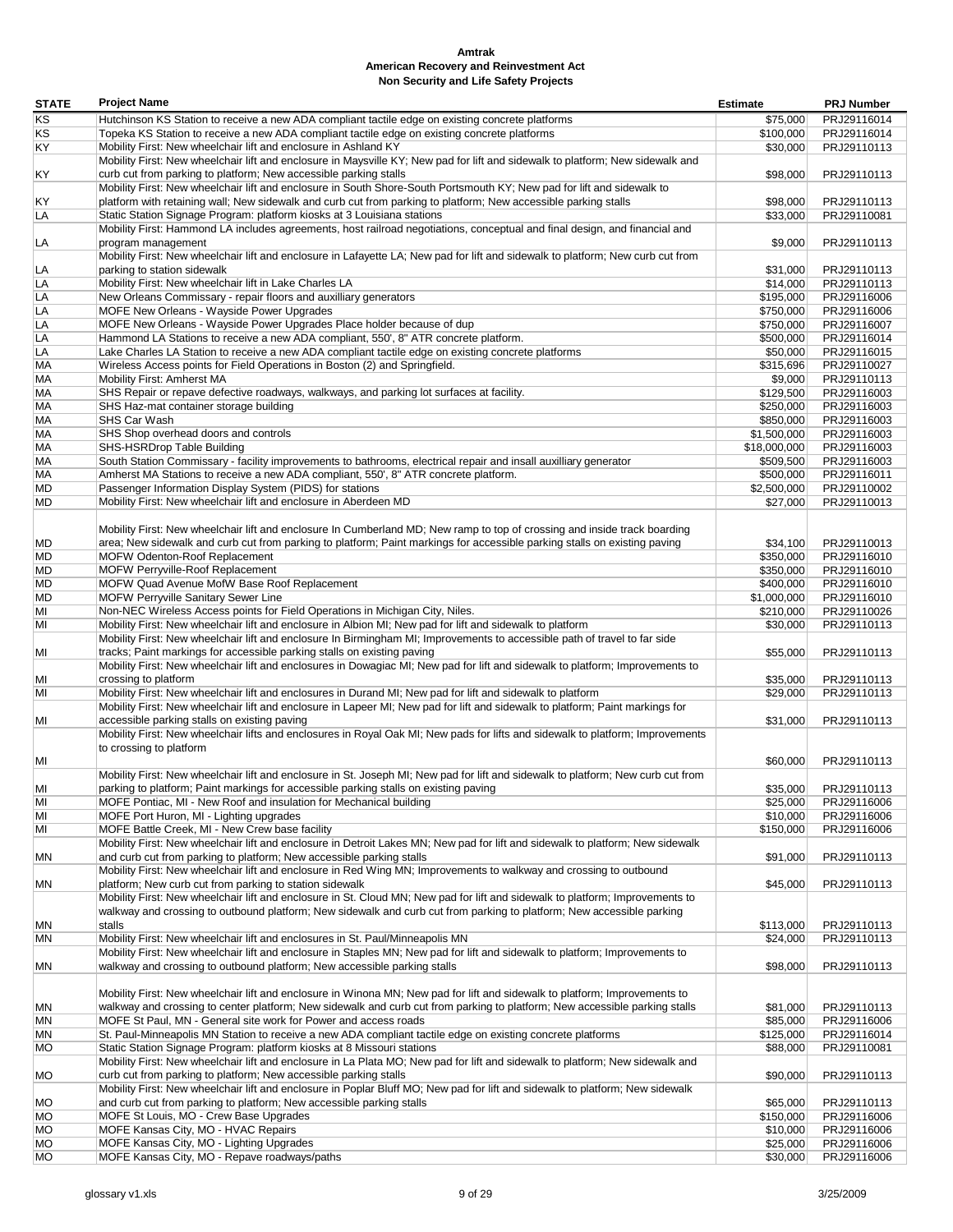| <b>STATE</b> | <b>Project Name</b>                                                                                                              | <b>Estimate</b> | <b>PRJ Number</b> |
|--------------|----------------------------------------------------------------------------------------------------------------------------------|-----------------|-------------------|
| KS           | Hutchinson KS Station to receive a new ADA compliant tactile edge on existing concrete platforms                                 | \$75,000        | PRJ29116014       |
| ΚS           | Topeka KS Station to receive a new ADA compliant tactile edge on existing concrete platforms                                     | \$100,000       | PRJ29116014       |
| KY           | Mobility First: New wheelchair lift and enclosure in Ashland KY                                                                  | \$30,000        | PRJ29110113       |
|              | Mobility First: New wheelchair lift and enclosure in Maysville KY; New pad for lift and sidewalk to platform; New sidewalk and   |                 |                   |
| ΚY           | curb cut from parking to platform; New accessible parking stalls                                                                 | \$98,000        | PRJ29110113       |
|              | Mobility First: New wheelchair lift and enclosure in South Shore-South Portsmouth KY; New pad for lift and sidewalk to           |                 |                   |
| ΚY           | platform with retaining wall; New sidewalk and curb cut from parking to platform; New accessible parking stalls                  | \$98,000        | PRJ29110113       |
| LA           | Static Station Signage Program: platform kiosks at 3 Louisiana stations                                                          | \$33,000        | PRJ29110081       |
|              | Mobility First: Hammond LA includes agreements, host railroad negotiations, conceptual and final design, and financial and       |                 |                   |
| LA           | program management                                                                                                               | \$9,000         | PRJ29110113       |
|              | Mobility First: New wheelchair lift and enclosure in Lafayette LA; New pad for lift and sidewalk to platform; New curb cut from  |                 |                   |
| LA           | parking to station sidewalk                                                                                                      | \$31,000        | PRJ29110113       |
| LA           | Mobility First: New wheelchair lift in Lake Charles LA                                                                           | \$14,000        | PRJ29110113       |
| LA           | New Orleans Commissary - repair floors and auxilliary generators                                                                 | \$195,000       | PRJ29116006       |
| LA           | MOFE New Orleans - Wayside Power Upgrades                                                                                        | \$750,000       | PRJ29116006       |
| LA           | MOFE New Orleans - Wayside Power Upgrades Place holder because of dup                                                            | \$750,000       | PRJ29116007       |
| LA           | Hammond LA Stations to receive a new ADA compliant, 550', 8" ATR concrete platform.                                              | \$500,000       | PRJ29116014       |
| LA           | Lake Charles LA Station to receive a new ADA compliant tactile edge on existing concrete platforms                               | \$50,000        | PRJ29116015       |
| МA           | Wireless Access points for Field Operations in Boston (2) and Springfield.                                                       | \$315,696       | PRJ29110027       |
| МA           | Mobility First: Amherst MA                                                                                                       | \$9,000         | PRJ29110113       |
| МA           | SHS Repair or repave defective roadways, walkways, and parking lot surfaces at facility.                                         | \$129,500       | PRJ29116003       |
| МA           | SHS Haz-mat container storage building                                                                                           | \$250,000       | PRJ29116003       |
| МA           | <b>SHS Car Wash</b>                                                                                                              | \$850,000       | PRJ29116003       |
| МA           | SHS Shop overhead doors and controls                                                                                             | \$1,500,000     | PRJ29116003       |
| МA           | SHS-HSRDrop Table Building                                                                                                       | \$18,000,000    | PRJ29116003       |
| МA           | South Station Commissary - facility improvements to bathrooms, electrical repair and insall auxilliary generator                 | \$509,500       | PRJ29116003       |
| МA           | Amherst MA Stations to receive a new ADA compliant, 550', 8" ATR concrete platform.                                              | \$500,000       | PRJ29116011       |
| MD           | Passenger Information Display System (PIDS) for stations                                                                         | \$2,500,000     | PRJ29110002       |
| MD           | Mobility First: New wheelchair lift and enclosure in Aberdeen MD                                                                 | \$27,000        | PRJ29110013       |
|              |                                                                                                                                  |                 |                   |
|              | Mobility First: New wheelchair lift and enclosure In Cumberland MD; New ramp to top of crossing and inside track boarding        |                 |                   |
| MD           | area; New sidewalk and curb cut from parking to platform; Paint markings for accessible parking stalls on existing paving        | \$34,100        | PRJ29110013       |
| MD           | MOFW Odenton-Roof Replacement                                                                                                    | \$350,000       | PRJ29116010       |
| MD           | MOFW Perryville-Roof Replacement                                                                                                 | \$350,000       | PRJ29116010       |
| MD           | MOFW Quad Avenue MofW Base Roof Replacement                                                                                      | \$400,000       | PRJ29116010       |
| MD           | MOFW Perryville Sanitary Sewer Line                                                                                              | \$1,000,000     | PRJ29116010       |
| MI           | Non-NEC Wireless Access points for Field Operations in Michigan City, Niles.                                                     | \$210,000       | PRJ29110026       |
| MI           | Mobility First: New wheelchair lift and enclosure in Albion MI; New pad for lift and sidewalk to platform                        | \$30,000        | PRJ29110113       |
|              | Mobility First: New wheelchair lift and enclosure In Birmingham MI; Improvements to accessible path of travel to far side        |                 |                   |
| MI           | tracks; Paint markings for accessible parking stalls on existing paving                                                          | \$55,000        | PRJ29110113       |
|              | Mobility First: New wheelchair lift and enclosures in Dowagiac MI; New pad for lift and sidewalk to platform; Improvements to    |                 |                   |
|              | crossing to platform                                                                                                             |                 |                   |
| ΜI<br>MI     |                                                                                                                                  | \$35,000        | PRJ29110113       |
|              | Mobility First: New wheelchair lift and enclosures in Durand MI; New pad for lift and sidewalk to platform                       | \$29,000        | PRJ29110113       |
|              | Mobility First: New wheelchair lift and enclosure in Lapeer MI; New pad for lift and sidewalk to platform; Paint markings for    |                 |                   |
| MI           | accessible parking stalls on existing paving                                                                                     | \$31,000        | PRJ29110113       |
|              | Mobility First: New wheelchair lifts and enclosures in Royal Oak MI; New pads for lifts and sidewalk to platform; Improvements   |                 |                   |
|              | to crossing to platform                                                                                                          |                 |                   |
| ΜI           |                                                                                                                                  | \$60,000        | PRJ29110113       |
|              | Mobility First: New wheelchair lift and enclosure in St. Joseph MI; New pad for lift and sidewalk to platform; New curb cut from |                 |                   |
| MI           | parking to platform; Paint markings for accessible parking stalls on existing paving                                             | \$35,000        | PRJ29110113       |
| MI           | MOFE Pontiac, MI - New Roof and insulation for Mechanical building                                                               | \$25,000        | PRJ29116006       |
| MI           | MOFE Port Huron, MI - Lighting upgrades                                                                                          | \$10,000        | PRJ29116006       |
| MI           | MOFE Battle Creek, MI - New Crew base facility                                                                                   | \$150,000       | PRJ29116006       |
|              | Mobility First: New wheelchair lift and enclosure in Detroit Lakes MN; New pad for lift and sidewalk to platform; New sidewalk   |                 |                   |
| ΜN           | and curb cut from parking to platform; New accessible parking stalls                                                             | \$91,000        | PRJ29110113       |
|              | Mobility First: New wheelchair lift and enclosure in Red Wing MN; Improvements to walkway and crossing to outbound               |                 |                   |
| ΜN           | platform; New curb cut from parking to station sidewalk                                                                          | \$45,000        | PRJ29110113       |
|              | Mobility First: New wheelchair lift and enclosure in St. Cloud MN; New pad for lift and sidewalk to platform; Improvements to    |                 |                   |
|              | walkway and crossing to outbound platform; New sidewalk and curb cut from parking to platform; New accessible parking            |                 |                   |
| ΜN           | stalls                                                                                                                           | \$113,000       | PRJ29110113       |
| ΜN           | Mobility First: New wheelchair lift and enclosures in St. Paul/Minneapolis MN                                                    | \$24,000        | PRJ29110113       |
|              | Mobility First: New wheelchair lift and enclosure in Staples MN; New pad for lift and sidewalk to platform; Improvements to      |                 |                   |
| ΜN           | walkway and crossing to outbound platform; New accessible parking stalls                                                         | \$98,000        | PRJ29110113       |
|              |                                                                                                                                  |                 |                   |
|              | Mobility First: New wheelchair lift and enclosure in Winona MN; New pad for lift and sidewalk to platform; Improvements to       |                 |                   |
| ΜN           | walkway and crossing to center platform; New sidewalk and curb cut from parking to platform; New accessible parking stalls       | \$81,000        | PRJ29110113       |
| MN           | MOFE St Paul, MN - General site work for Power and access roads                                                                  | \$85,000        | PRJ29116006       |
| ΜN           | St. Paul-Minneapolis MN Station to receive a new ADA compliant tactile edge on existing concrete platforms                       | \$125,000       | PRJ29116014       |
| МO           | Static Station Signage Program: platform kiosks at 8 Missouri stations                                                           | \$88,000        | PRJ29110081       |
|              | Mobility First: New wheelchair lift and enclosure in La Plata MO; New pad for lift and sidewalk to platform; New sidewalk and    |                 |                   |
| МO           | curb cut from parking to platform; New accessible parking stalls                                                                 | \$90,000        | PRJ29110113       |
|              | Mobility First: New wheelchair lift and enclosure in Poplar Bluff MO; New pad for lift and sidewalk to platform; New sidewalk    |                 |                   |
|              |                                                                                                                                  |                 |                   |
| МO           | and curb cut from parking to platform; New accessible parking stalls                                                             | \$65,000        | PRJ29110113       |
| МO           | MOFE St Louis, MO - Crew Base Upgrades                                                                                           | \$150,000       | PRJ29116006       |
| МO           | MOFE Kansas City, MO - HVAC Repairs                                                                                              | \$10,000        | PRJ29116006       |
| МO           | MOFE Kansas City, MO - Lighting Upgrades                                                                                         | \$25,000        | PRJ29116006       |
| МO           | MOFE Kansas City, MO - Repave roadways/paths                                                                                     | \$30,000        | PRJ29116006       |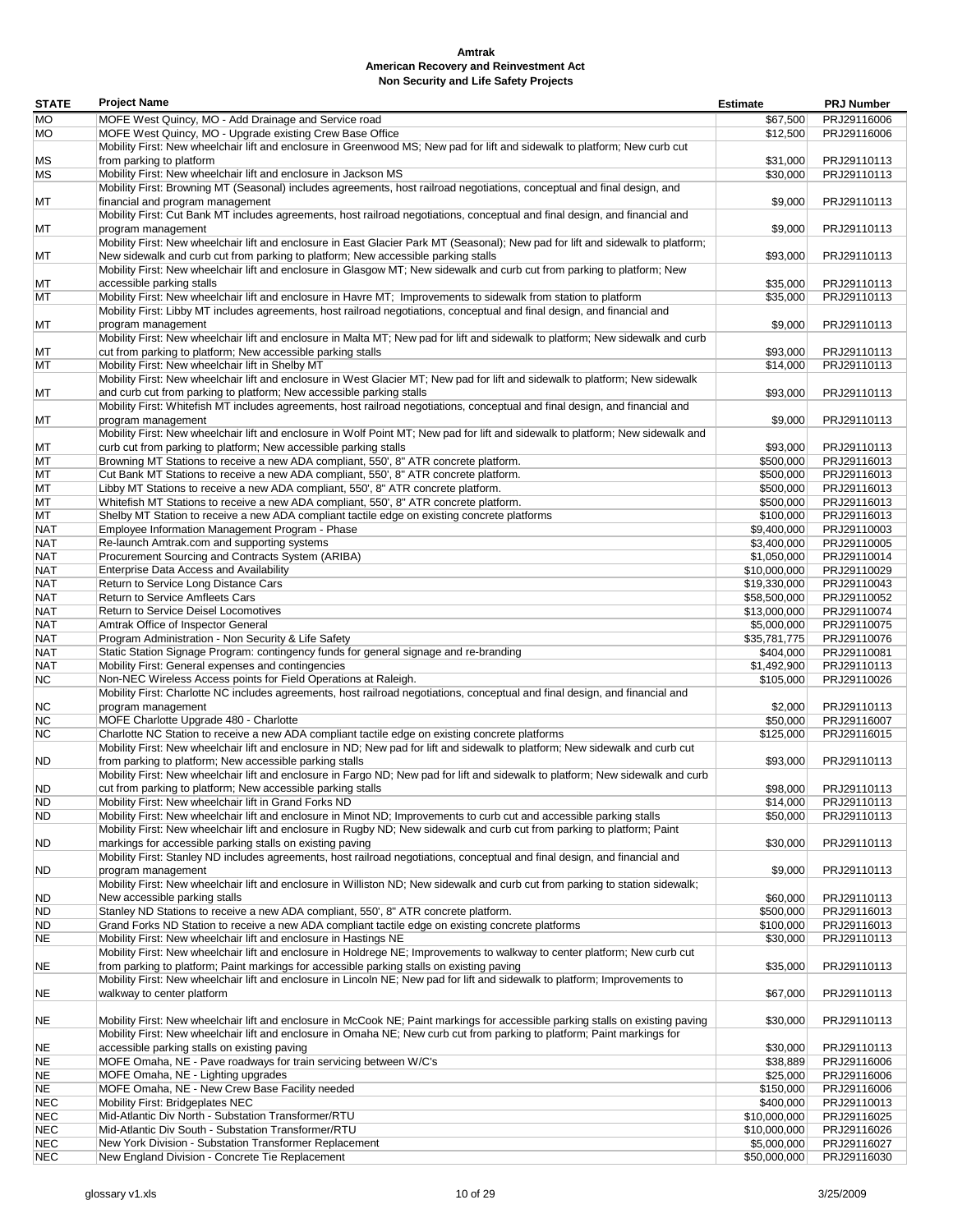| <b>STATE</b>             | <b>Project Name</b>                                                                                                                                                                                                      | <b>Estimate</b>             | <b>PRJ Number</b>          |
|--------------------------|--------------------------------------------------------------------------------------------------------------------------------------------------------------------------------------------------------------------------|-----------------------------|----------------------------|
| МO                       | MOFE West Quincy, MO - Add Drainage and Service road                                                                                                                                                                     | \$67,500                    | PRJ29116006                |
| <b>MO</b>                | MOFE West Quincy, MO - Upgrade existing Crew Base Office                                                                                                                                                                 | \$12,500                    | PRJ29116006                |
|                          | Mobility First: New wheelchair lift and enclosure in Greenwood MS; New pad for lift and sidewalk to platform; New curb cut                                                                                               |                             |                            |
| МS                       | from parking to platform                                                                                                                                                                                                 | \$31,000                    | PRJ29110113                |
| MS                       | Mobility First: New wheelchair lift and enclosure in Jackson MS                                                                                                                                                          | \$30,000                    | PRJ29110113                |
|                          | Mobility First: Browning MT (Seasonal) includes agreements, host railroad negotiations, conceptual and final design, and                                                                                                 |                             |                            |
| МT                       | financial and program management<br>Mobility First: Cut Bank MT includes agreements, host railroad negotiations, conceptual and final design, and financial and                                                          | \$9,000                     | PRJ29110113                |
| МT                       | program management                                                                                                                                                                                                       | \$9,000                     | PRJ29110113                |
|                          | Mobility First: New wheelchair lift and enclosure in East Glacier Park MT (Seasonal); New pad for lift and sidewalk to platform;                                                                                         |                             |                            |
| МT                       | New sidewalk and curb cut from parking to platform; New accessible parking stalls                                                                                                                                        | \$93,000                    | PRJ29110113                |
|                          | Mobility First: New wheelchair lift and enclosure in Glasgow MT; New sidewalk and curb cut from parking to platform; New                                                                                                 |                             |                            |
| МT                       | accessible parking stalls                                                                                                                                                                                                | \$35.000                    | PRJ29110113                |
| МT                       | Mobility First: New wheelchair lift and enclosure in Havre MT; Improvements to sidewalk from station to platform                                                                                                         | \$35,000                    | PRJ29110113                |
| МT                       | Mobility First: Libby MT includes agreements, host railroad negotiations, conceptual and final design, and financial and<br>program management                                                                           | \$9,000                     | PRJ29110113                |
|                          | Mobility First: New wheelchair lift and enclosure in Malta MT; New pad for lift and sidewalk to platform; New sidewalk and curb                                                                                          |                             |                            |
| МT                       | cut from parking to platform; New accessible parking stalls                                                                                                                                                              | \$93,000                    | PRJ29110113                |
| МT                       | Mobility First: New wheelchair lift in Shelby MT                                                                                                                                                                         | \$14,000                    | PRJ29110113                |
|                          | Mobility First: New wheelchair lift and enclosure in West Glacier MT; New pad for lift and sidewalk to platform; New sidewalk                                                                                            |                             |                            |
| МT                       | and curb cut from parking to platform; New accessible parking stalls                                                                                                                                                     | \$93,000                    | PRJ29110113                |
|                          | Mobility First: Whitefish MT includes agreements, host railroad negotiations, conceptual and final design, and financial and                                                                                             |                             |                            |
| МT                       | program management<br>Mobility First: New wheelchair lift and enclosure in Wolf Point MT; New pad for lift and sidewalk to platform; New sidewalk and                                                                    | \$9,000                     | PRJ29110113                |
| МT                       | curb cut from parking to platform; New accessible parking stalls                                                                                                                                                         | \$93,000                    | PRJ29110113                |
| МT                       | Browning MT Stations to receive a new ADA compliant, 550', 8" ATR concrete platform.                                                                                                                                     | \$500,000                   | PRJ29116013                |
| МT                       | Cut Bank MT Stations to receive a new ADA compliant, 550', 8" ATR concrete platform.                                                                                                                                     | \$500,000                   | PRJ29116013                |
| МT                       | Libby MT Stations to receive a new ADA compliant, 550', 8" ATR concrete platform.                                                                                                                                        | \$500,000                   | PRJ29116013                |
| МT                       | Whitefish MT Stations to receive a new ADA compliant, 550', 8" ATR concrete platform.                                                                                                                                    | \$500,000                   | PRJ29116013                |
| МT                       | Shelby MT Station to receive a new ADA compliant tactile edge on existing concrete platforms                                                                                                                             | \$100,000                   | PRJ29116013                |
| <b>NAT</b>               | Employee Information Management Program - Phase                                                                                                                                                                          | \$9,400,000                 | PRJ29110003                |
| <b>NAT</b><br><b>NAT</b> | Re-launch Amtrak.com and supporting systems<br>Procurement Sourcing and Contracts System (ARIBA)                                                                                                                         | \$3,400,000                 | PRJ29110005<br>PRJ29110014 |
| <b>NAT</b>               | Enterprise Data Access and Availability                                                                                                                                                                                  | \$1,050,000<br>\$10,000,000 | PRJ29110029                |
| <b>NAT</b>               | Return to Service Long Distance Cars                                                                                                                                                                                     | \$19,330,000                | PRJ29110043                |
| <b>NAT</b>               | Return to Service Amfleets Cars                                                                                                                                                                                          | \$58,500,000                | PRJ29110052                |
| <b>NAT</b>               | Return to Service Deisel Locomotives                                                                                                                                                                                     | \$13,000,000                | PRJ29110074                |
| <b>NAT</b>               | Amtrak Office of Inspector General                                                                                                                                                                                       | \$5,000,000                 | PRJ29110075                |
| <b>NAT</b>               | Program Administration - Non Security & Life Safety                                                                                                                                                                      | \$35,781,775                | PRJ29110076                |
| <b>NAT</b>               | Static Station Signage Program: contingency funds for general signage and re-branding                                                                                                                                    | \$404,000                   | PRJ29110081                |
| <b>NAT</b><br>ΝC         | Mobility First: General expenses and contingencies<br>Non-NEC Wireless Access points for Field Operations at Raleigh.                                                                                                    | \$1,492,900<br>\$105,000    | PRJ29110113<br>PRJ29110026 |
|                          | Mobility First: Charlotte NC includes agreements, host railroad negotiations, conceptual and final design, and financial and                                                                                             |                             |                            |
| NС                       | program management                                                                                                                                                                                                       | \$2,000                     | PRJ29110113                |
| ΝC                       | MOFE Charlotte Upgrade 480 - Charlotte                                                                                                                                                                                   | \$50,000                    | PRJ29116007                |
| <b>NC</b>                | Charlotte NC Station to receive a new ADA compliant tactile edge on existing concrete platforms                                                                                                                          | \$125,000                   | PRJ29116015                |
|                          | Mobility First: New wheelchair lift and enclosure in ND; New pad for lift and sidewalk to platform; New sidewalk and curb cut                                                                                            |                             |                            |
| ND.                      | from parking to platform; New accessible parking stalls<br>Mobility First: New wheelchair lift and enclosure in Fargo ND; New pad for lift and sidewalk to platform; New sidewalk and curb                               | \$93,000                    | PRJ29110113                |
| ND.                      | cut from parking to platform; New accessible parking stalls                                                                                                                                                              | \$98,000                    | PRJ29110113                |
| <b>ND</b>                | Mobility First: New wheelchair lift in Grand Forks ND                                                                                                                                                                    | \$14,000                    | PRJ29110113                |
| ND                       | Mobility First: New wheelchair lift and enclosure in Minot ND; Improvements to curb cut and accessible parking stalls                                                                                                    | \$50,000                    | PRJ29110113                |
|                          | Mobility First: New wheelchair lift and enclosure in Rugby ND; New sidewalk and curb cut from parking to platform; Paint                                                                                                 |                             |                            |
| ND                       | markings for accessible parking stalls on existing paving                                                                                                                                                                | \$30,000                    | PRJ29110113                |
|                          | Mobility First: Stanley ND includes agreements, host railroad negotiations, conceptual and final design, and financial and                                                                                               |                             |                            |
| ND                       | program management<br>Mobility First: New wheelchair lift and enclosure in Williston ND; New sidewalk and curb cut from parking to station sidewalk;                                                                     | \$9,000                     | PRJ29110113                |
| ND                       | New accessible parking stalls                                                                                                                                                                                            | \$60,000                    | PRJ29110113                |
| ND                       | Stanley ND Stations to receive a new ADA compliant, 550', 8" ATR concrete platform.                                                                                                                                      | \$500,000                   | PRJ29116013                |
| ND.                      | Grand Forks ND Station to receive a new ADA compliant tactile edge on existing concrete platforms                                                                                                                        | \$100,000                   | PRJ29116013                |
| NE                       | Mobility First: New wheelchair lift and enclosure in Hastings NE                                                                                                                                                         | \$30,000                    | PRJ29110113                |
|                          | Mobility First: New wheelchair lift and enclosure in Holdrege NE; Improvements to walkway to center platform; New curb cut                                                                                               |                             |                            |
| NE                       | from parking to platform; Paint markings for accessible parking stalls on existing paving<br>Mobility First: New wheelchair lift and enclosure in Lincoln NE; New pad for lift and sidewalk to platform; Improvements to | \$35,000                    | PRJ29110113                |
| NE                       | walkway to center platform                                                                                                                                                                                               | \$67,000                    | PRJ29110113                |
|                          |                                                                                                                                                                                                                          |                             |                            |
| NE                       | Mobility First: New wheelchair lift and enclosure in McCook NE; Paint markings for accessible parking stalls on existing paving                                                                                          | \$30,000                    | PRJ29110113                |
|                          | Mobility First: New wheelchair lift and enclosure in Omaha NE; New curb cut from parking to platform; Paint markings for                                                                                                 |                             |                            |
| NE                       | accessible parking stalls on existing paving                                                                                                                                                                             | \$30,000                    | PRJ29110113                |
| NE                       | MOFE Omaha, NE - Pave roadways for train servicing between W/C's                                                                                                                                                         | \$38,889                    | PRJ29116006                |
| NE                       | MOFE Omaha, NE - Lighting upgrades                                                                                                                                                                                       | \$25,000                    | PRJ29116006                |
| NE                       | MOFE Omaha, NE - New Crew Base Facility needed<br>Mobility First: Bridgeplates NEC                                                                                                                                       | \$150,000<br>\$400,000      | PRJ29116006<br>PRJ29110013 |
| NEC<br><b>NEC</b>        | Mid-Atlantic Div North - Substation Transformer/RTU                                                                                                                                                                      | \$10,000,000                | PRJ29116025                |
| <b>NEC</b>               | Mid-Atlantic Div South - Substation Transformer/RTU                                                                                                                                                                      | \$10,000,000                | PRJ29116026                |
| <b>NEC</b>               | New York Division - Substation Transformer Replacement                                                                                                                                                                   | \$5,000,000                 | PRJ29116027                |
| <b>NEC</b>               | New England Division - Concrete Tie Replacement                                                                                                                                                                          | \$50,000,000                | PRJ29116030                |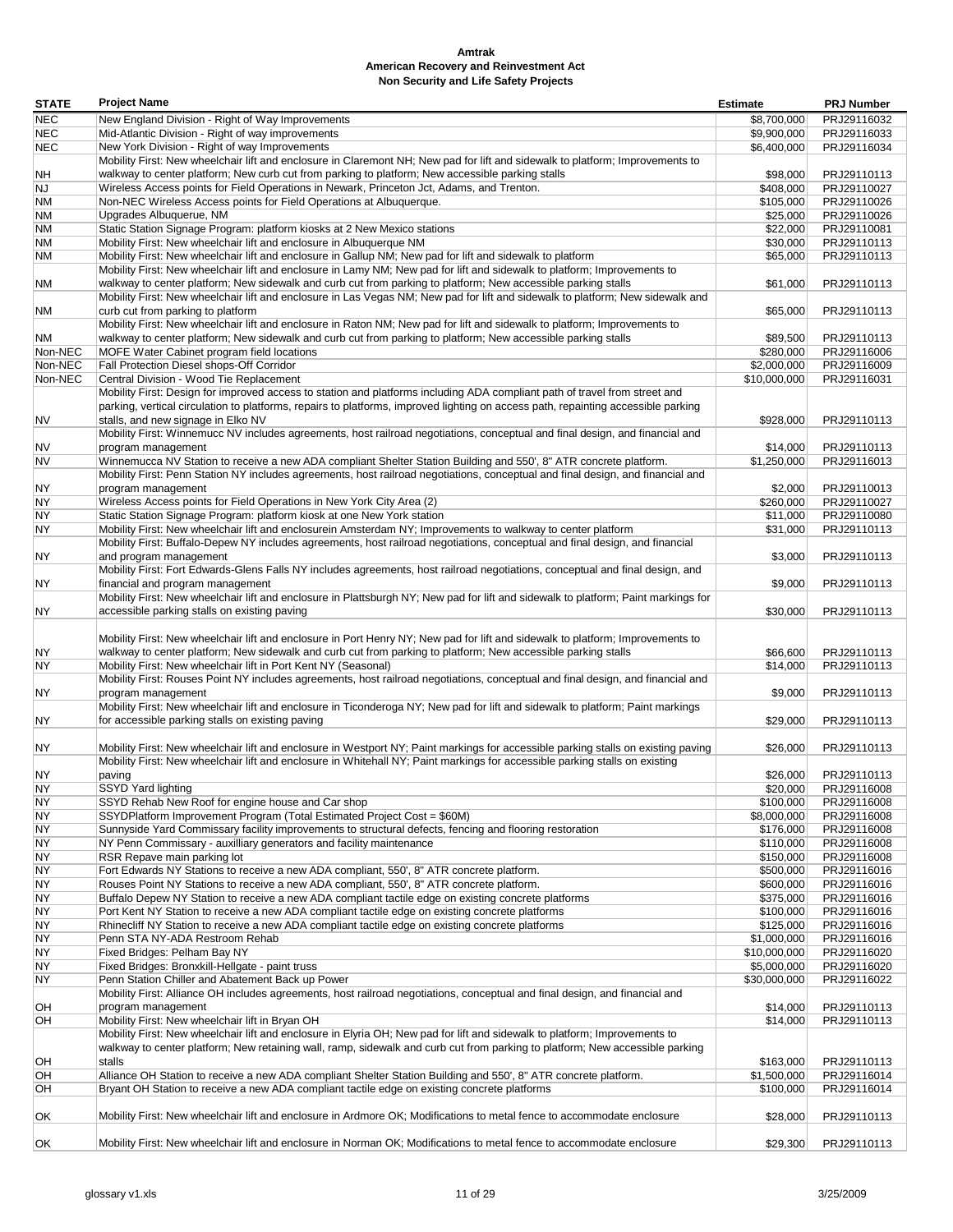| <b>STATE</b> | <b>Project Name</b>                                                                                                                                                              | <b>Estimate</b>      | <b>PRJ Number</b>          |
|--------------|----------------------------------------------------------------------------------------------------------------------------------------------------------------------------------|----------------------|----------------------------|
| <b>NEC</b>   | New England Division - Right of Way Improvements                                                                                                                                 | \$8,700,000          | PRJ29116032                |
| <b>NEC</b>   | Mid-Atlantic Division - Right of way improvements                                                                                                                                | \$9,900,000          | PRJ29116033                |
| <b>NEC</b>   | New York Division - Right of way Improvements                                                                                                                                    | \$6,400,000          | PRJ29116034                |
|              | Mobility First: New wheelchair lift and enclosure in Claremont NH; New pad for lift and sidewalk to platform; Improvements to                                                    |                      |                            |
| NΗ           | walkway to center platform; New curb cut from parking to platform; New accessible parking stalls                                                                                 | \$98,000             | PRJ29110113                |
| NJ           | Wireless Access points for Field Operations in Newark, Princeton Jct, Adams, and Trenton.                                                                                        | \$408,000            | PRJ29110027                |
| ΝM           | Non-NEC Wireless Access points for Field Operations at Albuquerque.                                                                                                              | \$105,000            | PRJ29110026                |
| ΝM           | Upgrades Albuquerue, NM                                                                                                                                                          | \$25,000             | PRJ29110026                |
| ΝM           | Static Station Signage Program: platform kiosks at 2 New Mexico stations                                                                                                         | \$22,000             | PRJ29110081                |
| NΜ<br>ΝM     | Mobility First: New wheelchair lift and enclosure in Albuquerque NM<br>Mobility First: New wheelchair lift and enclosure in Gallup NM; New pad for lift and sidewalk to platform | \$30,000<br>\$65,000 | PRJ29110113<br>PRJ29110113 |
|              | Mobility First: New wheelchair lift and enclosure in Lamy NM; New pad for lift and sidewalk to platform; Improvements to                                                         |                      |                            |
| ΝM           | walkway to center platform; New sidewalk and curb cut from parking to platform; New accessible parking stalls                                                                    | \$61,000             | PRJ29110113                |
|              | Mobility First: New wheelchair lift and enclosure in Las Vegas NM; New pad for lift and sidewalk to platform; New sidewalk and                                                   |                      |                            |
| ΝM           | curb cut from parking to platform                                                                                                                                                | \$65,000             | PRJ29110113                |
|              | Mobility First: New wheelchair lift and enclosure in Raton NM; New pad for lift and sidewalk to platform; Improvements to                                                        |                      |                            |
| ΝM           | walkway to center platform; New sidewalk and curb cut from parking to platform; New accessible parking stalls                                                                    | \$89,500             | PRJ29110113                |
| Non-NEC      | MOFE Water Cabinet program field locations                                                                                                                                       | \$280,000            | PRJ29116006                |
| Non-NEC      | Fall Protection Diesel shops-Off Corridor                                                                                                                                        | \$2,000,000          | PRJ29116009                |
| Non-NEC      | Central Division - Wood Tie Replacement                                                                                                                                          | \$10,000,000         | PRJ29116031                |
|              | Mobility First: Design for improved access to station and platforms including ADA compliant path of travel from street and                                                       |                      |                            |
|              | parking, vertical circulation to platforms, repairs to platforms, improved lighting on access path, repainting accessible parking                                                |                      |                            |
| NV           | stalls, and new signage in Elko NV                                                                                                                                               | \$928,000            | PRJ29110113                |
|              | Mobility First: Winnemucc NV includes agreements, host railroad negotiations, conceptual and final design, and financial and                                                     |                      |                            |
| NV           | program management                                                                                                                                                               | \$14,000             | PRJ29110113                |
| <b>NV</b>    | Winnemucca NV Station to receive a new ADA compliant Shelter Station Building and 550', 8" ATR concrete platform.                                                                | \$1,250,000          | PRJ29116013                |
|              | Mobility First: Penn Station NY includes agreements, host railroad negotiations, conceptual and final design, and financial and                                                  |                      |                            |
| ΝY           | program management                                                                                                                                                               | \$2.000              | PRJ29110013                |
| NY           | Wireless Access points for Field Operations in New York City Area (2)                                                                                                            | \$260,000            | PRJ29110027                |
| NΥ           | Static Station Signage Program: platform kiosk at one New York station                                                                                                           | \$11,000             | PRJ29110080                |
| NY           | Mobility First: New wheelchair lift and enclosurein Amsterdam NY; Improvements to walkway to center platform                                                                     | \$31,000             | PRJ29110113                |
|              | Mobility First: Buffalo-Depew NY includes agreements, host railroad negotiations, conceptual and final design, and financial                                                     |                      |                            |
| NY           | and program management                                                                                                                                                           | \$3,000              | PRJ29110113                |
|              | Mobility First: Fort Edwards-Glens Falls NY includes agreements, host railroad negotiations, conceptual and final design, and                                                    |                      |                            |
| NY           | financial and program management                                                                                                                                                 | \$9,000              | PRJ29110113                |
|              | Mobility First: New wheelchair lift and enclosure in Plattsburgh NY; New pad for lift and sidewalk to platform; Paint markings for                                               |                      |                            |
| NY           | accessible parking stalls on existing paving                                                                                                                                     | \$30,000             | PRJ29110113                |
|              |                                                                                                                                                                                  |                      |                            |
|              | Mobility First: New wheelchair lift and enclosure in Port Henry NY; New pad for lift and sidewalk to platform; Improvements to                                                   |                      |                            |
| ΝY           | walkway to center platform; New sidewalk and curb cut from parking to platform; New accessible parking stalls                                                                    | \$66,600             | PRJ29110113                |
| NY           | Mobility First: New wheelchair lift in Port Kent NY (Seasonal)                                                                                                                   | \$14,000             | PRJ29110113                |
|              | Mobility First: Rouses Point NY includes agreements, host railroad negotiations, conceptual and final design, and financial and                                                  |                      |                            |
| ΝY           | program management                                                                                                                                                               | \$9,000              | PRJ29110113                |
|              | Mobility First: New wheelchair lift and enclosure in Ticonderoga NY; New pad for lift and sidewalk to platform; Paint markings                                                   |                      |                            |
| NY           | for accessible parking stalls on existing paving                                                                                                                                 | \$29,000             | PRJ29110113                |
|              | Mobility First: New wheelchair lift and enclosure in Westport NY; Paint markings for accessible parking stalls on existing paving                                                |                      |                            |
| NY           |                                                                                                                                                                                  | \$26,000             | PRJ29110113                |
| NY           | Mobility First: New wheelchair lift and enclosure in Whitehall NY; Paint markings for accessible parking stalls on existing                                                      | \$26,000             | PRJ29110113                |
| NΥ           | paving<br>SSYD Yard lighting                                                                                                                                                     | \$20,000             | PRJ29116008                |
| NY           | SSYD Rehab New Roof for engine house and Car shop                                                                                                                                | \$100,000            | PRJ29116008                |
| NY           | SSYDPlatform Improvement Program (Total Estimated Project Cost = \$60M)                                                                                                          | \$8,000,000          | PRJ29116008                |
| NY           | Sunnyside Yard Commissary facility improvements to structural defects, fencing and flooring restoration                                                                          | \$176,000            | PRJ29116008                |
| NY           | NY Penn Commissary - auxilliary generators and facility maintenance                                                                                                              | \$110,000            | PRJ29116008                |
| ΝY           | RSR Repave main parking lot                                                                                                                                                      | \$150,000            | PRJ29116008                |
| ΝY           | Fort Edwards NY Stations to receive a new ADA compliant, 550', 8" ATR concrete platform.                                                                                         | \$500,000            | PRJ29116016                |
| ΝY           | Rouses Point NY Stations to receive a new ADA compliant, 550', 8" ATR concrete platform.                                                                                         | \$600,000            | PRJ29116016                |
| NΥ           | Buffalo Depew NY Station to receive a new ADA compliant tactile edge on existing concrete platforms                                                                              | \$375,000            | PRJ29116016                |
| NΥ           | Port Kent NY Station to receive a new ADA compliant tactile edge on existing concrete platforms                                                                                  | \$100,000            | PRJ29116016                |
| NΥ           | Rhinecliff NY Station to receive a new ADA compliant tactile edge on existing concrete platforms                                                                                 | \$125,000            | PRJ29116016                |
| NΥ           | Penn STA NY-ADA Restroom Rehab                                                                                                                                                   | \$1,000,000          | PRJ29116016                |
| NΥ           | Fixed Bridges: Pelham Bay NY                                                                                                                                                     | \$10,000,000         | PRJ29116020                |
| NY           | Fixed Bridges: Bronxkill-Hellgate - paint truss                                                                                                                                  | \$5,000,000          | PRJ29116020                |
| ΝY           | Penn Station Chiller and Abatement Back up Power                                                                                                                                 | \$30,000,000         | PRJ29116022                |
|              | Mobility First: Alliance OH includes agreements, host railroad negotiations, conceptual and final design, and financial and                                                      |                      |                            |
| OH           | program management                                                                                                                                                               | \$14,000             | PRJ29110113                |
| OН           | Mobility First: New wheelchair lift in Bryan OH                                                                                                                                  | \$14,000             | PRJ29110113                |
|              | Mobility First: New wheelchair lift and enclosure in Elyria OH; New pad for lift and sidewalk to platform; Improvements to                                                       |                      |                            |
|              | walkway to center platform; New retaining wall, ramp, sidewalk and curb cut from parking to platform; New accessible parking                                                     |                      |                            |
| OН           | stalls                                                                                                                                                                           | \$163,000            | PRJ29110113                |
| OH           | Alliance OH Station to receive a new ADA compliant Shelter Station Building and 550', 8" ATR concrete platform.                                                                  | \$1,500,000          | PRJ29116014                |
| OH           | Bryant OH Station to receive a new ADA compliant tactile edge on existing concrete platforms                                                                                     | \$100,000            | PRJ29116014                |
|              |                                                                                                                                                                                  |                      |                            |
| ОK           | Mobility First: New wheelchair lift and enclosure in Ardmore OK; Modifications to metal fence to accommodate enclosure                                                           | \$28,000             | PRJ29110113                |
|              |                                                                                                                                                                                  |                      |                            |
| ОK           | Mobility First: New wheelchair lift and enclosure in Norman OK; Modifications to metal fence to accommodate enclosure                                                            | \$29,300             | PRJ29110113                |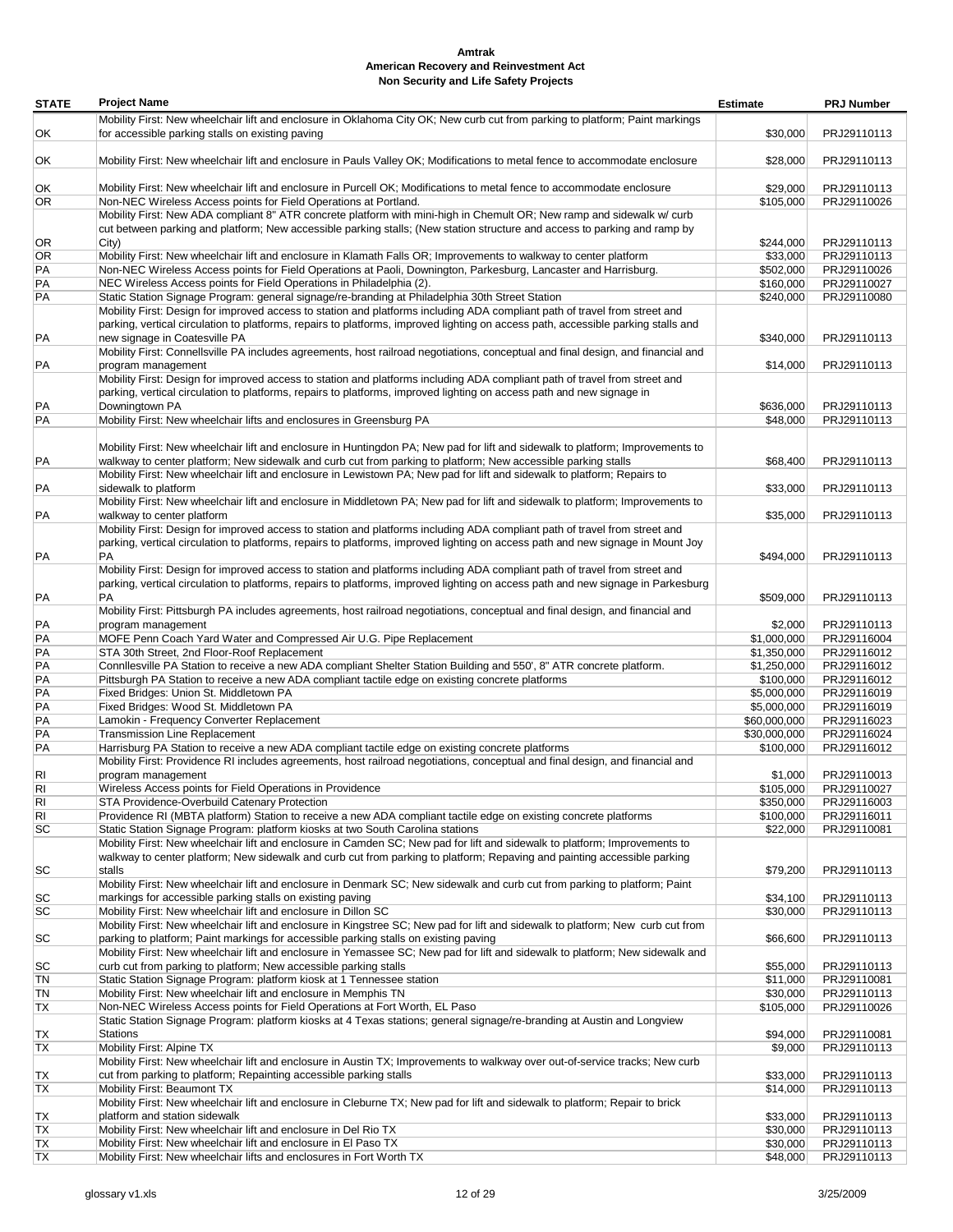| <b>STATE</b> | <b>Project Name</b>                                                                                                                                                                                                                       | <b>Estimate</b> | <b>PRJ Number</b>          |
|--------------|-------------------------------------------------------------------------------------------------------------------------------------------------------------------------------------------------------------------------------------------|-----------------|----------------------------|
|              | Mobility First: New wheelchair lift and enclosure in Oklahoma City OK; New curb cut from parking to platform; Paint markings                                                                                                              |                 |                            |
| ОK           | for accessible parking stalls on existing paving                                                                                                                                                                                          | \$30,000        | PRJ29110113                |
|              |                                                                                                                                                                                                                                           |                 |                            |
| ОK           | Mobility First: New wheelchair lift and enclosure in Pauls Valley OK; Modifications to metal fence to accommodate enclosure                                                                                                               | \$28,000        | PRJ29110113                |
|              |                                                                                                                                                                                                                                           |                 |                            |
| ОK           | Mobility First: New wheelchair lift and enclosure in Purcell OK; Modifications to metal fence to accommodate enclosure                                                                                                                    | \$29,000        | PRJ29110113                |
| OR           | Non-NEC Wireless Access points for Field Operations at Portland.                                                                                                                                                                          | \$105,000       | PRJ29110026                |
|              | Mobility First: New ADA compliant 8" ATR concrete platform with mini-high in Chemult OR; New ramp and sidewalk w/ curb                                                                                                                    |                 |                            |
|              | cut between parking and platform; New accessible parking stalls; (New station structure and access to parking and ramp by                                                                                                                 |                 |                            |
| OR           | City)                                                                                                                                                                                                                                     | \$244,000       | PRJ29110113                |
| OR           | Mobility First: New wheelchair lift and enclosure in Klamath Falls OR; Improvements to walkway to center platform                                                                                                                         | \$33,000        | PRJ29110113                |
| PA           | Non-NEC Wireless Access points for Field Operations at Paoli, Downington, Parkesburg, Lancaster and Harrisburg.                                                                                                                           | \$502.000       | PRJ29110026                |
| PA           | NEC Wireless Access points for Field Operations in Philadelphia (2).                                                                                                                                                                      | \$160,000       | PRJ29110027                |
| PA           | Static Station Signage Program: general signage/re-branding at Philadelphia 30th Street Station                                                                                                                                           | \$240,000       | PRJ29110080                |
|              | Mobility First: Design for improved access to station and platforms including ADA compliant path of travel from street and                                                                                                                |                 |                            |
|              | parking, vertical circulation to platforms, repairs to platforms, improved lighting on access path, accessible parking stalls and                                                                                                         |                 |                            |
| PA           | new signage in Coatesville PA                                                                                                                                                                                                             | \$340,000       | PRJ29110113                |
|              | Mobility First: Connellsville PA includes agreements, host railroad negotiations, conceptual and final design, and financial and                                                                                                          |                 |                            |
| PA           | program management                                                                                                                                                                                                                        | \$14,000        | PRJ29110113                |
|              | Mobility First: Design for improved access to station and platforms including ADA compliant path of travel from street and                                                                                                                |                 |                            |
|              | parking, vertical circulation to platforms, repairs to platforms, improved lighting on access path and new signage in                                                                                                                     |                 |                            |
| PA           | Downingtown PA                                                                                                                                                                                                                            | \$636,000       | PRJ29110113                |
| РA           | Mobility First: New wheelchair lifts and enclosures in Greensburg PA                                                                                                                                                                      | \$48,000        | PRJ29110113                |
|              |                                                                                                                                                                                                                                           |                 |                            |
|              | Mobility First: New wheelchair lift and enclosure in Huntingdon PA; New pad for lift and sidewalk to platform; Improvements to                                                                                                            | \$68,400        |                            |
| PA           | walkway to center platform; New sidewalk and curb cut from parking to platform; New accessible parking stalls<br>Mobility First: New wheelchair lift and enclosure in Lewistown PA; New pad for lift and sidewalk to platform; Repairs to |                 | PRJ29110113                |
|              | sidewalk to platform                                                                                                                                                                                                                      |                 |                            |
| PA           | Mobility First: New wheelchair lift and enclosure in Middletown PA; New pad for lift and sidewalk to platform; Improvements to                                                                                                            | \$33,000        | PRJ29110113                |
|              |                                                                                                                                                                                                                                           |                 |                            |
| PA           | walkway to center platform<br>Mobility First: Design for improved access to station and platforms including ADA compliant path of travel from street and                                                                                  | \$35,000        | PRJ29110113                |
|              | parking, vertical circulation to platforms, repairs to platforms, improved lighting on access path and new signage in Mount Joy                                                                                                           |                 |                            |
| PA           | <b>PA</b>                                                                                                                                                                                                                                 | \$494,000       | PRJ29110113                |
|              | Mobility First: Design for improved access to station and platforms including ADA compliant path of travel from street and                                                                                                                |                 |                            |
|              | parking, vertical circulation to platforms, repairs to platforms, improved lighting on access path and new signage in Parkesburg                                                                                                          |                 |                            |
| PA           | <b>PA</b>                                                                                                                                                                                                                                 | \$509,000       | PRJ29110113                |
|              | Mobility First: Pittsburgh PA includes agreements, host railroad negotiations, conceptual and final design, and financial and                                                                                                             |                 |                            |
| PA           | program management                                                                                                                                                                                                                        | \$2,000         | PRJ29110113                |
| PA           | MOFE Penn Coach Yard Water and Compressed Air U.G. Pipe Replacement                                                                                                                                                                       | \$1,000,000     | PRJ29116004                |
| PA           | STA 30th Street, 2nd Floor-Roof Replacement                                                                                                                                                                                               | \$1,350,000     | PRJ29116012                |
| PA           | Connilesville PA Station to receive a new ADA compliant Shelter Station Building and 550', 8" ATR concrete platform.                                                                                                                      | \$1,250,000     | PRJ29116012                |
| PA           | Pittsburgh PA Station to receive a new ADA compliant tactile edge on existing concrete platforms                                                                                                                                          | \$100,000       | PRJ29116012                |
| PA           | Fixed Bridges: Union St. Middletown PA                                                                                                                                                                                                    | \$5,000,000     | PRJ29116019                |
| PA           | Fixed Bridges: Wood St. Middletown PA                                                                                                                                                                                                     | \$5,000,000     | PRJ29116019                |
| PA           | Lamokin - Frequency Converter Replacement                                                                                                                                                                                                 | \$60,000,000    | PRJ29116023                |
| РA           | <b>Transmission Line Replacement</b>                                                                                                                                                                                                      | \$30,000,000    | PRJ29116024                |
| PA           | Harrisburg PA Station to receive a new ADA compliant tactile edge on existing concrete platforms                                                                                                                                          | \$100,000       | PRJ29116012                |
|              | Mobility First: Providence RI includes agreements, host railroad negotiations, conceptual and final design, and financial and                                                                                                             |                 |                            |
| RI           | program management                                                                                                                                                                                                                        | \$1,000         | PRJ29110013                |
| RI           | Wireless Access points for Field Operations in Providence                                                                                                                                                                                 | \$105,000       | PRJ29110027                |
| RI           | STA Providence-Overbuild Catenary Protection                                                                                                                                                                                              | \$350,000       | PRJ29116003                |
| RI           | Providence RI (MBTA platform) Station to receive a new ADA compliant tactile edge on existing concrete platforms                                                                                                                          | \$100,000       | PRJ29116011                |
| SC           | Static Station Signage Program: platform kiosks at two South Carolina stations                                                                                                                                                            | \$22,000        | PRJ29110081                |
|              | Mobility First: New wheelchair lift and enclosure in Camden SC; New pad for lift and sidewalk to platform; Improvements to                                                                                                                |                 |                            |
|              | walkway to center platform; New sidewalk and curb cut from parking to platform; Repaving and painting accessible parking                                                                                                                  |                 |                            |
| SC           | stalls                                                                                                                                                                                                                                    | \$79,200        | PRJ29110113                |
|              | Mobility First: New wheelchair lift and enclosure in Denmark SC; New sidewalk and curb cut from parking to platform; Paint                                                                                                                |                 |                            |
| SC           | markings for accessible parking stalls on existing paving                                                                                                                                                                                 | \$34,100        | PRJ29110113                |
| SC           | Mobility First: New wheelchair lift and enclosure in Dillon SC                                                                                                                                                                            | \$30,000        | PRJ29110113                |
|              | Mobility First: New wheelchair lift and enclosure in Kingstree SC; New pad for lift and sidewalk to platform; New curb cut from                                                                                                           |                 |                            |
| SC           | parking to platform; Paint markings for accessible parking stalls on existing paving                                                                                                                                                      | \$66,600        | PRJ29110113                |
|              | Mobility First: New wheelchair lift and enclosure in Yemassee SC; New pad for lift and sidewalk to platform; New sidewalk and                                                                                                             |                 |                            |
| SC           | curb cut from parking to platform; New accessible parking stalls                                                                                                                                                                          | \$55,000        | PRJ29110113                |
| TN           | Static Station Signage Program: platform kiosk at 1 Tennessee station                                                                                                                                                                     | \$11,000        | PRJ29110081                |
| TN           | Mobility First: New wheelchair lift and enclosure in Memphis TN                                                                                                                                                                           | \$30,000        | PRJ29110113                |
| TX           | Non-NEC Wireless Access points for Field Operations at Fort Worth, EL Paso                                                                                                                                                                | \$105,000       | PRJ29110026                |
|              | Static Station Signage Program: platform kiosks at 4 Texas stations; general signage/re-branding at Austin and Longview                                                                                                                   |                 |                            |
| ТX           | <b>Stations</b>                                                                                                                                                                                                                           | \$94,000        | PRJ29110081                |
| ТX           | Mobility First: Alpine TX                                                                                                                                                                                                                 | \$9,000         | PRJ29110113                |
|              | Mobility First: New wheelchair lift and enclosure in Austin TX; Improvements to walkway over out-of-service tracks; New curb                                                                                                              |                 |                            |
| TX           | cut from parking to platform; Repainting accessible parking stalls                                                                                                                                                                        | \$33,000        | PRJ29110113                |
| ТX           | Mobility First: Beaumont TX                                                                                                                                                                                                               | \$14,000        | PRJ29110113                |
|              | Mobility First: New wheelchair lift and enclosure in Cleburne TX; New pad for lift and sidewalk to platform; Repair to brick                                                                                                              |                 |                            |
| ТX           | platform and station sidewalk                                                                                                                                                                                                             | \$33,000        | PRJ29110113                |
| ТX           | Mobility First: New wheelchair lift and enclosure in Del Rio TX<br>Mobility First: New wheelchair lift and enclosure in El Paso TX                                                                                                        | \$30,000        | PRJ29110113                |
| ТX<br>ТX     | Mobility First: New wheelchair lifts and enclosures in Fort Worth TX                                                                                                                                                                      | \$30,000        | PRJ29110113<br>PRJ29110113 |
|              |                                                                                                                                                                                                                                           | \$48,000        |                            |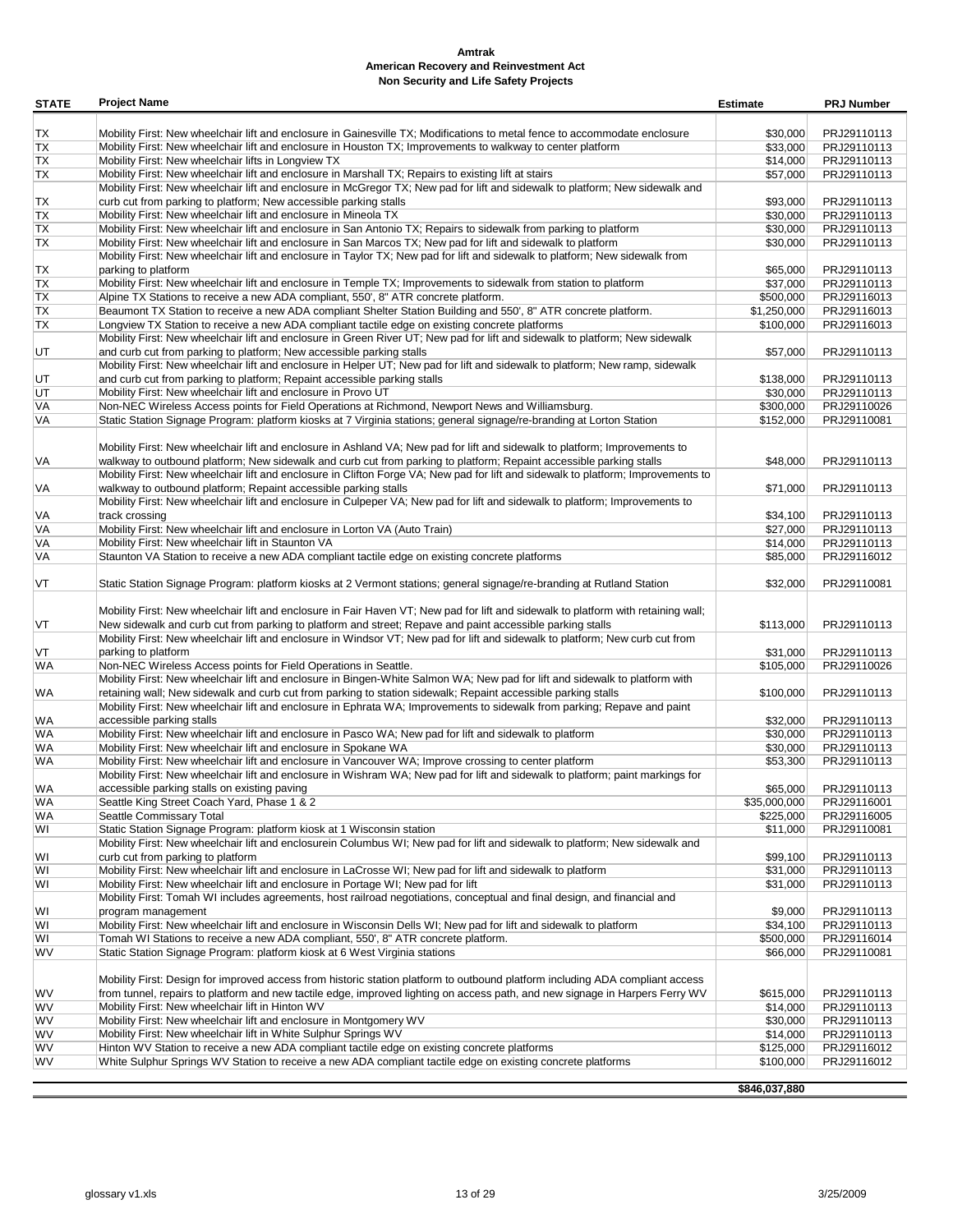| <b>STATE</b> | <b>Project Name</b>                                                                                                                                                                  | <b>Estimate</b>      | <b>PRJ Number</b>          |
|--------------|--------------------------------------------------------------------------------------------------------------------------------------------------------------------------------------|----------------------|----------------------------|
|              |                                                                                                                                                                                      |                      |                            |
| TX           | Mobility First: New wheelchair lift and enclosure in Gainesville TX; Modifications to metal fence to accommodate enclosure                                                           | \$30,000             | PRJ29110113                |
| TX           | Mobility First: New wheelchair lift and enclosure in Houston TX; Improvements to walkway to center platform                                                                          | \$33,000             | PRJ29110113                |
| TX           | Mobility First: New wheelchair lifts in Longview TX                                                                                                                                  | \$14,000             | PRJ29110113                |
| TX           | Mobility First: New wheelchair lift and enclosure in Marshall TX; Repairs to existing lift at stairs                                                                                 | \$57,000             | PRJ29110113                |
|              | Mobility First: New wheelchair lift and enclosure in McGregor TX; New pad for lift and sidewalk to platform; New sidewalk and                                                        |                      |                            |
| ТX           | curb cut from parking to platform; New accessible parking stalls                                                                                                                     | \$93,000             | PRJ29110113                |
| ТX<br>TX     | Mobility First: New wheelchair lift and enclosure in Mineola TX<br>Mobility First: New wheelchair lift and enclosure in San Antonio TX; Repairs to sidewalk from parking to platform | \$30,000<br>\$30,000 | PRJ29110113<br>PRJ29110113 |
| ТX           | Mobility First: New wheelchair lift and enclosure in San Marcos TX; New pad for lift and sidewalk to platform                                                                        | \$30,000             | PRJ29110113                |
|              | Mobility First: New wheelchair lift and enclosure in Taylor TX; New pad for lift and sidewalk to platform; New sidewalk from                                                         |                      |                            |
| ТX           | parking to platform                                                                                                                                                                  | \$65,000             | PRJ29110113                |
| TX           | Mobility First: New wheelchair lift and enclosure in Temple TX; Improvements to sidewalk from station to platform                                                                    | \$37,000             | PRJ29110113                |
| TX           | Alpine TX Stations to receive a new ADA compliant, 550', 8" ATR concrete platform.                                                                                                   | \$500,000            | PRJ29116013                |
| TX           | Beaumont TX Station to receive a new ADA compliant Shelter Station Building and 550', 8" ATR concrete platform.                                                                      | \$1,250,000          | PRJ29116013                |
| TX           | Longview TX Station to receive a new ADA compliant tactile edge on existing concrete platforms                                                                                       | \$100,000            | PRJ29116013                |
|              | Mobility First: New wheelchair lift and enclosure in Green River UT; New pad for lift and sidewalk to platform; New sidewalk                                                         |                      |                            |
| UT           | and curb cut from parking to platform; New accessible parking stalls                                                                                                                 | \$57,000             | PRJ29110113                |
|              | Mobility First: New wheelchair lift and enclosure in Helper UT; New pad for lift and sidewalk to platform; New ramp, sidewalk                                                        |                      |                            |
| UT           | and curb cut from parking to platform; Repaint accessible parking stalls                                                                                                             | \$138,000            | PRJ29110113                |
| UT           | Mobility First: New wheelchair lift and enclosure in Provo UT                                                                                                                        | \$30,000             | PRJ29110113                |
| VA           | Non-NEC Wireless Access points for Field Operations at Richmond, Newport News and Williamsburg.                                                                                      | \$300,000            | PRJ29110026                |
| VA           | Static Station Signage Program: platform kiosks at 7 Virginia stations; general signage/re-branding at Lorton Station                                                                | \$152,000            | PRJ29110081                |
|              |                                                                                                                                                                                      |                      |                            |
|              | Mobility First: New wheelchair lift and enclosure in Ashland VA; New pad for lift and sidewalk to platform; Improvements to                                                          |                      |                            |
| VA           | walkway to outbound platform; New sidewalk and curb cut from parking to platform; Repaint accessible parking stalls                                                                  | \$48,000             | PRJ29110113                |
|              | Mobility First: New wheelchair lift and enclosure in Clifton Forge VA; New pad for lift and sidewalk to platform; Improvements to                                                    |                      |                            |
| VA           | walkway to outbound platform; Repaint accessible parking stalls                                                                                                                      | \$71,000             | PRJ29110113                |
|              | Mobility First: New wheelchair lift and enclosure in Culpeper VA; New pad for lift and sidewalk to platform; Improvements to                                                         |                      |                            |
| VA           | track crossing                                                                                                                                                                       | \$34,100             | PRJ29110113                |
| VA           | Mobility First: New wheelchair lift and enclosure in Lorton VA (Auto Train)<br>Mobility First: New wheelchair lift in Staunton VA                                                    | \$27,000<br>\$14,000 | PRJ29110113<br>PRJ29110113 |
| VA<br>VA     | Staunton VA Station to receive a new ADA compliant tactile edge on existing concrete platforms                                                                                       | \$85,000             | PRJ29116012                |
|              |                                                                                                                                                                                      |                      |                            |
| VT           | Static Station Signage Program: platform kiosks at 2 Vermont stations; general signage/re-branding at Rutland Station                                                                | \$32,000             | PRJ29110081                |
|              |                                                                                                                                                                                      |                      |                            |
|              | Mobility First: New wheelchair lift and enclosure in Fair Haven VT; New pad for lift and sidewalk to platform with retaining wall;                                                   |                      |                            |
| VT           | New sidewalk and curb cut from parking to platform and street; Repave and paint accessible parking stalls                                                                            | \$113,000            | PRJ29110113                |
|              | Mobility First: New wheelchair lift and enclosure in Windsor VT; New pad for lift and sidewalk to platform; New curb cut from                                                        |                      |                            |
| VT           | parking to platform                                                                                                                                                                  | \$31,000             | PRJ29110113                |
| WA           | Non-NEC Wireless Access points for Field Operations in Seattle.                                                                                                                      | \$105,000            | PRJ29110026                |
|              | Mobility First: New wheelchair lift and enclosure in Bingen-White Salmon WA; New pad for lift and sidewalk to platform with                                                          |                      |                            |
| WA           | retaining wall; New sidewalk and curb cut from parking to station sidewalk; Repaint accessible parking stalls                                                                        | \$100,000            | PRJ29110113                |
|              | Mobility First: New wheelchair lift and enclosure in Ephrata WA; Improvements to sidewalk from parking; Repave and paint                                                             |                      |                            |
| WA           | accessible parking stalls                                                                                                                                                            | \$32,000             | PRJ29110113                |
| WA           | Mobility First: New wheelchair lift and enclosure in Pasco WA; New pad for lift and sidewalk to platform                                                                             | \$30,000             | PRJ29110113                |
| WA           | Mobility First: New wheelchair lift and enclosure in Spokane WA                                                                                                                      | \$30,000             | PRJ29110113                |
| WA           | Mobility First: New wheelchair lift and enclosure in Vancouver WA; Improve crossing to center platform                                                                               | \$53,300             | PRJ29110113                |
|              | Mobility First: New wheelchair lift and enclosure in Wishram WA; New pad for lift and sidewalk to platform; paint markings for                                                       |                      |                            |
| WA           | accessible parking stalls on existing paving                                                                                                                                         | \$65,000             | PRJ29110113                |
| WA           | Seattle King Street Coach Yard, Phase 1 & 2                                                                                                                                          | \$35,000,000         | PRJ29116001                |
| WA<br>W١     | Seattle Commissary Total<br>Static Station Signage Program: platform kiosk at 1 Wisconsin station                                                                                    | \$225,000            | PRJ29116005                |
|              | Mobility First: New wheelchair lift and enclosurein Columbus WI; New pad for lift and sidewalk to platform; New sidewalk and                                                         | \$11,000             | PRJ29110081                |
| WI           | curb cut from parking to platform                                                                                                                                                    | \$99,100             | PRJ29110113                |
| W١           | Mobility First: New wheelchair lift and enclosure in LaCrosse WI; New pad for lift and sidewalk to platform                                                                          | \$31,000             | PRJ29110113                |
| WI           | Mobility First: New wheelchair lift and enclosure in Portage WI; New pad for lift                                                                                                    | \$31,000             | PRJ29110113                |
|              | Mobility First: Tomah WI includes agreements, host railroad negotiations, conceptual and final design, and financial and                                                             |                      |                            |
| WI           | program management                                                                                                                                                                   | \$9,000              | PRJ29110113                |
| WI           | Mobility First: New wheelchair lift and enclosure in Wisconsin Dells WI; New pad for lift and sidewalk to platform                                                                   | \$34,100             | PRJ29110113                |
| WI           | Tomah WI Stations to receive a new ADA compliant, 550', 8" ATR concrete platform.                                                                                                    | \$500,000            | PRJ29116014                |
| WV           | Static Station Signage Program: platform kiosk at 6 West Virginia stations                                                                                                           | \$66,000             | PRJ29110081                |
|              |                                                                                                                                                                                      |                      |                            |
|              | Mobility First: Design for improved access from historic station platform to outbound platform including ADA compliant access                                                        |                      |                            |
| W٧           | from tunnel, repairs to platform and new tactile edge, improved lighting on access path, and new signage in Harpers Ferry WV                                                         | \$615,000            | PRJ29110113                |
| WV           | Mobility First: New wheelchair lift in Hinton WV                                                                                                                                     | \$14,000             | PRJ29110113                |
| W٧           | Mobility First: New wheelchair lift and enclosure in Montgomery WV                                                                                                                   | \$30,000             | PRJ29110113                |
| WV           | Mobility First: New wheelchair lift in White Sulphur Springs WV                                                                                                                      | \$14,000             | PRJ29110113                |
| W٧           | Hinton WV Station to receive a new ADA compliant tactile edge on existing concrete platforms                                                                                         | \$125,000            | PRJ29116012                |
| W٧           | White Sulphur Springs WV Station to receive a new ADA compliant tactile edge on existing concrete platforms                                                                          | \$100,000            | PRJ29116012                |
|              |                                                                                                                                                                                      | \$846,037,880        |                            |
|              |                                                                                                                                                                                      |                      |                            |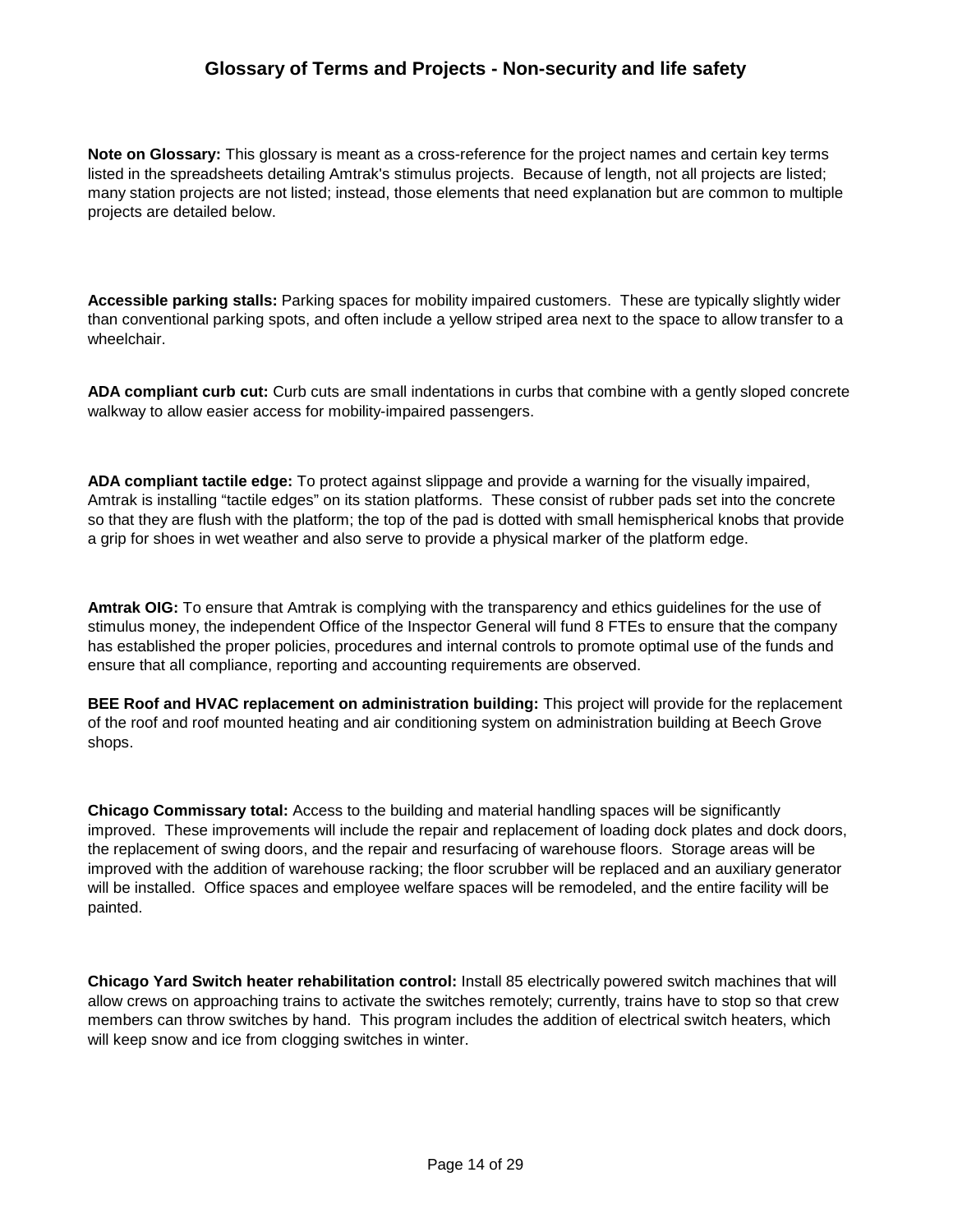**Note on Glossary:** This glossary is meant as a cross-reference for the project names and certain key terms listed in the spreadsheets detailing Amtrak's stimulus projects. Because of length, not all projects are listed; many station projects are not listed; instead, those elements that need explanation but are common to multiple projects are detailed below.

**Accessible parking stalls:** Parking spaces for mobility impaired customers. These are typically slightly wider than conventional parking spots, and often include a yellow striped area next to the space to allow transfer to a wheelchair.

**ADA compliant curb cut:** Curb cuts are small indentations in curbs that combine with a gently sloped concrete walkway to allow easier access for mobility-impaired passengers.

**ADA compliant tactile edge:** To protect against slippage and provide a warning for the visually impaired, Amtrak is installing "tactile edges" on its station platforms. These consist of rubber pads set into the concrete so that they are flush with the platform; the top of the pad is dotted with small hemispherical knobs that provide a grip for shoes in wet weather and also serve to provide a physical marker of the platform edge.

**Amtrak OIG:** To ensure that Amtrak is complying with the transparency and ethics guidelines for the use of stimulus money, the independent Office of the Inspector General will fund 8 FTEs to ensure that the company has established the proper policies, procedures and internal controls to promote optimal use of the funds and ensure that all compliance, reporting and accounting requirements are observed.

**BEE Roof and HVAC replacement on administration building:** This project will provide for the replacement of the roof and roof mounted heating and air conditioning system on administration building at Beech Grove shops.

**Chicago Commissary total:** Access to the building and material handling spaces will be significantly improved. These improvements will include the repair and replacement of loading dock plates and dock doors, the replacement of swing doors, and the repair and resurfacing of warehouse floors. Storage areas will be improved with the addition of warehouse racking; the floor scrubber will be replaced and an auxiliary generator will be installed. Office spaces and employee welfare spaces will be remodeled, and the entire facility will be painted.

**Chicago Yard Switch heater rehabilitation control:** Install 85 electrically powered switch machines that will allow crews on approaching trains to activate the switches remotely; currently, trains have to stop so that crew members can throw switches by hand. This program includes the addition of electrical switch heaters, which will keep snow and ice from clogging switches in winter.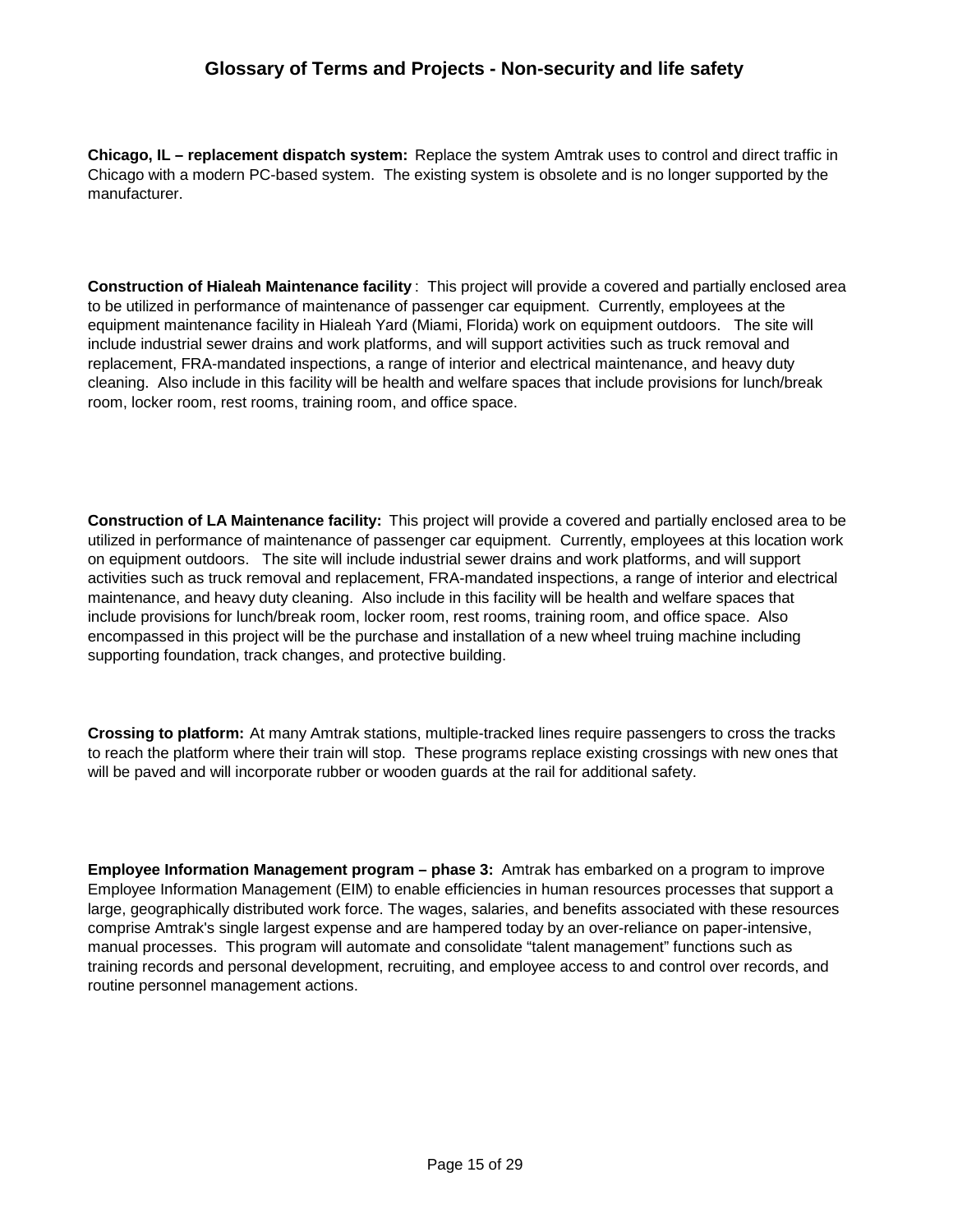**Chicago, IL – replacement dispatch system:** Replace the system Amtrak uses to control and direct traffic in Chicago with a modern PC-based system. The existing system is obsolete and is no longer supported by the manufacturer.

**Construction of Hialeah Maintenance facility** : This project will provide a covered and partially enclosed area to be utilized in performance of maintenance of passenger car equipment. Currently, employees at the equipment maintenance facility in Hialeah Yard (Miami, Florida) work on equipment outdoors. The site will include industrial sewer drains and work platforms, and will support activities such as truck removal and replacement, FRA-mandated inspections, a range of interior and electrical maintenance, and heavy duty cleaning. Also include in this facility will be health and welfare spaces that include provisions for lunch/break room, locker room, rest rooms, training room, and office space.

**Construction of LA Maintenance facility:** This project will provide a covered and partially enclosed area to be utilized in performance of maintenance of passenger car equipment. Currently, employees at this location work on equipment outdoors. The site will include industrial sewer drains and work platforms, and will support activities such as truck removal and replacement, FRA-mandated inspections, a range of interior and electrical maintenance, and heavy duty cleaning. Also include in this facility will be health and welfare spaces that include provisions for lunch/break room, locker room, rest rooms, training room, and office space. Also encompassed in this project will be the purchase and installation of a new wheel truing machine including supporting foundation, track changes, and protective building.

**Crossing to platform:** At many Amtrak stations, multiple-tracked lines require passengers to cross the tracks to reach the platform where their train will stop. These programs replace existing crossings with new ones that will be paved and will incorporate rubber or wooden guards at the rail for additional safety.

**Employee Information Management program – phase 3:** Amtrak has embarked on a program to improve Employee Information Management (EIM) to enable efficiencies in human resources processes that support a large, geographically distributed work force. The wages, salaries, and benefits associated with these resources comprise Amtrak's single largest expense and are hampered today by an over-reliance on paper-intensive, manual processes. This program will automate and consolidate "talent management" functions such as training records and personal development, recruiting, and employee access to and control over records, and routine personnel management actions.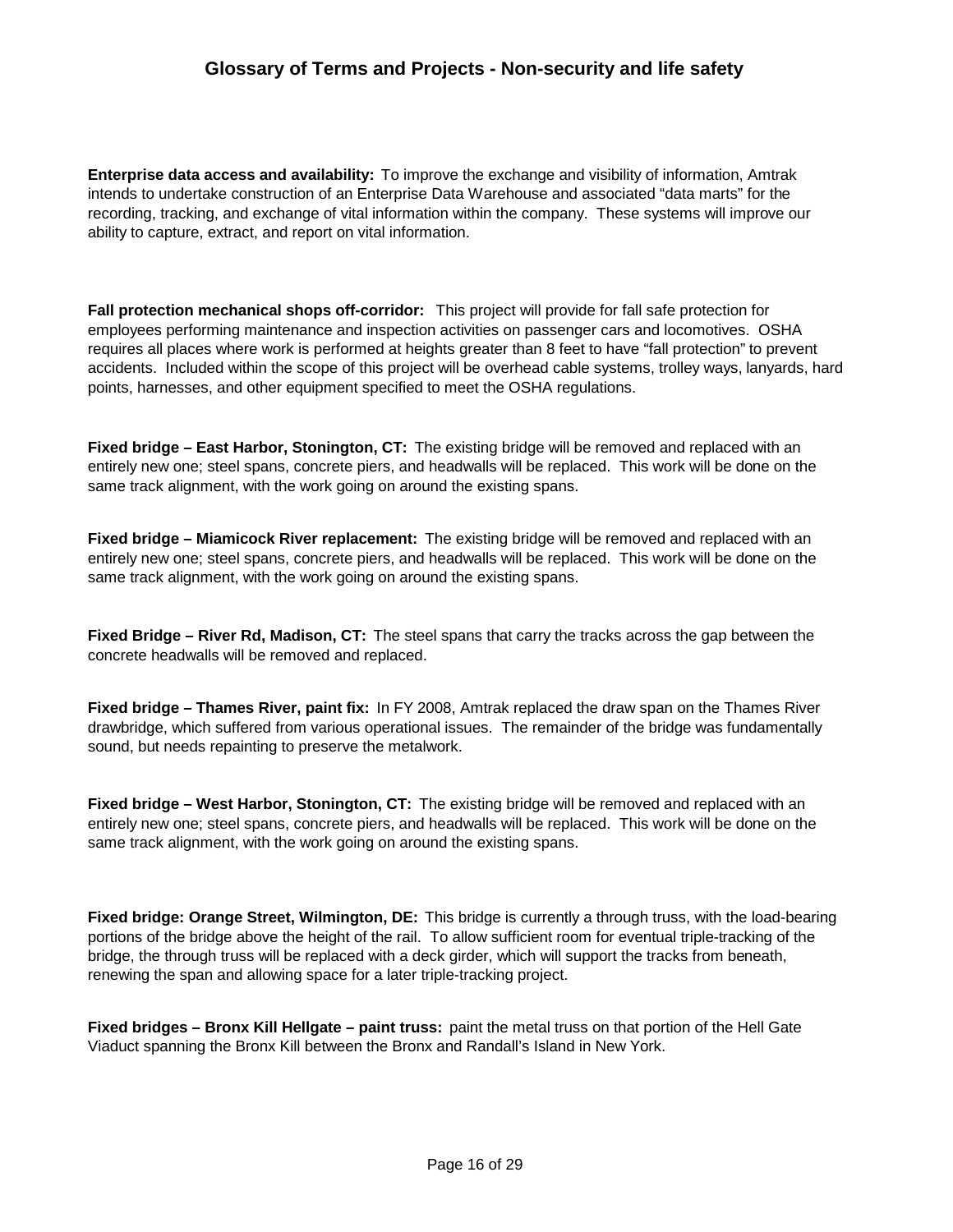**Enterprise data access and availability:** To improve the exchange and visibility of information, Amtrak intends to undertake construction of an Enterprise Data Warehouse and associated "data marts" for the recording, tracking, and exchange of vital information within the company. These systems will improve our ability to capture, extract, and report on vital information.

**Fall protection mechanical shops off-corridor:** This project will provide for fall safe protection for employees performing maintenance and inspection activities on passenger cars and locomotives. OSHA requires all places where work is performed at heights greater than 8 feet to have "fall protection" to prevent accidents. Included within the scope of this project will be overhead cable systems, trolley ways, lanyards, hard points, harnesses, and other equipment specified to meet the OSHA regulations.

**Fixed bridge – East Harbor, Stonington, CT:** The existing bridge will be removed and replaced with an entirely new one; steel spans, concrete piers, and headwalls will be replaced. This work will be done on the same track alignment, with the work going on around the existing spans.

**Fixed bridge – Miamicock River replacement:** The existing bridge will be removed and replaced with an entirely new one; steel spans, concrete piers, and headwalls will be replaced. This work will be done on the same track alignment, with the work going on around the existing spans.

**Fixed Bridge – River Rd, Madison, CT:** The steel spans that carry the tracks across the gap between the concrete headwalls will be removed and replaced.

**Fixed bridge – Thames River, paint fix:** In FY 2008, Amtrak replaced the draw span on the Thames River drawbridge, which suffered from various operational issues. The remainder of the bridge was fundamentally sound, but needs repainting to preserve the metalwork.

**Fixed bridge – West Harbor, Stonington, CT:** The existing bridge will be removed and replaced with an entirely new one; steel spans, concrete piers, and headwalls will be replaced. This work will be done on the same track alignment, with the work going on around the existing spans.

**Fixed bridge: Orange Street, Wilmington, DE:** This bridge is currently a through truss, with the load-bearing portions of the bridge above the height of the rail. To allow sufficient room for eventual triple-tracking of the bridge, the through truss will be replaced with a deck girder, which will support the tracks from beneath, renewing the span and allowing space for a later triple-tracking project.

**Fixed bridges – Bronx Kill Hellgate – paint truss:** paint the metal truss on that portion of the Hell Gate Viaduct spanning the Bronx Kill between the Bronx and Randall's Island in New York.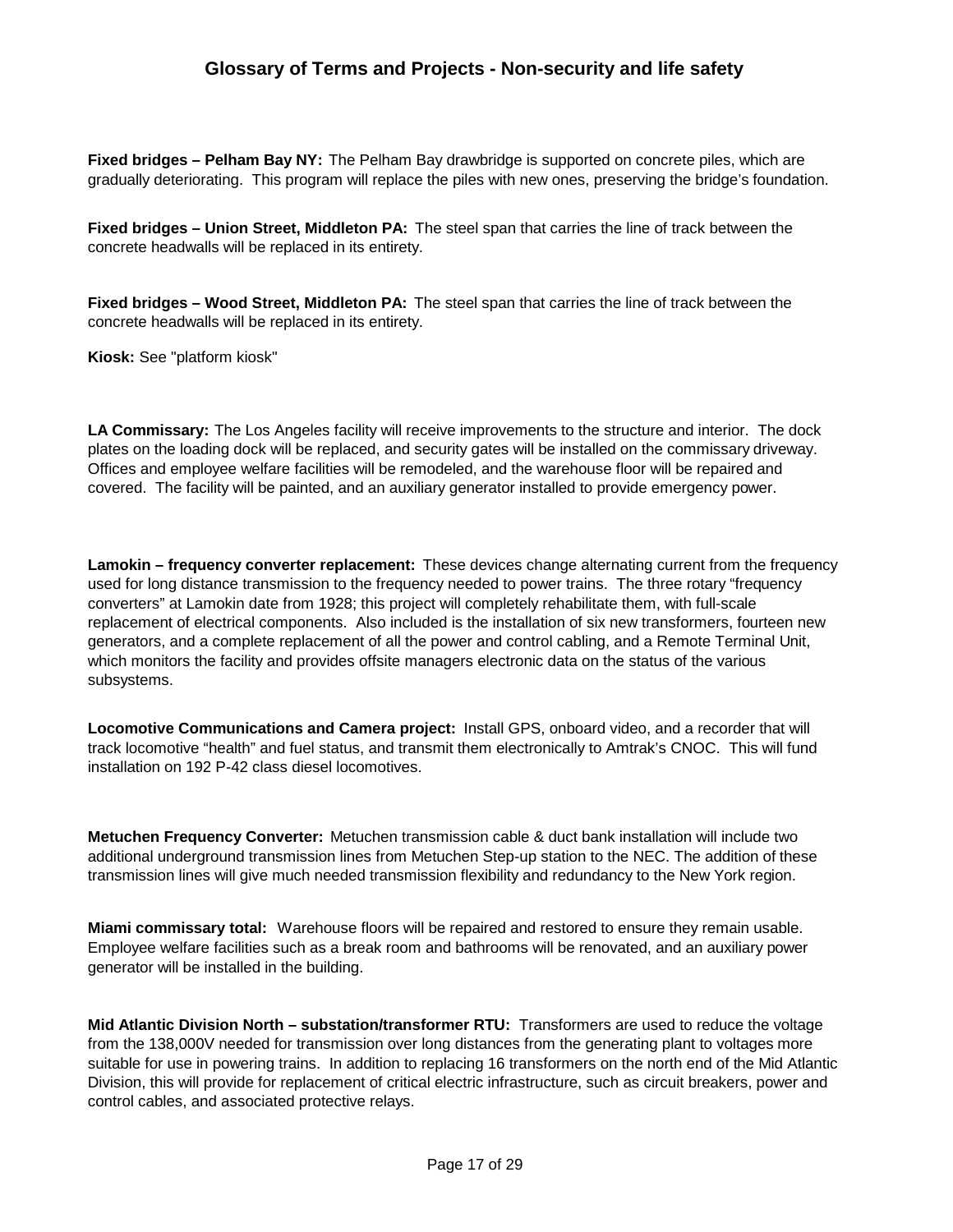**Fixed bridges – Pelham Bay NY:** The Pelham Bay drawbridge is supported on concrete piles, which are gradually deteriorating. This program will replace the piles with new ones, preserving the bridge's foundation.

**Fixed bridges – Union Street, Middleton PA:** The steel span that carries the line of track between the concrete headwalls will be replaced in its entirety.

**Fixed bridges – Wood Street, Middleton PA:** The steel span that carries the line of track between the concrete headwalls will be replaced in its entirety.

**Kiosk:** See "platform kiosk"

**LA Commissary:** The Los Angeles facility will receive improvements to the structure and interior. The dock plates on the loading dock will be replaced, and security gates will be installed on the commissary driveway. Offices and employee welfare facilities will be remodeled, and the warehouse floor will be repaired and covered. The facility will be painted, and an auxiliary generator installed to provide emergency power.

**Lamokin – frequency converter replacement:** These devices change alternating current from the frequency used for long distance transmission to the frequency needed to power trains. The three rotary "frequency converters" at Lamokin date from 1928; this project will completely rehabilitate them, with full-scale replacement of electrical components. Also included is the installation of six new transformers, fourteen new generators, and a complete replacement of all the power and control cabling, and a Remote Terminal Unit, which monitors the facility and provides offsite managers electronic data on the status of the various subsystems.

**Locomotive Communications and Camera project:** Install GPS, onboard video, and a recorder that will track locomotive "health" and fuel status, and transmit them electronically to Amtrak's CNOC. This will fund installation on 192 P-42 class diesel locomotives.

**Metuchen Frequency Converter:** Metuchen transmission cable & duct bank installation will include two additional underground transmission lines from Metuchen Step-up station to the NEC. The addition of these transmission lines will give much needed transmission flexibility and redundancy to the New York region.

**Miami commissary total:** Warehouse floors will be repaired and restored to ensure they remain usable. Employee welfare facilities such as a break room and bathrooms will be renovated, and an auxiliary power generator will be installed in the building.

**Mid Atlantic Division North – substation/transformer RTU:** Transformers are used to reduce the voltage from the 138,000V needed for transmission over long distances from the generating plant to voltages more suitable for use in powering trains. In addition to replacing 16 transformers on the north end of the Mid Atlantic Division, this will provide for replacement of critical electric infrastructure, such as circuit breakers, power and control cables, and associated protective relays.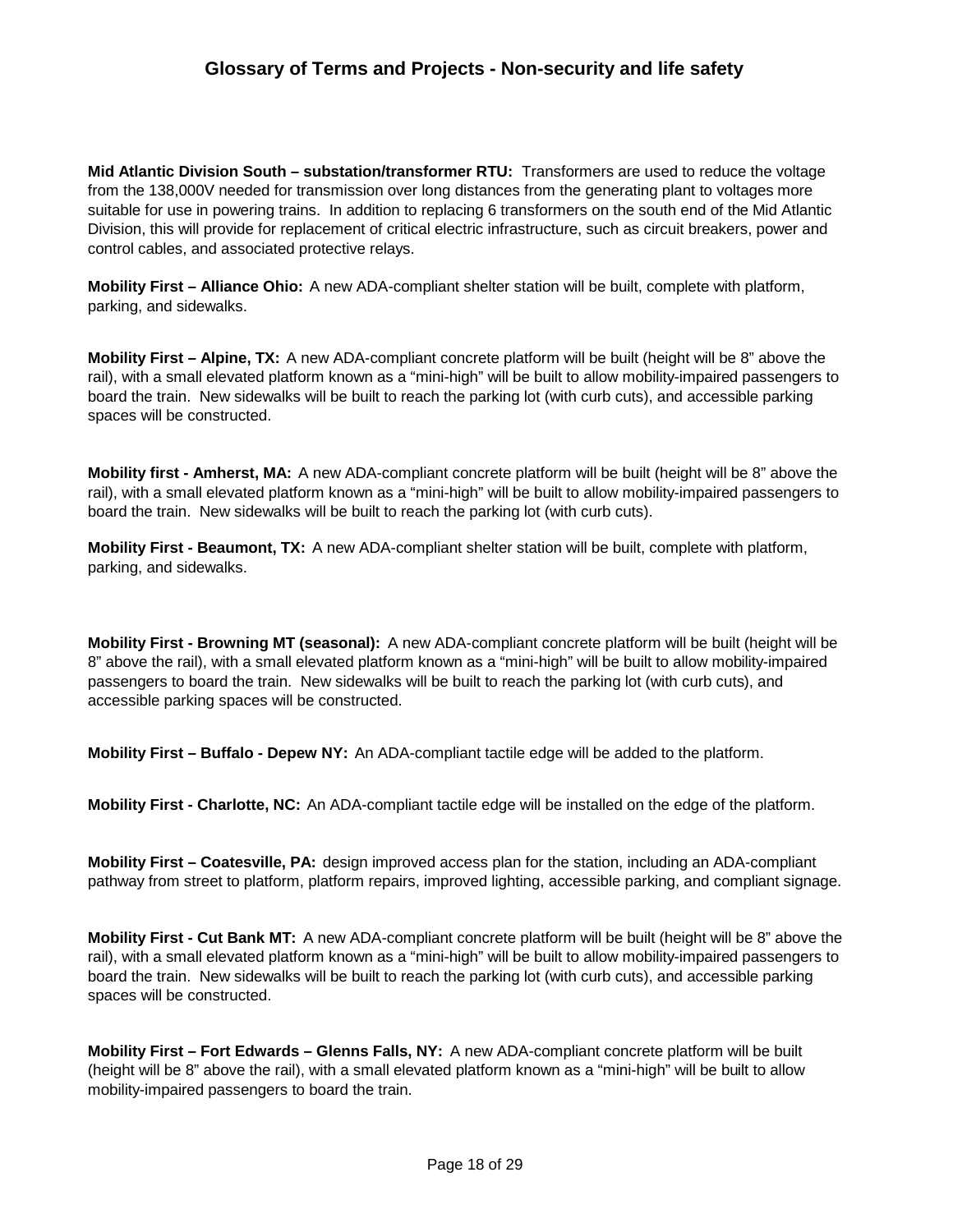**Mid Atlantic Division South – substation/transformer RTU:** Transformers are used to reduce the voltage from the 138,000V needed for transmission over long distances from the generating plant to voltages more suitable for use in powering trains. In addition to replacing 6 transformers on the south end of the Mid Atlantic Division, this will provide for replacement of critical electric infrastructure, such as circuit breakers, power and control cables, and associated protective relays.

**Mobility First – Alliance Ohio:** A new ADA-compliant shelter station will be built, complete with platform, parking, and sidewalks.

**Mobility First – Alpine, TX:** A new ADA-compliant concrete platform will be built (height will be 8" above the rail), with a small elevated platform known as a "mini-high" will be built to allow mobility-impaired passengers to board the train. New sidewalks will be built to reach the parking lot (with curb cuts), and accessible parking spaces will be constructed.

**Mobility first - Amherst, MA:** A new ADA-compliant concrete platform will be built (height will be 8" above the rail), with a small elevated platform known as a "mini-high" will be built to allow mobility-impaired passengers to board the train. New sidewalks will be built to reach the parking lot (with curb cuts).

**Mobility First - Beaumont, TX:** A new ADA-compliant shelter station will be built, complete with platform, parking, and sidewalks.

**Mobility First - Browning MT (seasonal):** A new ADA-compliant concrete platform will be built (height will be 8" above the rail), with a small elevated platform known as a "mini-high" will be built to allow mobility-impaired passengers to board the train. New sidewalks will be built to reach the parking lot (with curb cuts), and accessible parking spaces will be constructed.

**Mobility First – Buffalo - Depew NY:** An ADA-compliant tactile edge will be added to the platform.

**Mobility First - Charlotte, NC:** An ADA-compliant tactile edge will be installed on the edge of the platform.

**Mobility First – Coatesville, PA:** design improved access plan for the station, including an ADA-compliant pathway from street to platform, platform repairs, improved lighting, accessible parking, and compliant signage.

**Mobility First - Cut Bank MT:** A new ADA-compliant concrete platform will be built (height will be 8" above the rail), with a small elevated platform known as a "mini-high" will be built to allow mobility-impaired passengers to board the train. New sidewalks will be built to reach the parking lot (with curb cuts), and accessible parking spaces will be constructed.

**Mobility First – Fort Edwards – Glenns Falls, NY:** A new ADA-compliant concrete platform will be built (height will be 8" above the rail), with a small elevated platform known as a "mini-high" will be built to allow mobility-impaired passengers to board the train.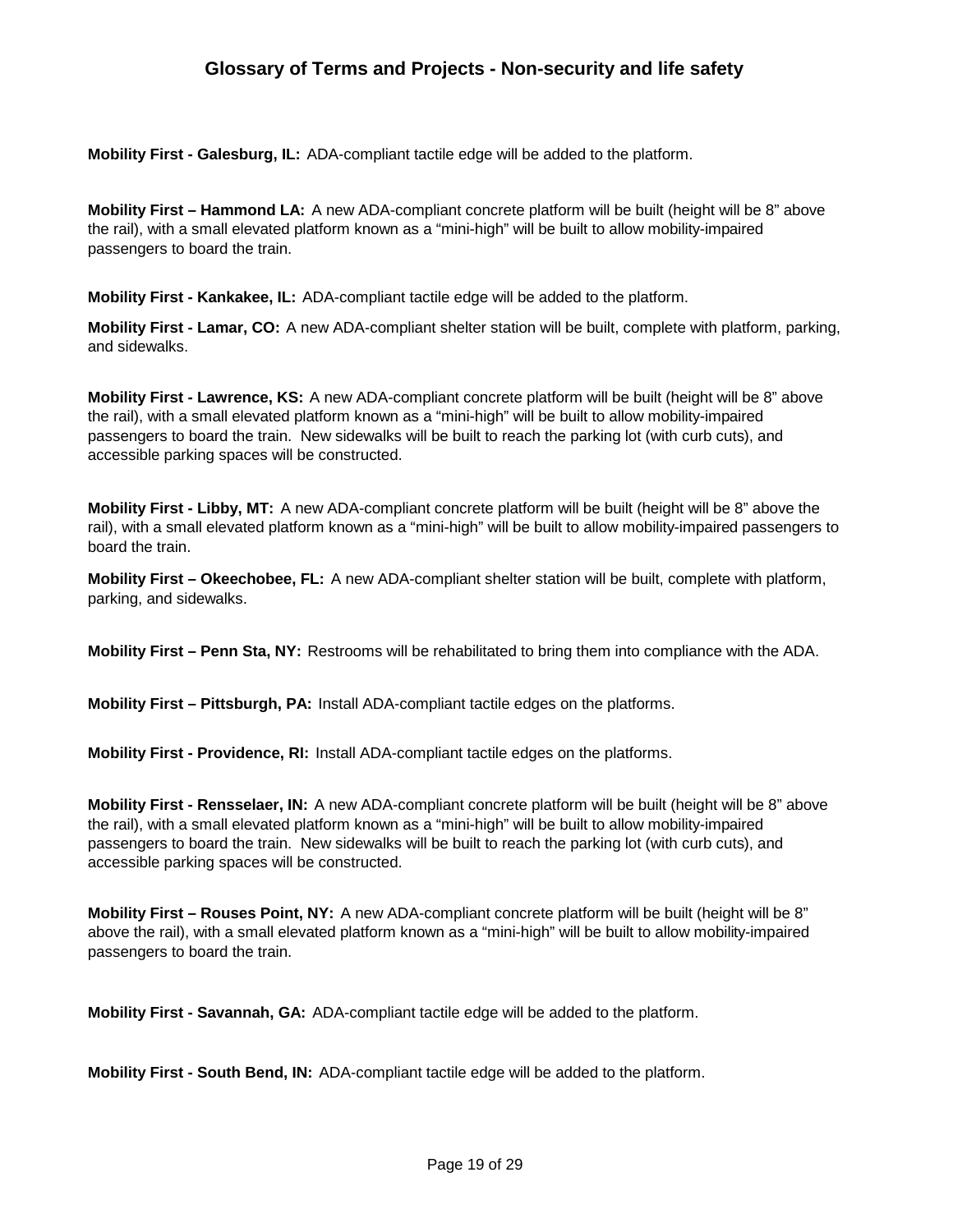**Mobility First - Galesburg, IL:** ADA-compliant tactile edge will be added to the platform.

**Mobility First – Hammond LA:** A new ADA-compliant concrete platform will be built (height will be 8" above the rail), with a small elevated platform known as a "mini-high" will be built to allow mobility-impaired passengers to board the train.

**Mobility First - Kankakee, IL:** ADA-compliant tactile edge will be added to the platform.

**Mobility First - Lamar, CO:** A new ADA-compliant shelter station will be built, complete with platform, parking, and sidewalks.

**Mobility First - Lawrence, KS:** A new ADA-compliant concrete platform will be built (height will be 8" above the rail), with a small elevated platform known as a "mini-high" will be built to allow mobility-impaired passengers to board the train. New sidewalks will be built to reach the parking lot (with curb cuts), and accessible parking spaces will be constructed.

**Mobility First - Libby, MT:** A new ADA-compliant concrete platform will be built (height will be 8" above the rail), with a small elevated platform known as a "mini-high" will be built to allow mobility-impaired passengers to board the train.

**Mobility First – Okeechobee, FL:** A new ADA-compliant shelter station will be built, complete with platform, parking, and sidewalks.

**Mobility First – Penn Sta, NY:** Restrooms will be rehabilitated to bring them into compliance with the ADA.

**Mobility First – Pittsburgh, PA:** Install ADA-compliant tactile edges on the platforms.

**Mobility First - Providence, RI:** Install ADA-compliant tactile edges on the platforms.

**Mobility First - Rensselaer, IN:** A new ADA-compliant concrete platform will be built (height will be 8" above the rail), with a small elevated platform known as a "mini-high" will be built to allow mobility-impaired passengers to board the train. New sidewalks will be built to reach the parking lot (with curb cuts), and accessible parking spaces will be constructed.

**Mobility First – Rouses Point, NY:** A new ADA-compliant concrete platform will be built (height will be 8" above the rail), with a small elevated platform known as a "mini-high" will be built to allow mobility-impaired passengers to board the train.

**Mobility First - Savannah, GA:** ADA-compliant tactile edge will be added to the platform.

**Mobility First - South Bend, IN:** ADA-compliant tactile edge will be added to the platform.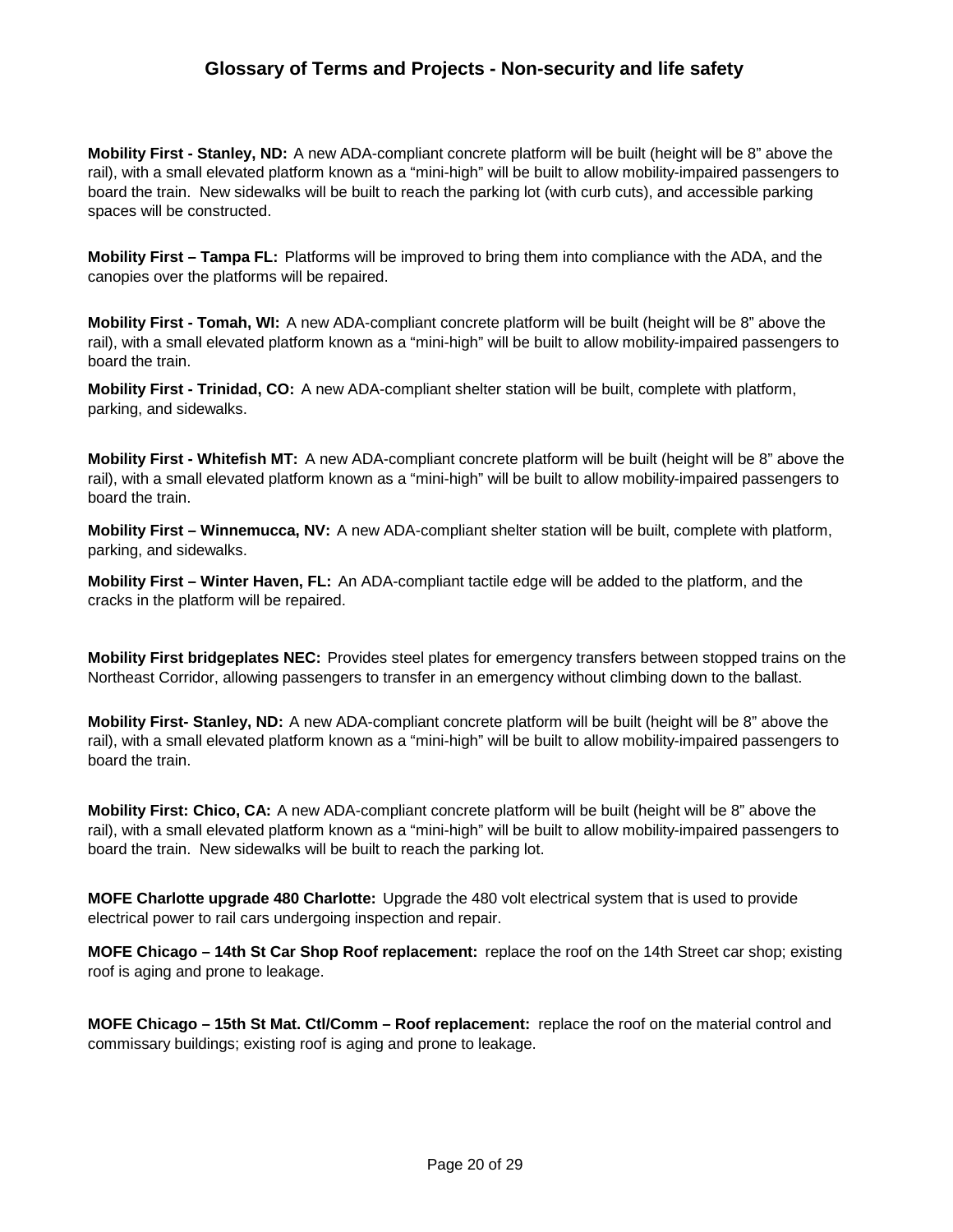**Mobility First - Stanley, ND:** A new ADA-compliant concrete platform will be built (height will be 8" above the rail), with a small elevated platform known as a "mini-high" will be built to allow mobility-impaired passengers to board the train. New sidewalks will be built to reach the parking lot (with curb cuts), and accessible parking spaces will be constructed.

**Mobility First – Tampa FL:** Platforms will be improved to bring them into compliance with the ADA, and the canopies over the platforms will be repaired.

**Mobility First - Tomah, WI:** A new ADA-compliant concrete platform will be built (height will be 8" above the rail), with a small elevated platform known as a "mini-high" will be built to allow mobility-impaired passengers to board the train.

**Mobility First - Trinidad, CO:** A new ADA-compliant shelter station will be built, complete with platform, parking, and sidewalks.

**Mobility First - Whitefish MT:** A new ADA-compliant concrete platform will be built (height will be 8" above the rail), with a small elevated platform known as a "mini-high" will be built to allow mobility-impaired passengers to board the train.

**Mobility First – Winnemucca, NV:** A new ADA-compliant shelter station will be built, complete with platform, parking, and sidewalks.

**Mobility First – Winter Haven, FL:** An ADA-compliant tactile edge will be added to the platform, and the cracks in the platform will be repaired.

**Mobility First bridgeplates NEC:** Provides steel plates for emergency transfers between stopped trains on the Northeast Corridor, allowing passengers to transfer in an emergency without climbing down to the ballast.

**Mobility First- Stanley, ND:** A new ADA-compliant concrete platform will be built (height will be 8" above the rail), with a small elevated platform known as a "mini-high" will be built to allow mobility-impaired passengers to board the train.

**Mobility First: Chico, CA:** A new ADA-compliant concrete platform will be built (height will be 8" above the rail), with a small elevated platform known as a "mini-high" will be built to allow mobility-impaired passengers to board the train. New sidewalks will be built to reach the parking lot.

**MOFE Charlotte upgrade 480 Charlotte:** Upgrade the 480 volt electrical system that is used to provide electrical power to rail cars undergoing inspection and repair.

**MOFE Chicago – 14th St Car Shop Roof replacement:** replace the roof on the 14th Street car shop; existing roof is aging and prone to leakage.

**MOFE Chicago – 15th St Mat. Ctl/Comm – Roof replacement:** replace the roof on the material control and commissary buildings; existing roof is aging and prone to leakage.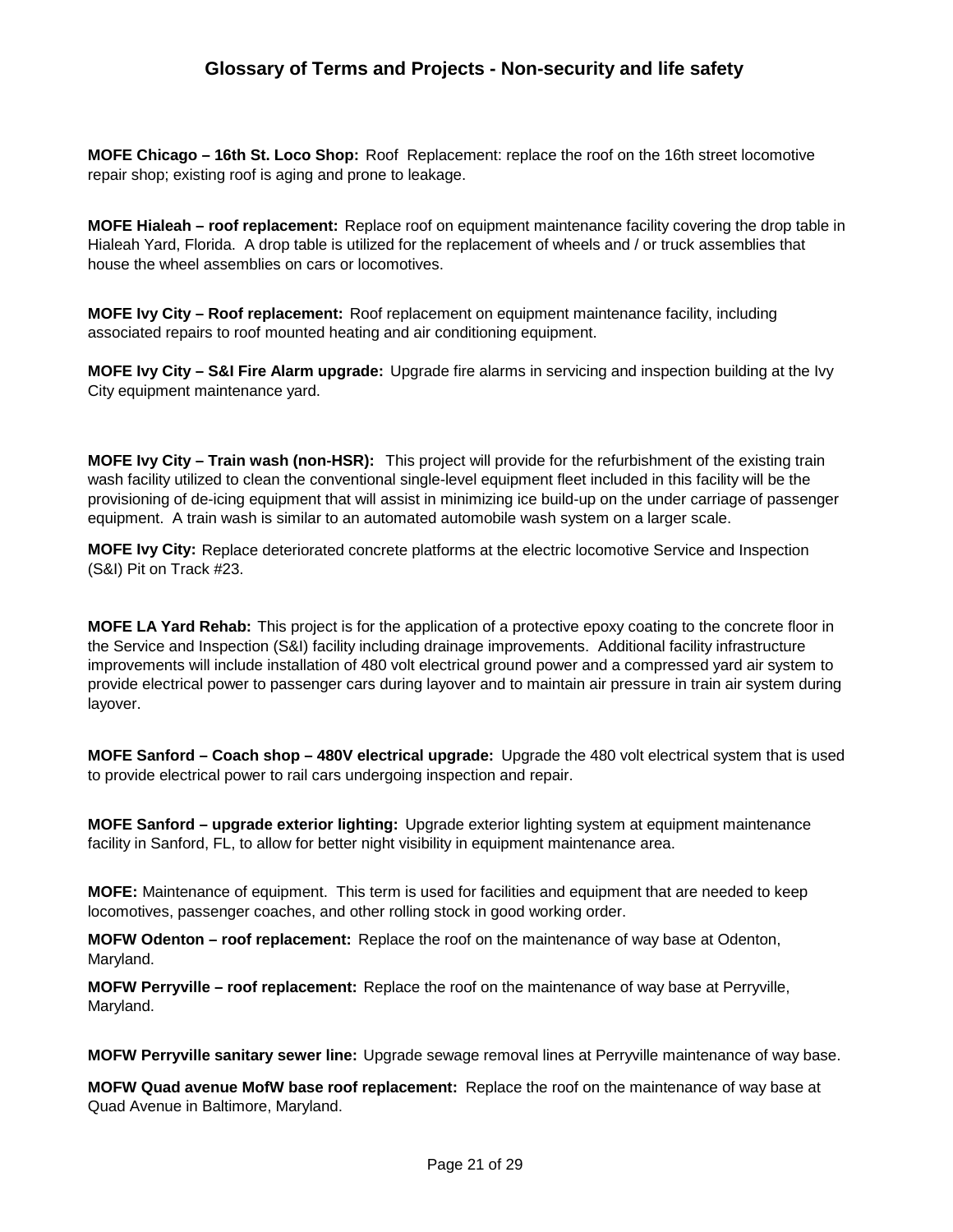**MOFE Chicago – 16th St. Loco Shop:** Roof Replacement: replace the roof on the 16th street locomotive repair shop; existing roof is aging and prone to leakage.

**MOFE Hialeah – roof replacement:** Replace roof on equipment maintenance facility covering the drop table in Hialeah Yard, Florida. A drop table is utilized for the replacement of wheels and / or truck assemblies that house the wheel assemblies on cars or locomotives.

**MOFE Ivy City – Roof replacement:** Roof replacement on equipment maintenance facility, including associated repairs to roof mounted heating and air conditioning equipment.

**MOFE Ivy City – S&I Fire Alarm upgrade:** Upgrade fire alarms in servicing and inspection building at the Ivy City equipment maintenance yard.

**MOFE Ivy City – Train wash (non-HSR):** This project will provide for the refurbishment of the existing train wash facility utilized to clean the conventional single-level equipment fleet included in this facility will be the provisioning of de-icing equipment that will assist in minimizing ice build-up on the under carriage of passenger equipment. A train wash is similar to an automated automobile wash system on a larger scale.

**MOFE Ivy City:** Replace deteriorated concrete platforms at the electric locomotive Service and Inspection (S&I) Pit on Track #23.

**MOFE LA Yard Rehab:** This project is for the application of a protective epoxy coating to the concrete floor in the Service and Inspection (S&I) facility including drainage improvements. Additional facility infrastructure improvements will include installation of 480 volt electrical ground power and a compressed yard air system to provide electrical power to passenger cars during layover and to maintain air pressure in train air system during layover.

**MOFE Sanford – Coach shop – 480V electrical upgrade:** Upgrade the 480 volt electrical system that is used to provide electrical power to rail cars undergoing inspection and repair.

**MOFE Sanford – upgrade exterior lighting:** Upgrade exterior lighting system at equipment maintenance facility in Sanford, FL, to allow for better night visibility in equipment maintenance area.

**MOFE:** Maintenance of equipment. This term is used for facilities and equipment that are needed to keep locomotives, passenger coaches, and other rolling stock in good working order.

**MOFW Odenton – roof replacement:** Replace the roof on the maintenance of way base at Odenton, Maryland.

**MOFW Perryville – roof replacement:** Replace the roof on the maintenance of way base at Perryville, Maryland.

**MOFW Perryville sanitary sewer line:** Upgrade sewage removal lines at Perryville maintenance of way base.

**MOFW Quad avenue MofW base roof replacement:** Replace the roof on the maintenance of way base at Quad Avenue in Baltimore, Maryland.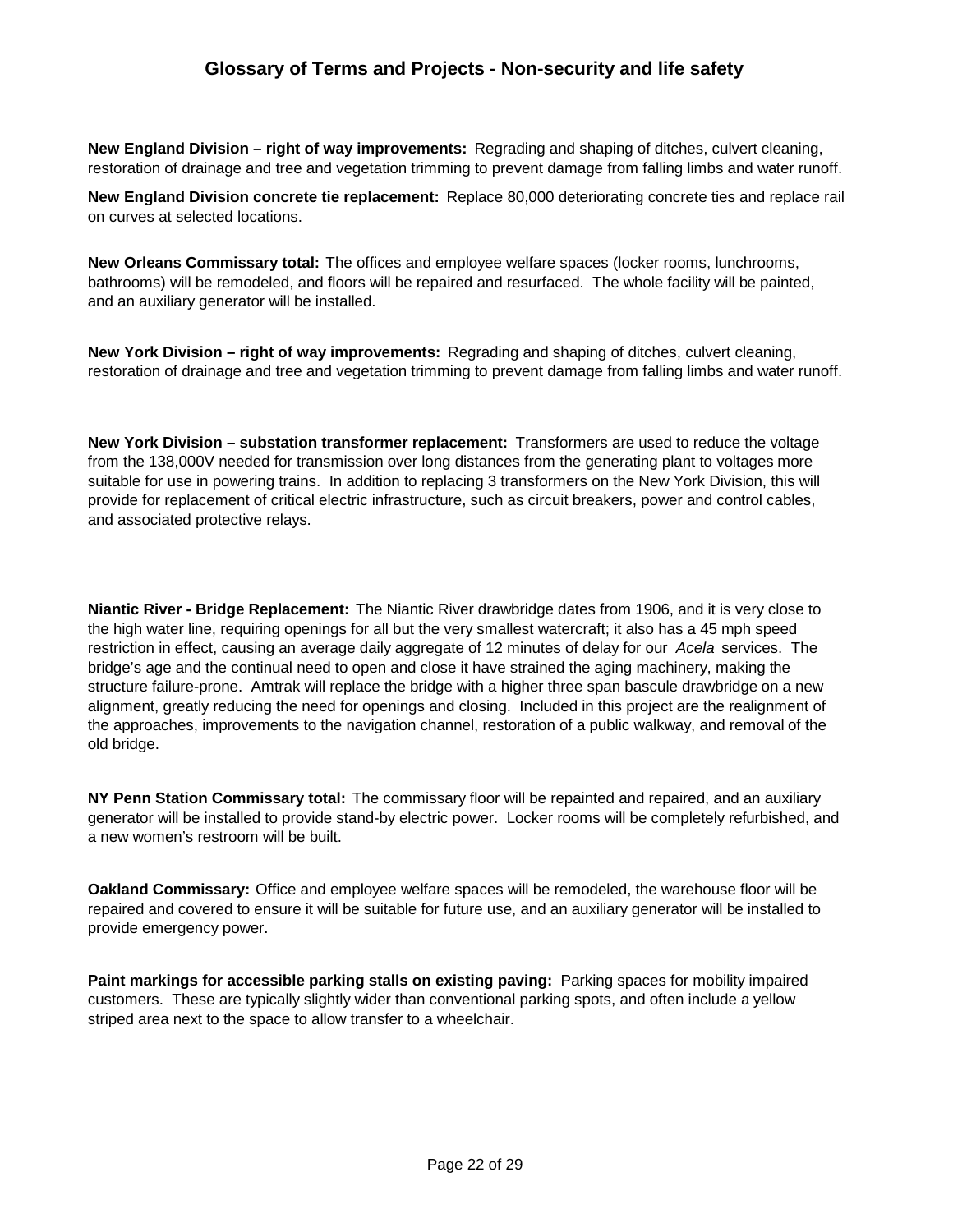**New England Division – right of way improvements:** Regrading and shaping of ditches, culvert cleaning, restoration of drainage and tree and vegetation trimming to prevent damage from falling limbs and water runoff.

**New England Division concrete tie replacement:** Replace 80,000 deteriorating concrete ties and replace rail on curves at selected locations.

**New Orleans Commissary total:** The offices and employee welfare spaces (locker rooms, lunchrooms, bathrooms) will be remodeled, and floors will be repaired and resurfaced. The whole facility will be painted, and an auxiliary generator will be installed.

**New York Division – right of way improvements:** Regrading and shaping of ditches, culvert cleaning, restoration of drainage and tree and vegetation trimming to prevent damage from falling limbs and water runoff.

**New York Division – substation transformer replacement:** Transformers are used to reduce the voltage from the 138,000V needed for transmission over long distances from the generating plant to voltages more suitable for use in powering trains. In addition to replacing 3 transformers on the New York Division, this will provide for replacement of critical electric infrastructure, such as circuit breakers, power and control cables, and associated protective relays.

**Niantic River - Bridge Replacement:** The Niantic River drawbridge dates from 1906, and it is very close to the high water line, requiring openings for all but the very smallest watercraft; it also has a 45 mph speed restriction in effect, causing an average daily aggregate of 12 minutes of delay for our *Acela* services. The bridge's age and the continual need to open and close it have strained the aging machinery, making the structure failure-prone. Amtrak will replace the bridge with a higher three span bascule drawbridge on a new alignment, greatly reducing the need for openings and closing. Included in this project are the realignment of the approaches, improvements to the navigation channel, restoration of a public walkway, and removal of the old bridge.

**NY Penn Station Commissary total:** The commissary floor will be repainted and repaired, and an auxiliary generator will be installed to provide stand-by electric power. Locker rooms will be completely refurbished, and a new women's restroom will be built.

**Oakland Commissary:** Office and employee welfare spaces will be remodeled, the warehouse floor will be repaired and covered to ensure it will be suitable for future use, and an auxiliary generator will be installed to provide emergency power.

**Paint markings for accessible parking stalls on existing paving: Parking spaces for mobility impaired** customers. These are typically slightly wider than conventional parking spots, and often include a yellow striped area next to the space to allow transfer to a wheelchair.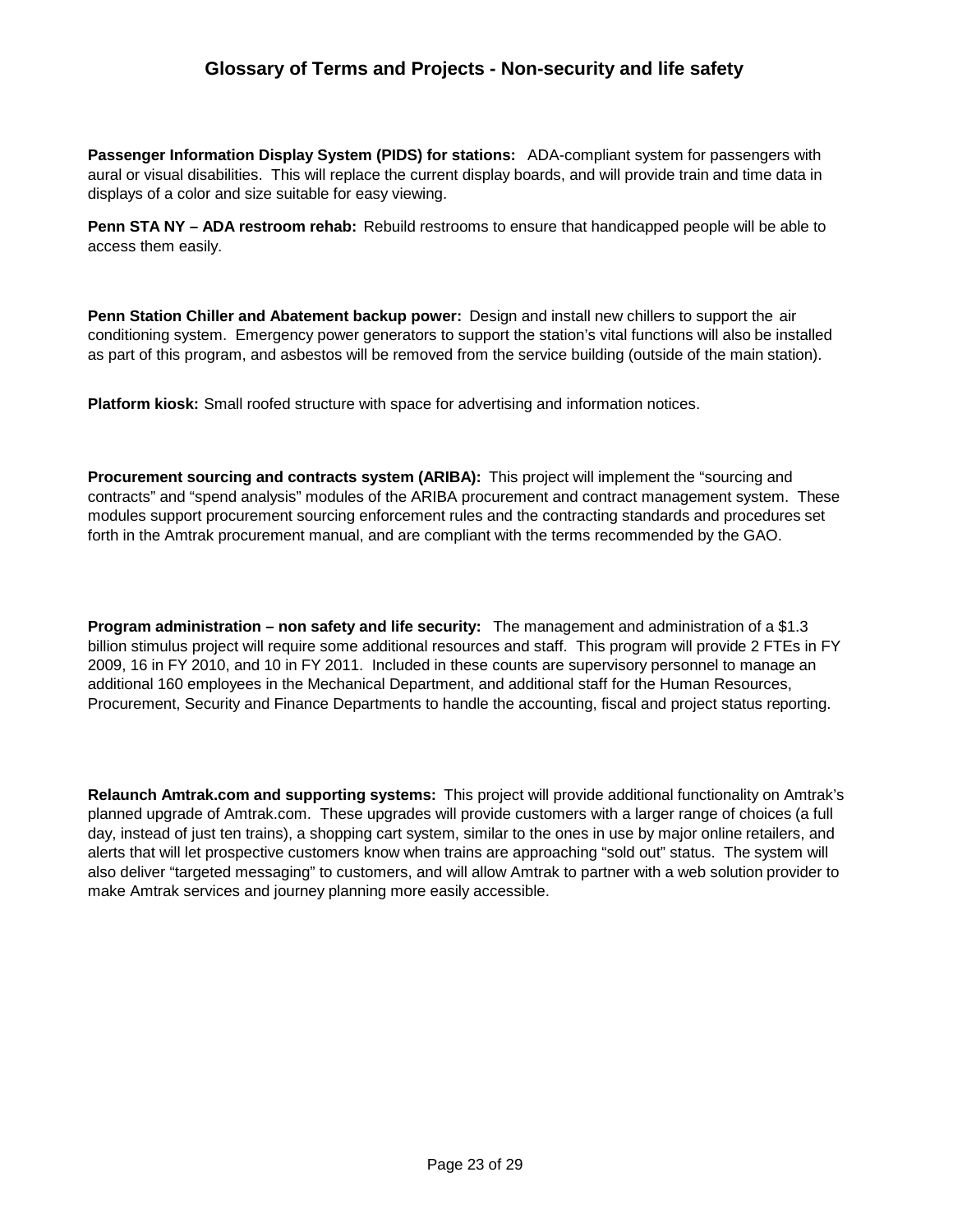**Passenger Information Display System (PIDS) for stations:** ADA-compliant system for passengers with aural or visual disabilities. This will replace the current display boards, and will provide train and time data in displays of a color and size suitable for easy viewing.

**Penn STA NY – ADA restroom rehab:** Rebuild restrooms to ensure that handicapped people will be able to access them easily.

**Penn Station Chiller and Abatement backup power:** Design and install new chillers to support the air conditioning system. Emergency power generators to support the station's vital functions will also be installed as part of this program, and asbestos will be removed from the service building (outside of the main station).

**Platform kiosk:** Small roofed structure with space for advertising and information notices.

**Procurement sourcing and contracts system (ARIBA):** This project will implement the "sourcing and contracts" and "spend analysis" modules of the ARIBA procurement and contract management system. These modules support procurement sourcing enforcement rules and the contracting standards and procedures set forth in the Amtrak procurement manual, and are compliant with the terms recommended by the GAO.

**Program administration – non safety and life security:** The management and administration of a \$1.3 billion stimulus project will require some additional resources and staff. This program will provide 2 FTEs in FY 2009, 16 in FY 2010, and 10 in FY 2011. Included in these counts are supervisory personnel to manage an additional 160 employees in the Mechanical Department, and additional staff for the Human Resources, Procurement, Security and Finance Departments to handle the accounting, fiscal and project status reporting.

**Relaunch Amtrak.com and supporting systems:** This project will provide additional functionality on Amtrak's planned upgrade of Amtrak.com. These upgrades will provide customers with a larger range of choices (a full day, instead of just ten trains), a shopping cart system, similar to the ones in use by major online retailers, and alerts that will let prospective customers know when trains are approaching "sold out" status. The system will also deliver "targeted messaging" to customers, and will allow Amtrak to partner with a web solution provider to make Amtrak services and journey planning more easily accessible.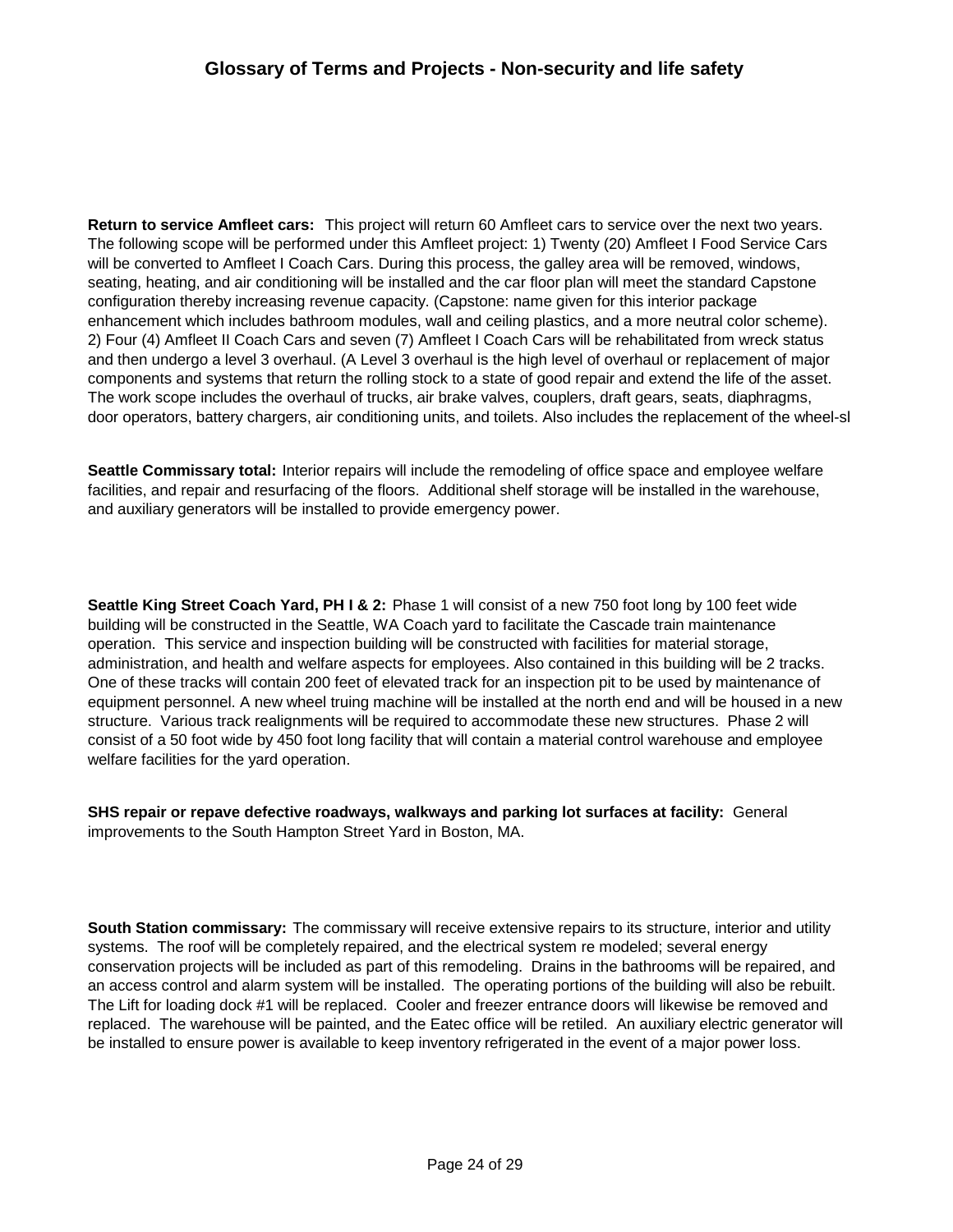**Return to service Amfleet cars:** This project will return 60 Amfleet cars to service over the next two years. The following scope will be performed under this Amfleet project: 1) Twenty (20) Amfleet I Food Service Cars will be converted to Amfleet I Coach Cars. During this process, the galley area will be removed, windows, seating, heating, and air conditioning will be installed and the car floor plan will meet the standard Capstone configuration thereby increasing revenue capacity. (Capstone: name given for this interior package enhancement which includes bathroom modules, wall and ceiling plastics, and a more neutral color scheme). 2) Four (4) Amfleet II Coach Cars and seven (7) Amfleet I Coach Cars will be rehabilitated from wreck status and then undergo a level 3 overhaul. (A Level 3 overhaul is the high level of overhaul or replacement of major components and systems that return the rolling stock to a state of good repair and extend the life of the asset. The work scope includes the overhaul of trucks, air brake valves, couplers, draft gears, seats, diaphragms, door operators, battery chargers, air conditioning units, and toilets. Also includes the replacement of the wheel-sl

**Seattle Commissary total:** Interior repairs will include the remodeling of office space and employee welfare facilities, and repair and resurfacing of the floors. Additional shelf storage will be installed in the warehouse, and auxiliary generators will be installed to provide emergency power.

**Seattle King Street Coach Yard, PH I & 2:** Phase 1 will consist of a new 750 foot long by 100 feet wide building will be constructed in the Seattle, WA Coach yard to facilitate the Cascade train maintenance operation. This service and inspection building will be constructed with facilities for material storage, administration, and health and welfare aspects for employees. Also contained in this building will be 2 tracks. One of these tracks will contain 200 feet of elevated track for an inspection pit to be used by maintenance of equipment personnel. A new wheel truing machine will be installed at the north end and will be housed in a new structure. Various track realignments will be required to accommodate these new structures. Phase 2 will consist of a 50 foot wide by 450 foot long facility that will contain a material control warehouse and employee welfare facilities for the yard operation.

**SHS repair or repave defective roadways, walkways and parking lot surfaces at facility:** General improvements to the South Hampton Street Yard in Boston, MA.

**South Station commissary:** The commissary will receive extensive repairs to its structure, interior and utility systems. The roof will be completely repaired, and the electrical system re modeled; several energy conservation projects will be included as part of this remodeling. Drains in the bathrooms will be repaired, and an access control and alarm system will be installed. The operating portions of the building will also be rebuilt. The Lift for loading dock #1 will be replaced. Cooler and freezer entrance doors will likewise be removed and replaced. The warehouse will be painted, and the Eatec office will be retiled. An auxiliary electric generator will be installed to ensure power is available to keep inventory refrigerated in the event of a major power loss.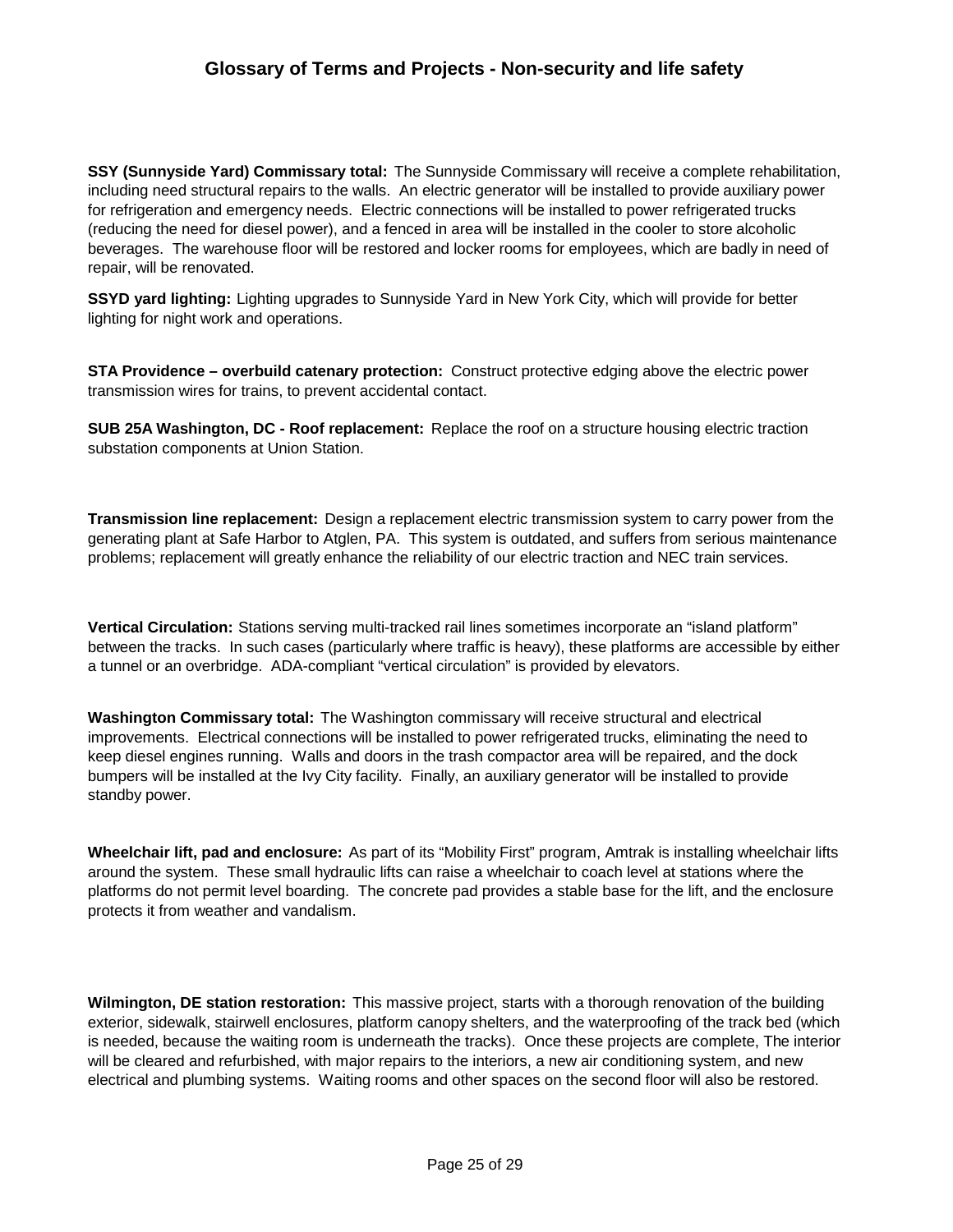**SSY (Sunnyside Yard) Commissary total:** The Sunnyside Commissary will receive a complete rehabilitation, including need structural repairs to the walls. An electric generator will be installed to provide auxiliary power for refrigeration and emergency needs. Electric connections will be installed to power refrigerated trucks (reducing the need for diesel power), and a fenced in area will be installed in the cooler to store alcoholic beverages. The warehouse floor will be restored and locker rooms for employees, which are badly in need of repair, will be renovated.

**SSYD yard lighting:** Lighting upgrades to Sunnyside Yard in New York City, which will provide for better lighting for night work and operations.

**STA Providence – overbuild catenary protection:** Construct protective edging above the electric power transmission wires for trains, to prevent accidental contact.

**SUB 25A Washington, DC - Roof replacement:** Replace the roof on a structure housing electric traction substation components at Union Station.

**Transmission line replacement:** Design a replacement electric transmission system to carry power from the generating plant at Safe Harbor to Atglen, PA. This system is outdated, and suffers from serious maintenance problems; replacement will greatly enhance the reliability of our electric traction and NEC train services.

**Vertical Circulation:** Stations serving multi-tracked rail lines sometimes incorporate an "island platform" between the tracks. In such cases (particularly where traffic is heavy), these platforms are accessible by either a tunnel or an overbridge. ADA-compliant "vertical circulation" is provided by elevators.

**Washington Commissary total:** The Washington commissary will receive structural and electrical improvements. Electrical connections will be installed to power refrigerated trucks, eliminating the need to keep diesel engines running. Walls and doors in the trash compactor area will be repaired, and the dock bumpers will be installed at the Ivy City facility. Finally, an auxiliary generator will be installed to provide standby power.

**Wheelchair lift, pad and enclosure:** As part of its "Mobility First" program, Amtrak is installing wheelchair lifts around the system. These small hydraulic lifts can raise a wheelchair to coach level at stations where the platforms do not permit level boarding. The concrete pad provides a stable base for the lift, and the enclosure protects it from weather and vandalism.

**Wilmington, DE station restoration:** This massive project, starts with a thorough renovation of the building exterior, sidewalk, stairwell enclosures, platform canopy shelters, and the waterproofing of the track bed (which is needed, because the waiting room is underneath the tracks). Once these projects are complete, The interior will be cleared and refurbished, with major repairs to the interiors, a new air conditioning system, and new electrical and plumbing systems. Waiting rooms and other spaces on the second floor will also be restored.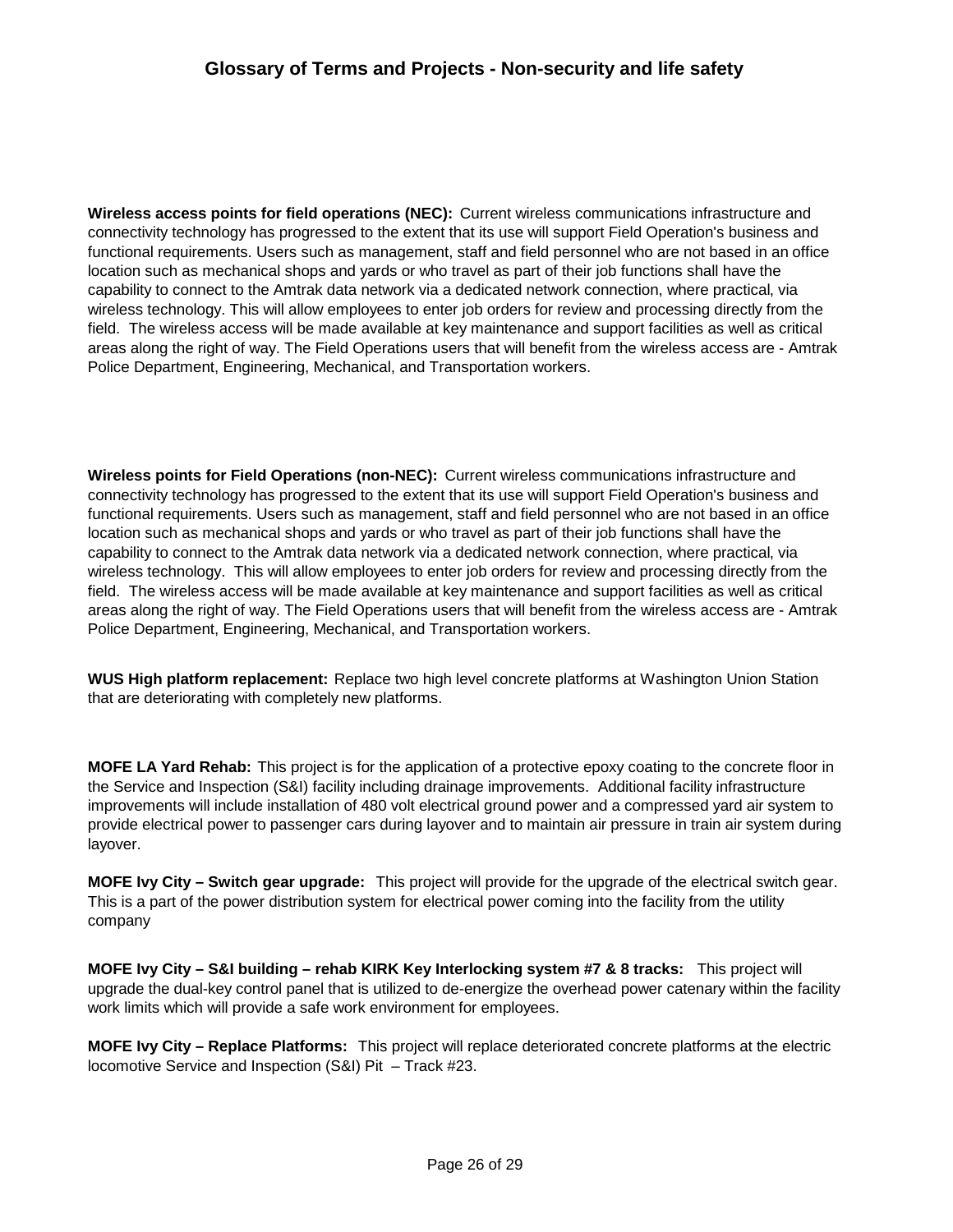**Wireless access points for field operations (NEC):** Current wireless communications infrastructure and connectivity technology has progressed to the extent that its use will support Field Operation's business and functional requirements. Users such as management, staff and field personnel who are not based in an office location such as mechanical shops and yards or who travel as part of their job functions shall have the capability to connect to the Amtrak data network via a dedicated network connection, where practical, via wireless technology. This will allow employees to enter job orders for review and processing directly from the field. The wireless access will be made available at key maintenance and support facilities as well as critical areas along the right of way. The Field Operations users that will benefit from the wireless access are - Amtrak Police Department, Engineering, Mechanical, and Transportation workers.

**Wireless points for Field Operations (non-NEC):** Current wireless communications infrastructure and connectivity technology has progressed to the extent that its use will support Field Operation's business and functional requirements. Users such as management, staff and field personnel who are not based in an office location such as mechanical shops and yards or who travel as part of their job functions shall have the capability to connect to the Amtrak data network via a dedicated network connection, where practical, via wireless technology. This will allow employees to enter job orders for review and processing directly from the field. The wireless access will be made available at key maintenance and support facilities as well as critical areas along the right of way. The Field Operations users that will benefit from the wireless access are - Amtrak Police Department, Engineering, Mechanical, and Transportation workers.

**WUS High platform replacement:** Replace two high level concrete platforms at Washington Union Station that are deteriorating with completely new platforms.

**MOFE LA Yard Rehab:** This project is for the application of a protective epoxy coating to the concrete floor in the Service and Inspection (S&I) facility including drainage improvements. Additional facility infrastructure improvements will include installation of 480 volt electrical ground power and a compressed yard air system to provide electrical power to passenger cars during layover and to maintain air pressure in train air system during layover.

**MOFE Ivy City – Switch gear upgrade:** This project will provide for the upgrade of the electrical switch gear. This is a part of the power distribution system for electrical power coming into the facility from the utility company

**MOFE Ivy City – S&I building – rehab KIRK Key Interlocking system #7 & 8 tracks:** This project will upgrade the dual-key control panel that is utilized to de-energize the overhead power catenary within the facility work limits which will provide a safe work environment for employees.

**MOFE Ivy City – Replace Platforms:** This project will replace deteriorated concrete platforms at the electric locomotive Service and Inspection (S&I) Pit – Track #23.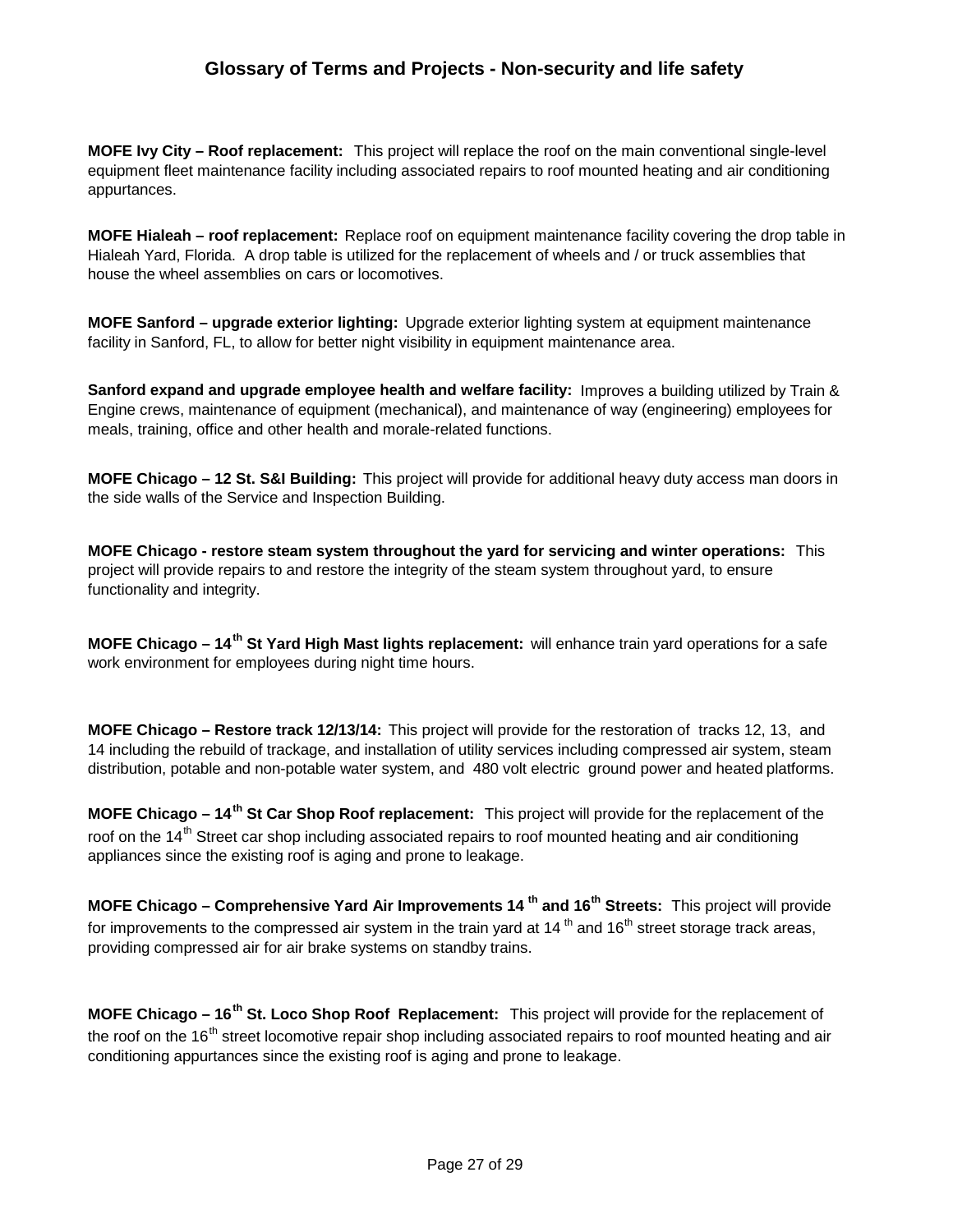**MOFE Ivy City – Roof replacement:** This project will replace the roof on the main conventional single-level equipment fleet maintenance facility including associated repairs to roof mounted heating and air conditioning appurtances.

**MOFE Hialeah – roof replacement:** Replace roof on equipment maintenance facility covering the drop table in Hialeah Yard, Florida. A drop table is utilized for the replacement of wheels and / or truck assemblies that house the wheel assemblies on cars or locomotives.

**MOFE Sanford – upgrade exterior lighting:** Upgrade exterior lighting system at equipment maintenance facility in Sanford, FL, to allow for better night visibility in equipment maintenance area.

**Sanford expand and upgrade employee health and welfare facility:** Improves a building utilized by Train & Engine crews, maintenance of equipment (mechanical), and maintenance of way (engineering) employees for meals, training, office and other health and morale-related functions.

**MOFE Chicago – 12 St. S&I Building:** This project will provide for additional heavy duty access man doors in the side walls of the Service and Inspection Building.

**MOFE Chicago - restore steam system throughout the yard for servicing and winter operations:** This project will provide repairs to and restore the integrity of the steam system throughout yard, to ensure functionality and integrity.

**MOFE Chicago – 14th St Yard High Mast lights replacement:** will enhance train yard operations for a safe work environment for employees during night time hours.

**MOFE Chicago – Restore track 12/13/14:** This project will provide for the restoration of tracks 12, 13, and 14 including the rebuild of trackage, and installation of utility services including compressed air system, steam distribution, potable and non-potable water system, and 480 volt electric ground power and heated platforms.

**MOFE Chicago – 14th St Car Shop Roof replacement:** This project will provide for the replacement of the roof on the 14<sup>th</sup> Street car shop including associated repairs to roof mounted heating and air conditioning appliances since the existing roof is aging and prone to leakage.

**MOFE Chicago – Comprehensive Yard Air Improvements 14 th and 16th Streets:** This project will provide for improvements to the compressed air system in the train yard at 14 $^{\text{th}}$  and 16 $^{\text{th}}$  street storage track areas, providing compressed air for air brake systems on standby trains.

**MOFE Chicago – 16th St. Loco Shop Roof Replacement:** This project will provide for the replacement of the roof on the 16<sup>th</sup> street locomotive repair shop including associated repairs to roof mounted heating and air conditioning appurtances since the existing roof is aging and prone to leakage.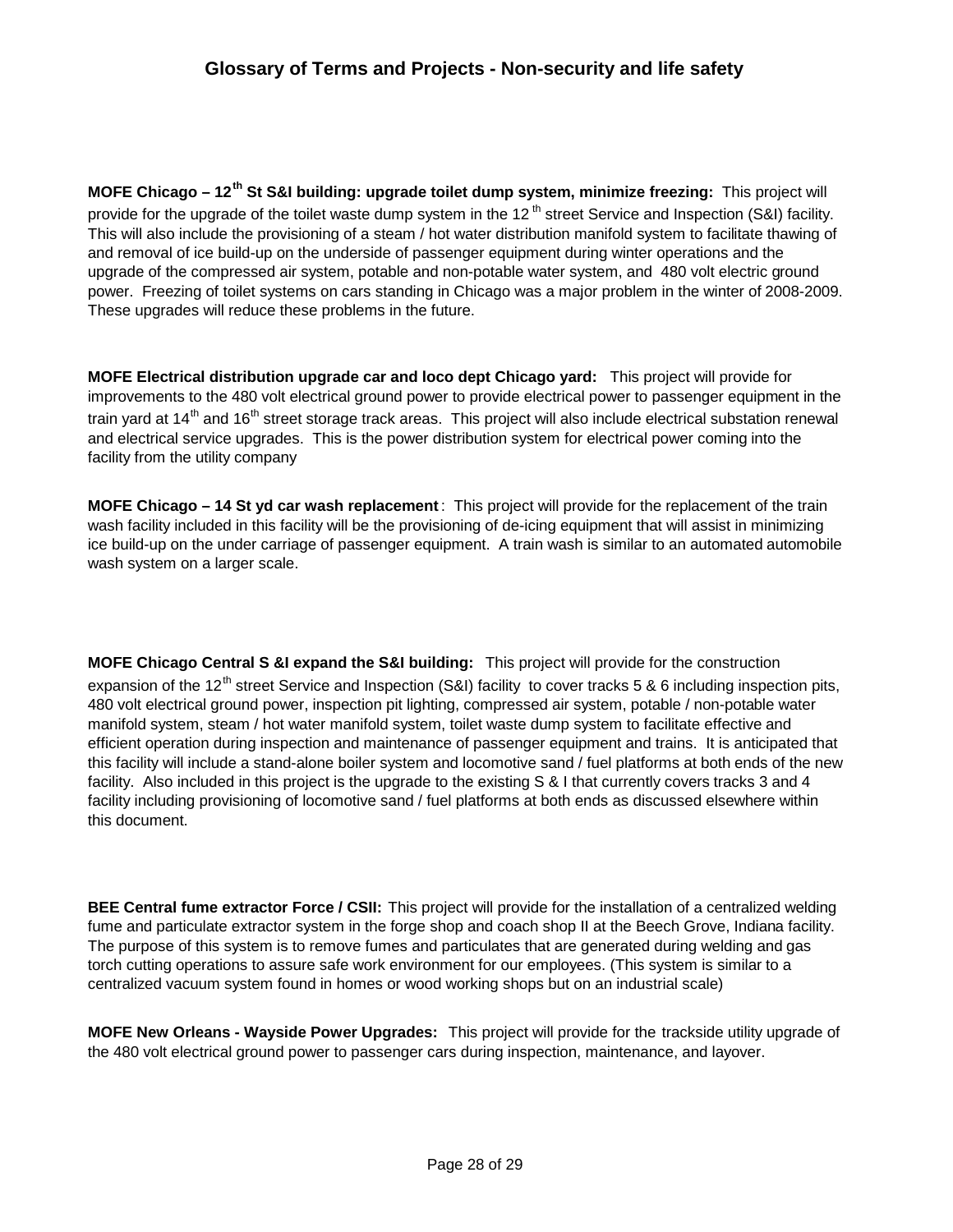**MOFE Chicago – 12th St S&I building: upgrade toilet dump system, minimize freezing:** This project will provide for the upgrade of the toilet waste dump system in the 12<sup>th</sup> street Service and Inspection (S&I) facility. This will also include the provisioning of a steam / hot water distribution manifold system to facilitate thawing of and removal of ice build-up on the underside of passenger equipment during winter operations and the upgrade of the compressed air system, potable and non-potable water system, and 480 volt electric ground power. Freezing of toilet systems on cars standing in Chicago was a major problem in the winter of 2008-2009. These upgrades will reduce these problems in the future.

**MOFE Electrical distribution upgrade car and loco dept Chicago yard:** This project will provide for improvements to the 480 volt electrical ground power to provide electrical power to passenger equipment in the train yard at  $14<sup>th</sup>$  and  $16<sup>th</sup>$  street storage track areas. This project will also include electrical substation renewal and electrical service upgrades. This is the power distribution system for electrical power coming into the facility from the utility company

**MOFE Chicago – 14 St yd car wash replacement** : This project will provide for the replacement of the train wash facility included in this facility will be the provisioning of de-icing equipment that will assist in minimizing ice build-up on the under carriage of passenger equipment. A train wash is similar to an automated automobile wash system on a larger scale.

**MOFE Chicago Central S &I expand the S&I building:** This project will provide for the construction expansion of the 12<sup>th</sup> street Service and Inspection (S&I) facility to cover tracks 5 & 6 including inspection pits, 480 volt electrical ground power, inspection pit lighting, compressed air system, potable / non-potable water manifold system, steam / hot water manifold system, toilet waste dump system to facilitate effective and efficient operation during inspection and maintenance of passenger equipment and trains. It is anticipated that this facility will include a stand-alone boiler system and locomotive sand / fuel platforms at both ends of the new facility. Also included in this project is the upgrade to the existing S & I that currently covers tracks 3 and 4 facility including provisioning of locomotive sand / fuel platforms at both ends as discussed elsewhere within this document.

**BEE Central fume extractor Force / CSII:** This project will provide for the installation of a centralized welding fume and particulate extractor system in the forge shop and coach shop II at the Beech Grove, Indiana facility. The purpose of this system is to remove fumes and particulates that are generated during welding and gas torch cutting operations to assure safe work environment for our employees. (This system is similar to a centralized vacuum system found in homes or wood working shops but on an industrial scale)

**MOFE New Orleans - Wayside Power Upgrades:** This project will provide for the trackside utility upgrade of the 480 volt electrical ground power to passenger cars during inspection, maintenance, and layover.